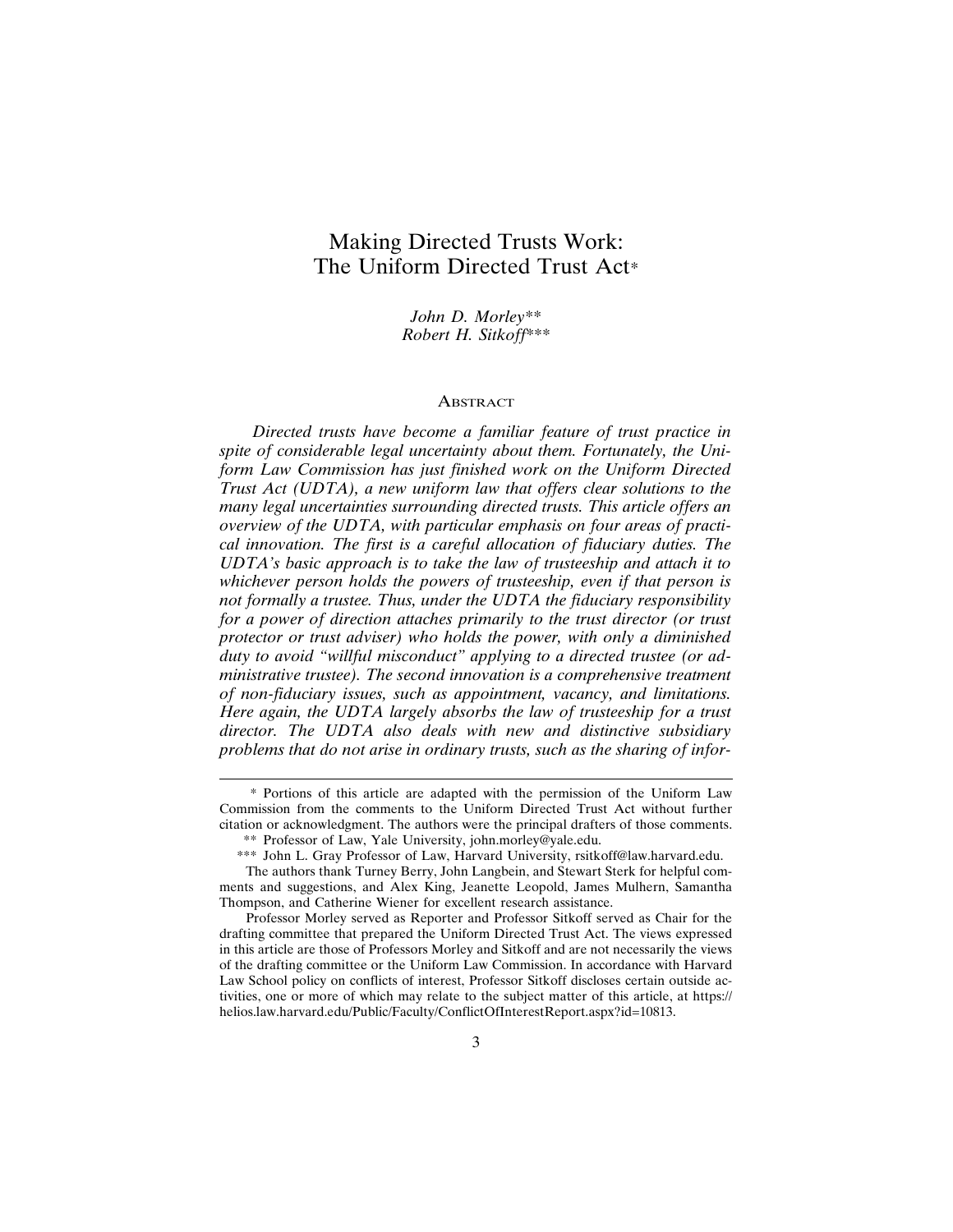# **Making Directed Trusts Work:** The Uniform Directed Trust Act\*

John D. Morley\*\* Robert H. Sitkoff\*\*\*

#### **ABSTRACT**

Directed trusts have become a familiar feature of trust practice in spite of considerable legal uncertainty about them. Fortunately, the Uniform Law Commission has just finished work on the Uniform Directed Trust Act (UDTA), a new uniform law that offers clear solutions to the many legal uncertainties surrounding directed trusts. This article offers an overview of the UDTA, with particular emphasis on four areas of practical innovation. The first is a careful allocation of fiduciary duties. The UDTA's basic approach is to take the law of trusteeship and attach it to whichever person holds the powers of trusteeship, even if that person is not formally a trustee. Thus, under the UDTA the fiduciary responsibility for a power of direction attaches primarily to the trust director (or trust protector or trust adviser) who holds the power, with only a diminished duty to avoid "willful misconduct" applying to a directed trustee (or administrative trustee). The second innovation is a comprehensive treatment of non-fiduciary issues, such as appointment, vacancy, and limitations. Here again, the UDTA largely absorbs the law of trusteeship for a trust director. The UDTA also deals with new and distinctive subsidiary problems that do not arise in ordinary trusts, such as the sharing of infor-

<sup>\*</sup> Portions of this article are adapted with the permission of the Uniform Law Commission from the comments to the Uniform Directed Trust Act without further citation or acknowledgment. The authors were the principal drafters of those comments. \*\* Professor of Law, Yale University, john.morley@yale.edu.

<sup>\*\*\*</sup> John L. Gray Professor of Law, Harvard University, rsitkoff@law.harvard.edu.

The authors thank Turney Berry, John Langbein, and Stewart Sterk for helpful comments and suggestions, and Alex King, Jeanette Leopold, James Mulhern, Samantha Thompson, and Catherine Wiener for excellent research assistance.

Professor Morley served as Reporter and Professor Sitkoff served as Chair for the drafting committee that prepared the Uniform Directed Trust Act. The views expressed in this article are those of Professors Morley and Sitkoff and are not necessarily the views of the drafting committee or the Uniform Law Commission. In accordance with Harvard Law School policy on conflicts of interest, Professor Sitkoff discloses certain outside activities, one or more of which may relate to the subject matter of this article, at https:// helios.law.harvard.edu/Public/Faculty/ConflictOfInterestReport.aspx?id=10813.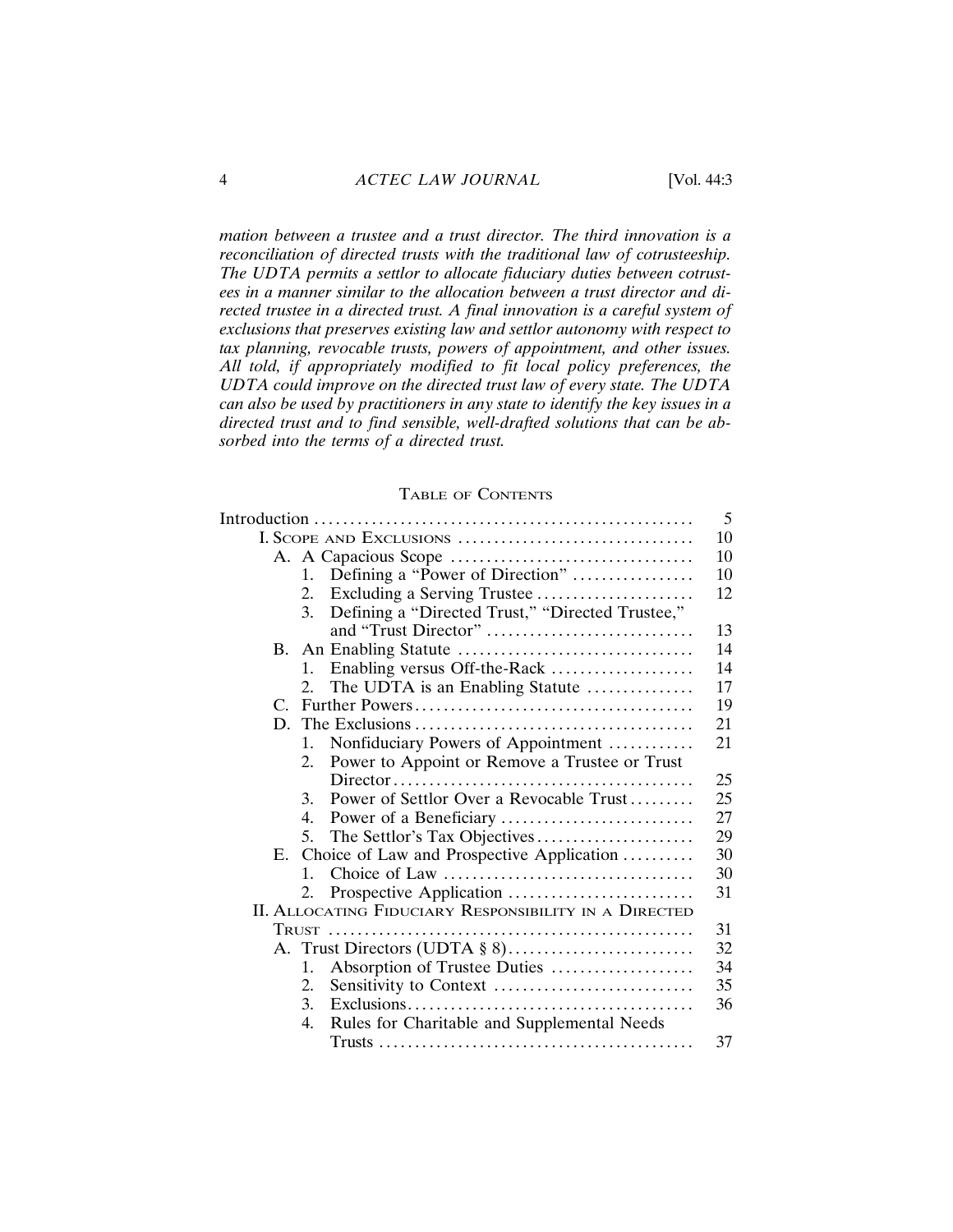$m$  mation between a trustee and a trust director. The third innovation is a  $reconciliation of directed trusts with the traditional law of cortusteeship.$ The UDTA permits a settlor to allocate fiduciary duties between cotrustees in a manner similar to the allocation between a trust director and di- $R$  rected trustee in a directed trust. A final innovation is a careful system of  $exclusions that preserves existing law and setlor automy with respect to$  $\alpha$  tax planning, revocable trusts, powers of appointment, and other issues. All told, if appropriately modified to fit local policy preferences, the  $UDTA$  could improve on the directed trust law of every state. The  $UDTA$ can also be used by practitioners in any state to identify the key issues in a directed trust and to find sensible, well-drafted solutions that can be absorbed into the terms of a directed trust.

#### TABLE OF CONTENTS

|    |                |                                                              | 5  |
|----|----------------|--------------------------------------------------------------|----|
|    |                | I. SCOPE AND EXCLUSIONS                                      | 10 |
|    |                |                                                              | 10 |
|    | 1.             | Defining a "Power of Direction"                              | 10 |
|    | 2.             | Excluding a Serving Trustee                                  | 12 |
|    | 3.             | Defining a "Directed Trust," "Directed Trustee,"             |    |
|    |                | and "Trust Director"                                         | 13 |
|    |                |                                                              | 14 |
|    | 1.             |                                                              | 14 |
|    | 2.             | The UDTA is an Enabling Statute                              | 17 |
|    |                |                                                              | 19 |
|    |                |                                                              | 21 |
|    | 1.             | Nonfiduciary Powers of Appointment                           | 21 |
|    | 2.             | Power to Appoint or Remove a Trustee or Trust                |    |
|    |                |                                                              | 25 |
|    | 3              | Power of Settlor Over a Revocable Trust                      | 25 |
|    | 4.             |                                                              | 27 |
|    | 5.             | The Settlor's Tax Objectives                                 | 29 |
| E. |                | Choice of Law and Prospective Application                    | 30 |
|    | $\mathbf{1}$ . |                                                              | 30 |
|    | 2.             |                                                              | 31 |
|    |                | <b>II. ALLOCATING FIDUCIARY RESPONSIBILITY IN A DIRECTED</b> |    |
|    |                |                                                              | 31 |
|    |                |                                                              | 32 |
|    | 1.             | Absorption of Trustee Duties                                 | 34 |
|    | 2.             |                                                              | 35 |
|    | 3.             |                                                              | 36 |
|    | 4.             | Rules for Charitable and Supplemental Needs                  |    |
|    |                |                                                              | 37 |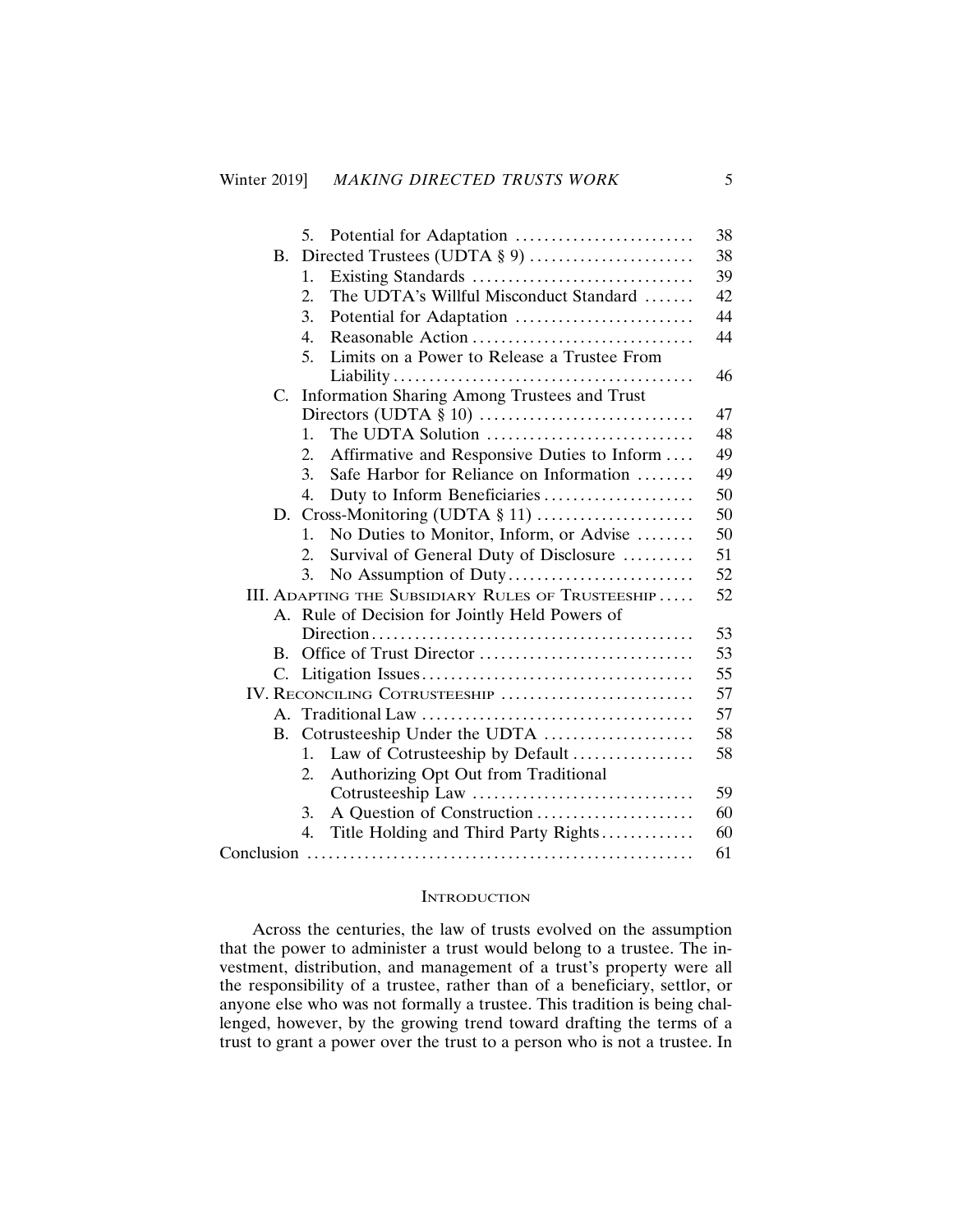|             |                |                                                                          | 38 |  |
|-------------|----------------|--------------------------------------------------------------------------|----|--|
| В.          |                |                                                                          |    |  |
|             |                | 1.                                                                       | 39 |  |
|             |                | The UDTA's Willful Misconduct Standard<br>2.                             | 42 |  |
|             |                | 3.<br>Potential for Adaptation                                           | 44 |  |
|             |                | 4.                                                                       | 44 |  |
|             |                | Limits on a Power to Release a Trustee From<br>5.                        |    |  |
|             |                |                                                                          | 46 |  |
| $C_{\cdot}$ |                | Information Sharing Among Trustees and Trust                             |    |  |
|             |                |                                                                          | 47 |  |
|             |                | The UDTA Solution $\ldots, \ldots, \ldots, \ldots, \ldots, \ldots$<br>1. | 48 |  |
|             |                | Affirmative and Responsive Duties to Inform<br>2.                        | 49 |  |
|             |                | Safe Harbor for Reliance on Information<br>3.                            | 49 |  |
|             |                | Duty to Inform Beneficiaries<br>4.                                       | 50 |  |
|             |                |                                                                          |    |  |
|             |                | No Duties to Monitor, Inform, or Advise<br>1.                            | 50 |  |
|             |                | Survival of General Duty of Disclosure<br>$2_{-}$                        | 51 |  |
|             |                | 3.                                                                       | 52 |  |
|             |                | III. ADAPTING THE SUBSIDIARY RULES OF TRUSTEESHIP                        | 52 |  |
|             | A.             | Rule of Decision for Jointly Held Powers of                              |    |  |
|             |                |                                                                          | 53 |  |
|             | $\mathbf{B}$ . |                                                                          | 53 |  |
|             | C.             |                                                                          | 55 |  |
|             |                | IV. RECONCILING COTRUSTEESHIP                                            | 57 |  |
|             | $A_{-}$        |                                                                          | 57 |  |
| В.          |                | Cotrusteeship Under the UDTA                                             |    |  |
|             |                | Law of Cotrusteeship by Default<br>1.                                    | 58 |  |
|             |                | Authorizing Opt Out from Traditional<br>2.                               |    |  |
|             |                |                                                                          | 59 |  |
|             |                | A Question of Construction<br>3.                                         | 60 |  |
|             |                | Title Holding and Third Party Rights<br>4.                               | 60 |  |
|             |                |                                                                          | 61 |  |
|             |                |                                                                          |    |  |

#### **INTRODUCTION**

Across the centuries, the law of trusts evolved on the assumption that the power to administer a trust would belong to a trustee. The investment, distribution, and management of a trust's property were all the responsibility of a trustee, rather than of a beneficiary, settlor, or anyone else who was not formally a trustee. This tradition is being challenged, however, by the growing trend toward drafting the terms of a trust to grant a power over the trust to a person who is not a trustee. In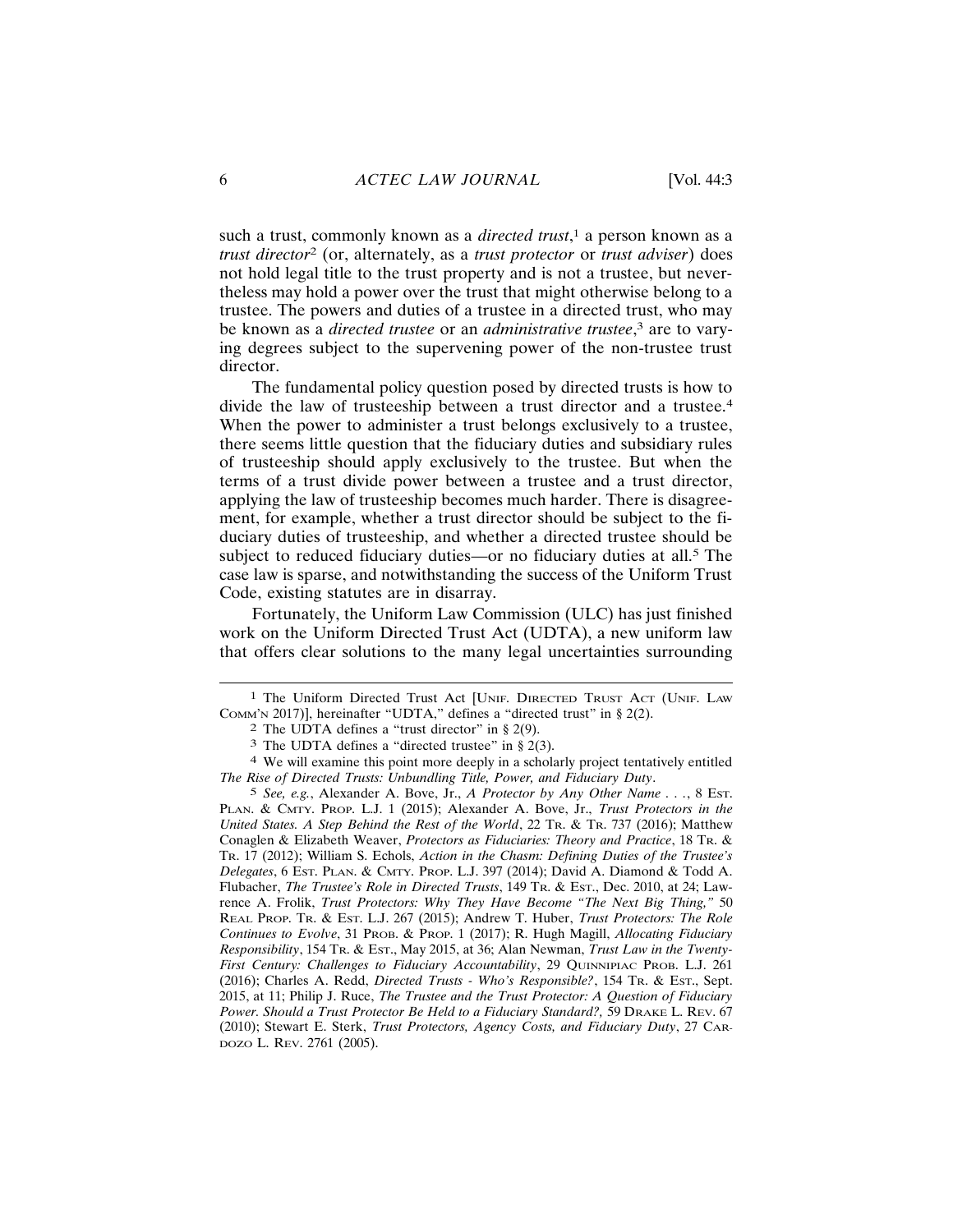such a trust, commonly known as a *directed trust*,<sup>1</sup> a person known as a trust director<sup>2</sup> (or, alternately, as a trust protector or trust adviser) does not hold legal title to the trust property and is not a trustee, but neverthe less may hold a power over the trust that might otherwise belong to a trustee. The powers and duties of a trustee in a directed trust, who may be known as a *directed trustee* or an *administrative trustee*,<sup>3</sup> are to varying degrees subject to the supervening power of the non-trustee trust director.

The fundamental policy question posed by directed trusts is how to divide the law of trusteeship between a trust director and a trustee.<sup>4</sup> When the power to administer a trust belongs exclusively to a trustee, there seems little question that the fiduciary duties and subsidiary rules of trusteeship should apply exclusively to the trustee. But when the terms of a trust divide power between a trustee and a trust director, applying the law of trusteeship becomes much harder. There is disagreement, for example, whether a trust director should be subject to the fiduciary duties of trusteeship, and whether a directed trustee should be subject to reduced fiduciary duties—or no fiduciary duties at all.<sup>5</sup> The case law is sparse, and notwithstanding the success of the Uniform Trust Code, existing statutes are in disarray.

Fortunately, the Uniform Law Commission (ULC) has just finished work on the Uniform Directed Trust Act (UDTA), a new uniform law that offers clear solutions to the many legal uncertainties surrounding

<sup>&</sup>lt;sup>1</sup> The Uniform Directed Trust Act [UNIF. DIRECTED TRUST ACT (UNIF. LAW Сомм' х 2017)], hereinafter "UDTA," defines a "directed trust" in § 2(2).

<sup>&</sup>lt;sup>2</sup> The UDTA defines a "trust director" in  $\S$  2(9).

<sup>&</sup>lt;sup>3</sup> The UDTA defines a "directed trustee" in  $\S$  2(3).

<sup>&</sup>lt;sup>4</sup> We will examine this point more deeply in a scholarly project tentatively entitled The Rise of Directed Trusts: Unbundling Title, Power, and Fiduciary Duty.

<sup>&</sup>lt;sup>5</sup> See, e.g., Alexander A. Bove, Jr., A Protector by Any Other Name . . ., 8 Est. PLAN. & CMTY. PROP. L.J. 1 (2015); Alexander A. Bove, Jr., Trust Protectors in the United States. A Step Behind the Rest of the World, 22 Tr. & Tr. 737 (2016); Matthew Conaglen & Elizabeth Weaver, Protectors as Fiduciaries: Theory and Practice, 18 Tr. & TR. 17 (2012); William S. Echols, Action in the Chasm: Defining Duties of the Trustee's Delegates, 6 Est. PLAN. & CMTY. PROP. L.J. 397 (2014); David A. Diamond & Todd A. Flubacher, The Trustee's Role in Directed Trusts, 149 TR. & Est., Dec. 2010, at 24; Lawrence A. Frolik, Trust Protectors: Why They Have Become "The Next Big Thing," 50 REAL PROP. TR. & EST. L.J. 267 (2015); Andrew T. Huber, Trust Protectors: The Role Continues to Evolve, 31 PROB. & PROP. 1 (2017); R. Hugh Magill, Allocating Fiduciary Responsibility, 154 Tr. & Est., May 2015, at 36; Alan Newman, Trust Law in the Twenty-First Century: Challenges to Fiduciary Accountability, 29 QUINNIPIAC PROB. L.J. 261 (2016); Charles A. Redd, *Directed Trusts - Who's Responsible?*, 154 Tr. & Est., Sept. 2015, at 11; Philip J. Ruce, The Trustee and the Trust Protector: A Question of Fiduciary Power. Should a Trust Protector Be Held to a Fiduciary Standard?, 59 DRAKE L. REV. 67 (2010); Stewart E. Sterk, Trust Protectors, Agency Costs, and Fiduciary Duty, 27 CAR-DOZO L. REV. 2761 (2005).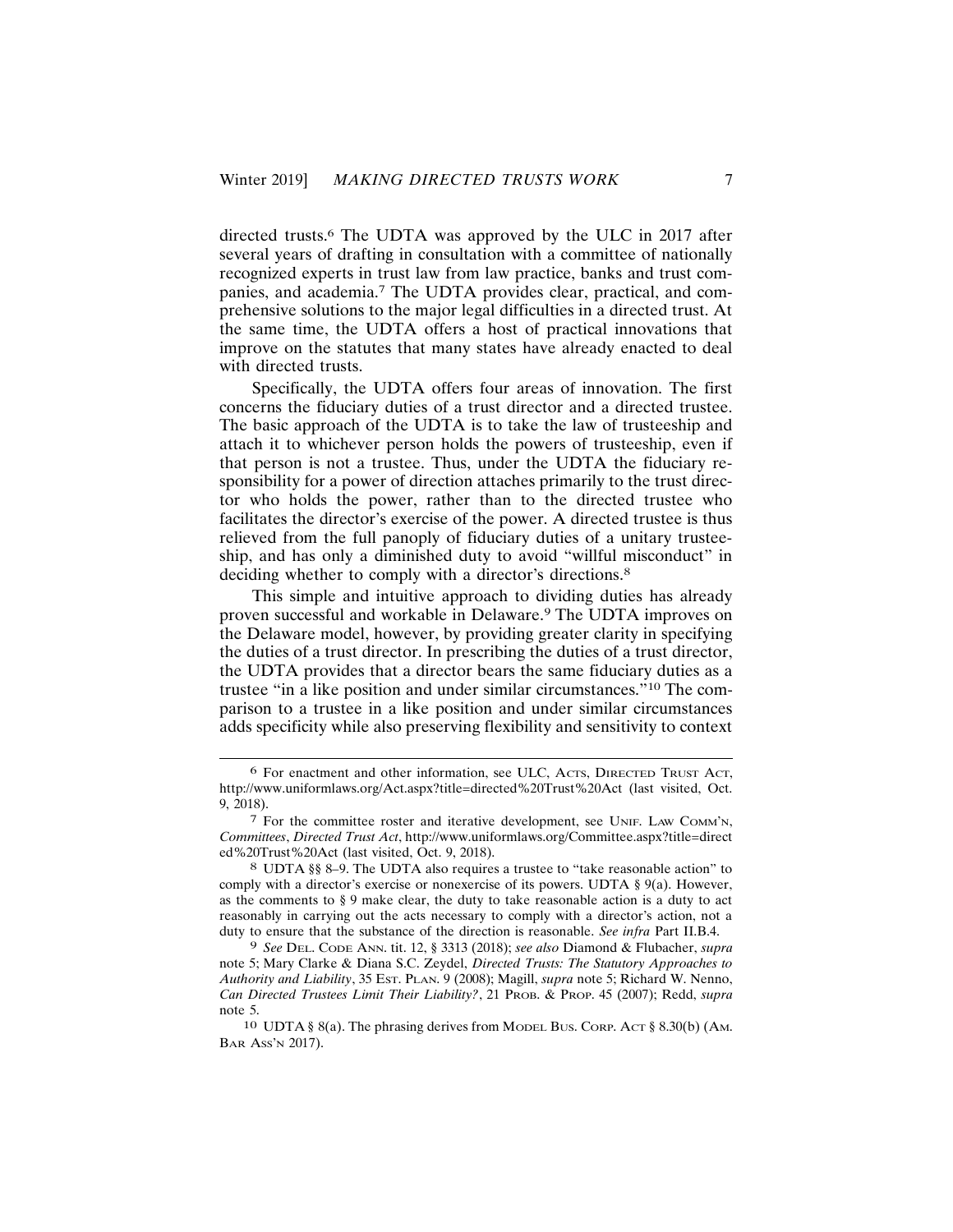directed trusts.<sup>6</sup> The UDTA was approved by the ULC in 2017 after several years of drafting in consultation with a committee of nationally recognized experts in trust law from law practice, banks and trust companies, and academia.<sup>7</sup> The UDTA provides clear, practical, and comprehensive solutions to the major legal difficulties in a directed trust. At the same time, the UDTA offers a host of practical innovations that improve on the statutes that many states have already enacted to deal with directed trusts.

Specifically, the UDTA offers four areas of innovation. The first concerns the fiduciary duties of a trust director and a directed trustee. The basic approach of the UDTA is to take the law of trusteeship and attach it to whichever person holds the powers of trusteeship, even if that person is not a trustee. Thus, under the UDTA the fiduciary responsibility for a power of direction attaches primarily to the trust director who holds the power, rather than to the directed trustee who facilitates the director's exercise of the power. A directed trustee is thus relieved from the full panoply of fiduciary duties of a unitary trusteeship, and has only a diminished duty to avoid "willful misconduct" in deciding whether to comply with a director's directions.<sup>8</sup>

This simple and intuitive approach to dividing duties has already proven successful and workable in Delaware.<sup>9</sup> The UDTA improves on the Delaware model, however, by providing greater clarity in specifying the duties of a trust director. In prescribing the duties of a trust director, the UDTA provides that a director bears the same fiduciary duties as a trustee "in a like position and under similar circumstances."<sup>10</sup> The comparison to a trustee in a like position and under similar circumstances adds specificity while also preserving flexibility and sensitivity to context

<sup>&</sup>lt;sup>6</sup> For enactment and other information, see ULC, ACTS, DIRECTED TRUST ACT, http://www.uniformlaws.org/Act.aspx?title=directed%20Trust%20Act (last visited, Oct. 9, 2018).

<sup>7</sup> For the committee roster and iterative development, see UNIF. LAW COMM'N, Committees, Directed Trust Act, http://www.uniformlaws.org/Committee.aspx?title=direct ed%20Trust%20Act (last visited, Oct. 9, 2018).

<sup>8</sup> UDTA §§ 8–9. The UDTA also requires a trustee to "take reasonable action" to comply with a director's exercise or nonexercise of its powers. UDTA  $\S$  9(a). However, as the comments to  $\S 9$  make clear, the duty to take reasonable action is a duty to act reasonably in carrying out the acts necessary to comply with a director's action, not a duty to ensure that the substance of the direction is reasonable. See infra Part II.B.4.

<sup>&</sup>lt;sup>9</sup> See DEL. CODE ANN. tit. 12, § 3313 (2018); see also Diamond & Flubacher, supra note 5; Mary Clarke & Diana S.C. Zeydel, Directed Trusts: The Statutory Approaches to Authority and Liability, 35 Est. PLAN. 9 (2008); Magill, supra note 5; Richard W. Nenno, Can Directed Trustees Limit Their Liability?, 21 PROB. & PROP. 45 (2007); Redd, supra note 5.

<sup>10</sup> UDTA § 8(a). The phrasing derives from MODEL BUS. CORP. ACT § 8.30(b) (AM. BAR Ass'N 2017).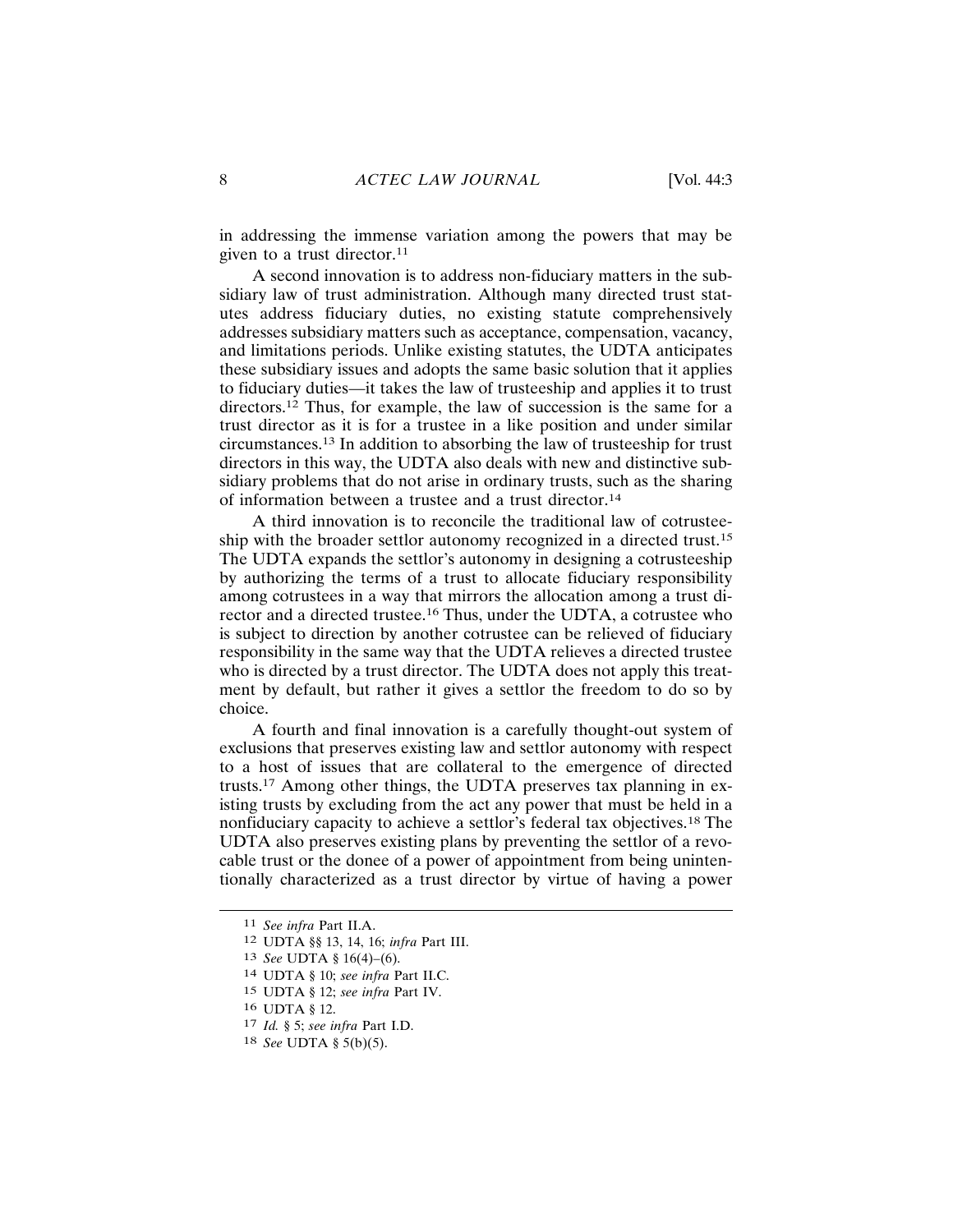in addressing the immense variation among the powers that may be given to a trust director.<sup>11</sup>

A second innovation is to address non-fiduciary matters in the subsidiary law of trust administration. Although many directed trust statutes address fiduciary duties, no existing statute comprehensively addresses subsidiary matters such as acceptance, compensation, vacancy, and limitations periods. Unlike existing statutes, the UDTA anticipates these subsidiary issues and adopts the same basic solution that it applies to fiduciary duties—it takes the law of trusteeship and applies it to trust directors.<sup>12</sup> Thus, for example, the law of succession is the same for a trust director as it is for a trustee in a like position and under similar circumstances.<sup>13</sup> In addition to absorbing the law of trusteeship for trust directors in this way, the UDTA also deals with new and distinctive subsidiary problems that do not arise in ordinary trusts, such as the sharing of information between a trustee and a trust director.<sup>14</sup>

A third innovation is to reconcile the traditional law of cotrusteeship with the broader settlor autonomy recognized in a directed trust.<sup>15</sup> The UDTA expands the settlor's autonomy in designing a cotrusteeship by authorizing the terms of a trust to allocate fiduciary responsibility among cotrustees in a way that mirrors the allocation among a trust director and a directed trustee.<sup>16</sup> Thus, under the UDTA, a cotrustee who is subject to direction by another cotrustee can be relieved of fiduciary responsibility in the same way that the UDTA relieves a directed trustee who is directed by a trust director. The UDTA does not apply this treatment by default, but rather it gives a settlor the freedom to do so by choice.

A fourth and final innovation is a carefully thought-out system of exclusions that preserves existing law and settlor autonomy with respect to a host of issues that are collateral to the emergence of directed trusts.<sup>17</sup> Among other things, the UDTA preserves tax planning in existing trusts by excluding from the act any power that must be held in a nonfiduciary capacity to achieve a settlor's federal tax objectives.<sup>18</sup> The UDTA also preserves existing plans by preventing the settlor of a revocable trust or the donee of a power of appointment from being unintentionally characterized as a trust director by virtue of having a power

<sup>&</sup>lt;sup>11</sup> See infra Part II.A.

<sup>12</sup> UDTA §§ 13, 14, 16; infra Part III.

<sup>13</sup> See UDTA § 16(4)-(6).

<sup>14</sup> UDTA § 10; see infra Part II.C.

<sup>15</sup> UDTA § 12; see infra Part IV.

<sup>16</sup> UDTA § 12.

 $17$  *Id.* § 5; see infra Part I.D.

<sup>18</sup> See UDTA § 5(b)(5).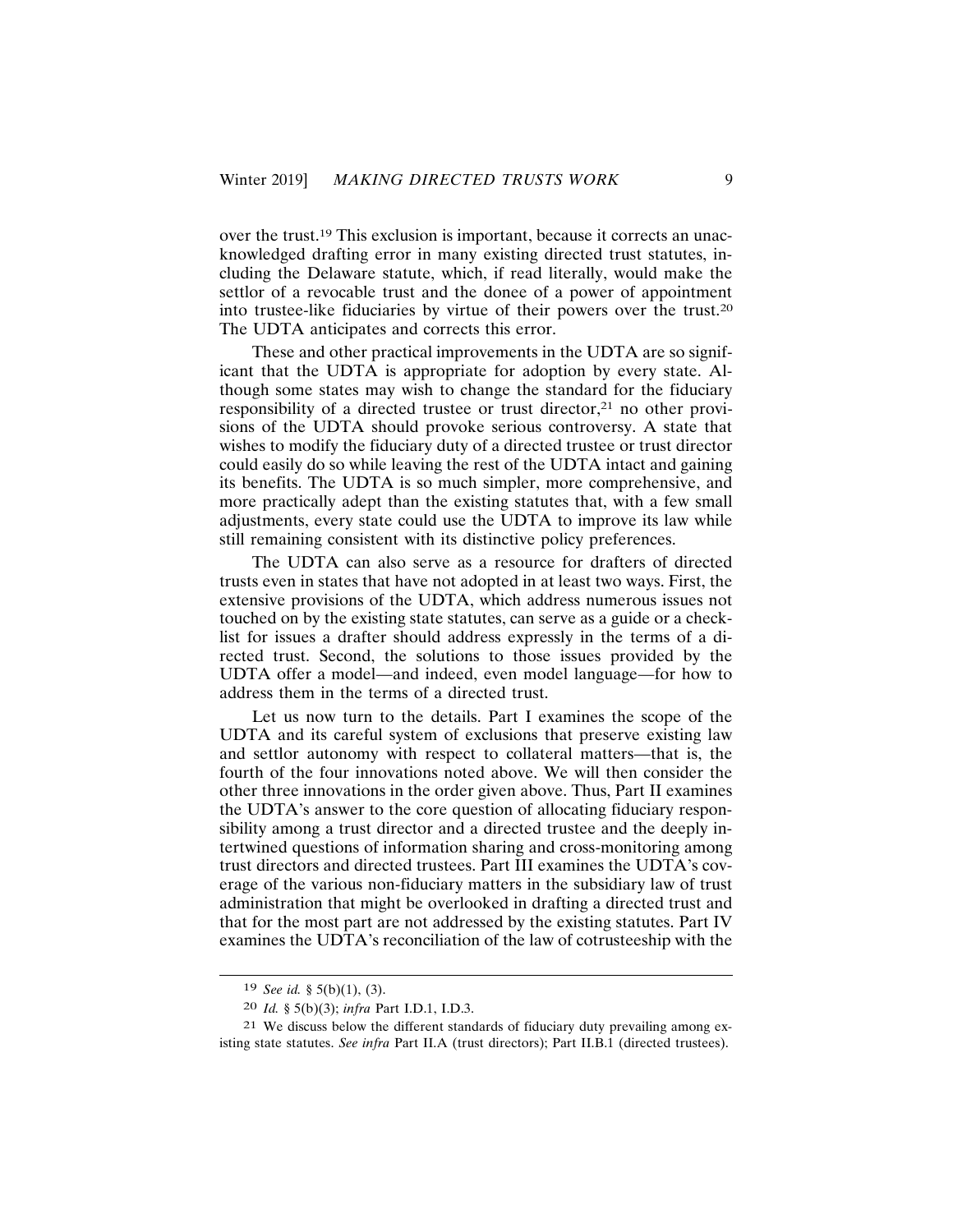over the trust.<sup>19</sup> This exclusion is important, because it corrects an unacknowledged drafting error in many existing directed trust statutes, including the Delaware statute, which, if read literally, would make the settlor of a revocable trust and the donee of a power of appointment into trustee-like fiduciaries by virtue of their powers over the trust.<sup>20</sup> The UDTA anticipates and corrects this error.

These and other practical improvements in the UDTA are so significant that the UDTA is appropriate for adoption by every state. Although some states may wish to change the standard for the fiduciary responsibility of a directed trustee or trust director,<sup>21</sup> no other provisions of the UDTA should provoke serious controversy. A state that wishes to modify the fiduciary duty of a directed trustee or trust director could easily do so while leaving the rest of the UDTA intact and gaining its benefits. The UDTA is so much simpler, more comprehensive, and more practically adept than the existing statutes that, with a few small adjustments, every state could use the UDTA to improve its law while still remaining consistent with its distinctive policy preferences.

The UDTA can also serve as a resource for drafters of directed trusts even in states that have not adopted in at least two ways. First, the extensive provisions of the UDTA, which address numerous issues not touched on by the existing state statutes, can serve as a guide or a checklist for issues a drafter should address expressly in the terms of a directed trust. Second, the solutions to those issues provided by the UDTA offer a model—and indeed, even model language—for how to address them in the terms of a directed trust.

Let us now turn to the details. Part I examines the scope of the UDTA and its careful system of exclusions that preserve existing law and settlor autonomy with respect to collateral matters—that is, the fourth of the four innovations noted above. We will then consider the other three innovations in the order given above. Thus, Part II examines the UDTA's answer to the core question of allocating fiduciary responsibility among a trust director and a directed trustee and the deeply intertwined questions of information sharing and cross-monitoring among trust directors and directed trustees. Part III examines the UDTA's coverage of the various non-fiduciary matters in the subsidiary law of trust administration that might be overlooked in drafting a directed trust and that for the most part are not addressed by the existing statutes. Part IV examines the UDTA's reconciliation of the law of cotrusteeship with the

<sup>19</sup> See id. § 5(b)(1), (3).

<sup>20</sup> Id. § 5(b)(3); infra Part I.D.1, I.D.3.

<sup>21</sup> We discuss below the different standards of fiduciary duty prevailing among existing state statutes. See infra Part II.A (trust directors); Part II.B.1 (directed trustees).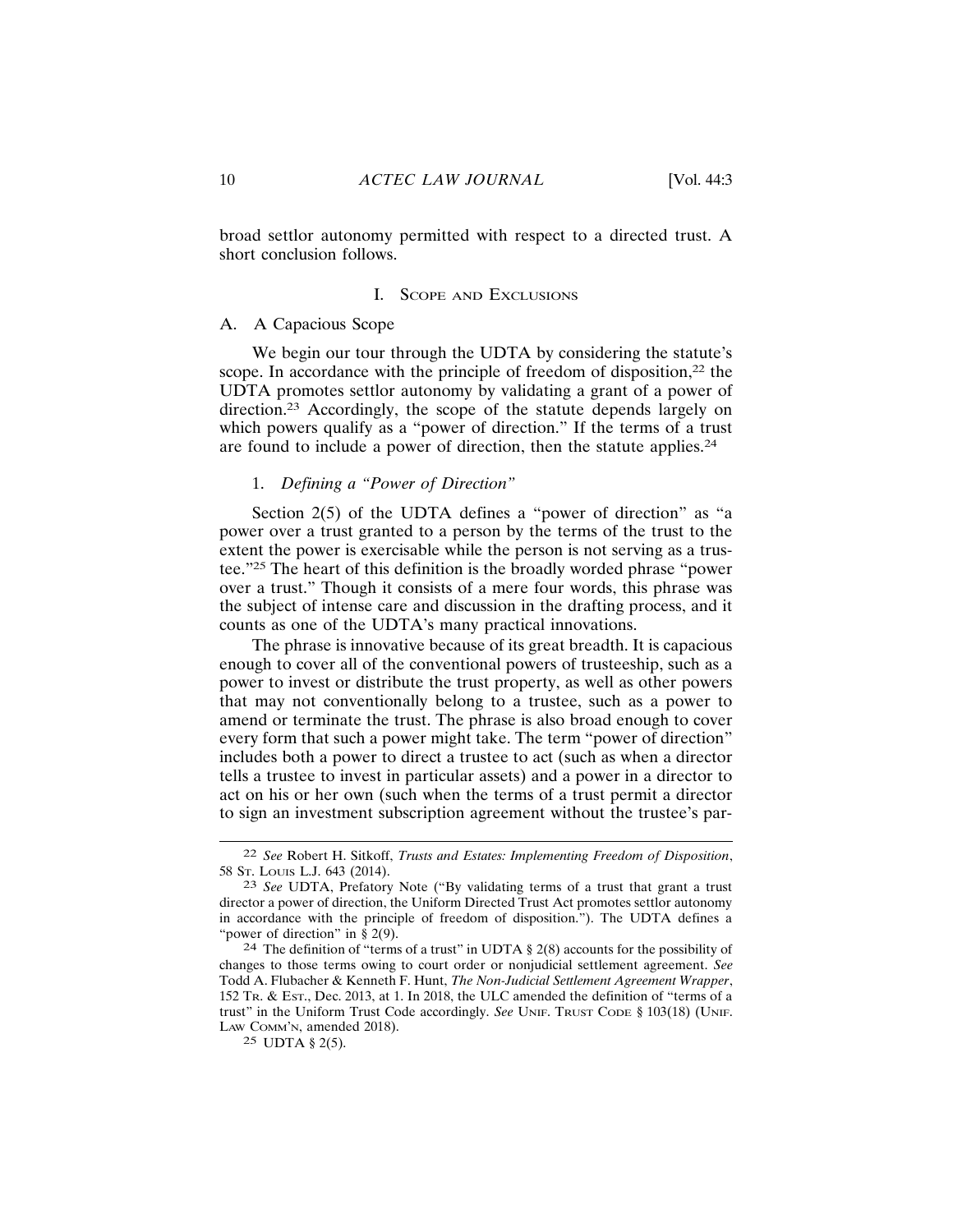broad settlor autonomy permitted with respect to a directed trust. A short conclusion follows.

#### **I.** SCOPE AND EXCLUSIONS

## A. A Capacious Scope

We begin our tour through the UDTA by considering the statute's scope. In accordance with the principle of freedom of disposition,<sup>22</sup> the UDTA promotes settlor autonomy by validating a grant of a power of direction.<sup>23</sup> Accordingly, the scope of the statute depends largely on which powers qualify as a "power of direction." If the terms of a trust are found to include a power of direction, then the statute applies.<sup>24</sup>

## 1. Defining a "Power of Direction"

Section 2(5) of the UDTA defines a "power of direction" as "a power over a trust granted to a person by the terms of the trust to the extent the power is exercisable while the person is not serving as a trustee."25 The heart of this definition is the broadly worded phrase "power over a trust." Though it consists of a mere four words, this phrase was the subject of intense care and discussion in the drafting process, and it counts as one of the UDTA's many practical innovations.

The phrase is innovative because of its great breadth. It is capacious enough to cover all of the conventional powers of trusteeship, such as a power to invest or distribute the trust property, as well as other powers that may not conventionally belong to a trustee, such as a power to amend or terminate the trust. The phrase is also broad enough to cover every form that such a power might take. The term "power of direction" includes both a power to direct a trustee to act (such as when a director tells a trustee to invest in particular assets) and a power in a director to act on his or her own (such when the terms of a trust permit a director to sign an investment subscription agreement without the trustee's par-

<sup>&</sup>lt;sup>22</sup> See Robert H. Sitkoff, Trusts and Estates: Implementing Freedom of Disposition, 58 ST. LOUIS L.J. 643 (2014).

<sup>&</sup>lt;sup>23</sup> See UDTA, Prefatory Note ("By validating terms of a trust that grant a trust director a power of direction, the Uniform Directed Trust Act promotes settlor autonomy in accordance with the principle of freedom of disposition."). The UDTA defines a "power of direction" in  $\S$  2(9).

<sup>&</sup>lt;sup>24</sup> The definition of "terms of a trust" in UDTA § 2(8) accounts for the possibility of changes to those terms owing to court order or nonjudicial settlement agreement. See Todd A. Flubacher & Kenneth F. Hunt, The Non-Judicial Settlement Agreement Wrapper, 152 Tr. & Est., Dec. 2013, at 1. In 2018, the ULC amended the definition of "terms of a trust" in the Uniform Trust Code accordingly. See UNIF. TRUST CODE § 103(18) (UNIF. LAW COMM'N, amended 2018).

<sup>25</sup> UDTA § 2(5).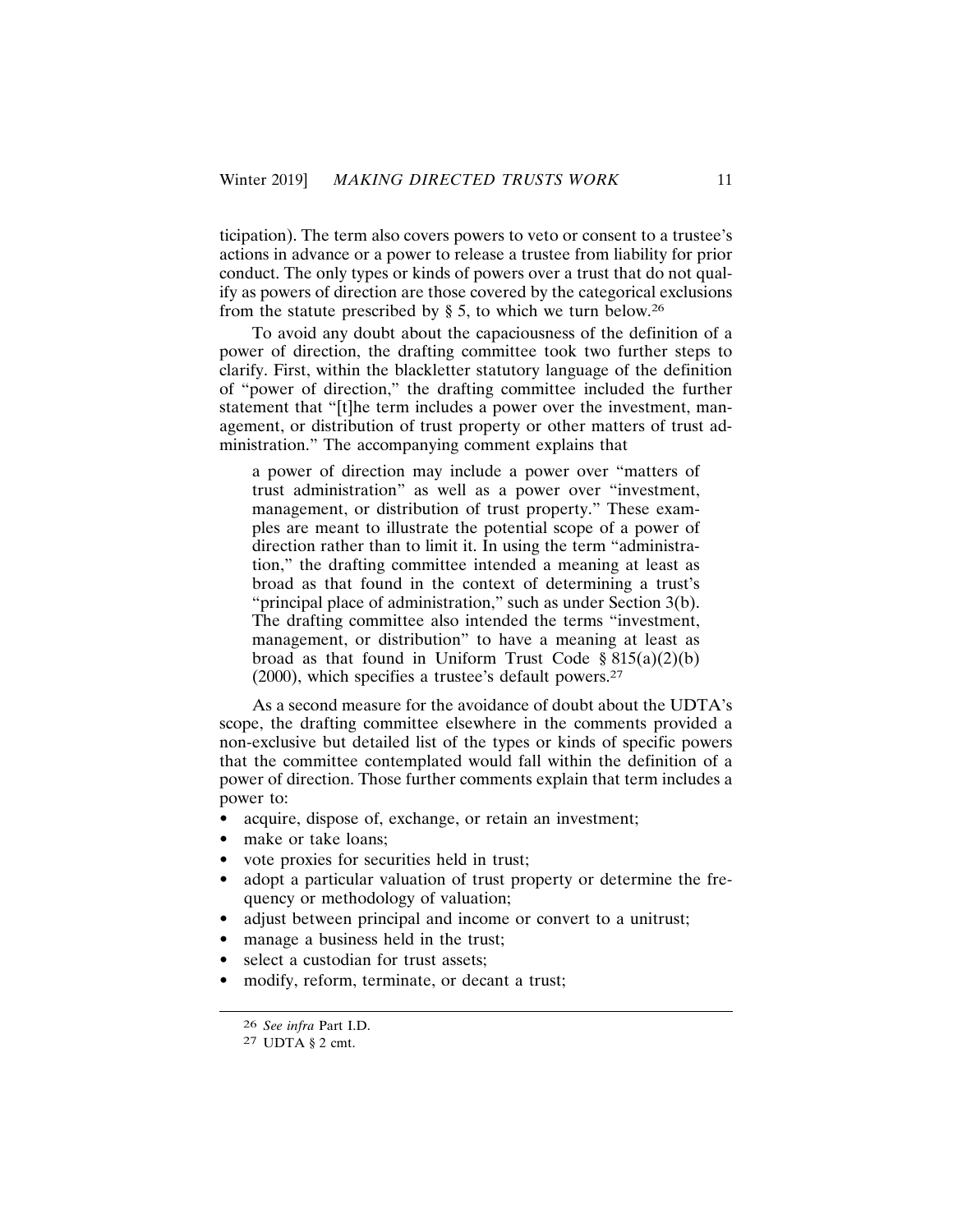ticipation). The term also covers powers to veto or consent to a trustee's actions in advance or a power to release a trustee from liability for prior conduct. The only types or kinds of powers over a trust that do not qualif as powers of direction are those covered by the categorical exclusions from the statute prescribed by  $\S$  5, to which we turn below.<sup>26</sup>

To avoid any doubt about the capaciousness of the definition of a power of direction, the drafting committee took two further steps to clarify. First, within the blackletter statutory language of the definition of "power of direction," the drafting committee included the further statement that "[t]he term includes a power over the investment, management, or distribution of trust property or other matters of trust administration." The accompanying comment explains that

a power of direction may include a power over "matters of trust administration" as well as a power over "investment, management, or distribution of trust property." These examples are meant to illustrate the potential scope of a power of direction rather than to limit it. In using the term "administration," the drafting committee intended a meaning at least as broad as that found in the context of determining a trust's "principal place of administration," such as under Section 3(b). The drafting committee also intended the terms "investment, management, or distribution" to have a meaning at least as broad as that found in Uniform Trust Code  $\S 815(a)(2)(b)$  $(2000)$ , which specifies a trustee's default powers.<sup>27</sup>

As a second measure for the avoidance of doubt about the UDTA's scope, the drafting committee elsewhere in the comments provided a non-exclusive but detailed list of the types or kinds of specific powers that the committee contemplated would fall within the definition of a power of direction. Those further comments explain that term includes a power to:

- $\bullet$ acquire, dispose of, exchange, or retain an investment;
- make or take loans;
- vote proxies for securities held in trust;
- $\bullet$ adopt a particular valuation of trust property or determine the frequency or methodology of valuation;
- adjust between principal and income or convert to a unitrust;
- manage a business held in the trust;
- select a custodian for trust assets;
- modify, reform, terminate, or decant a trust;

<sup>26</sup> See infra Part I.D.

<sup>27</sup> UDTA § 2 cmt.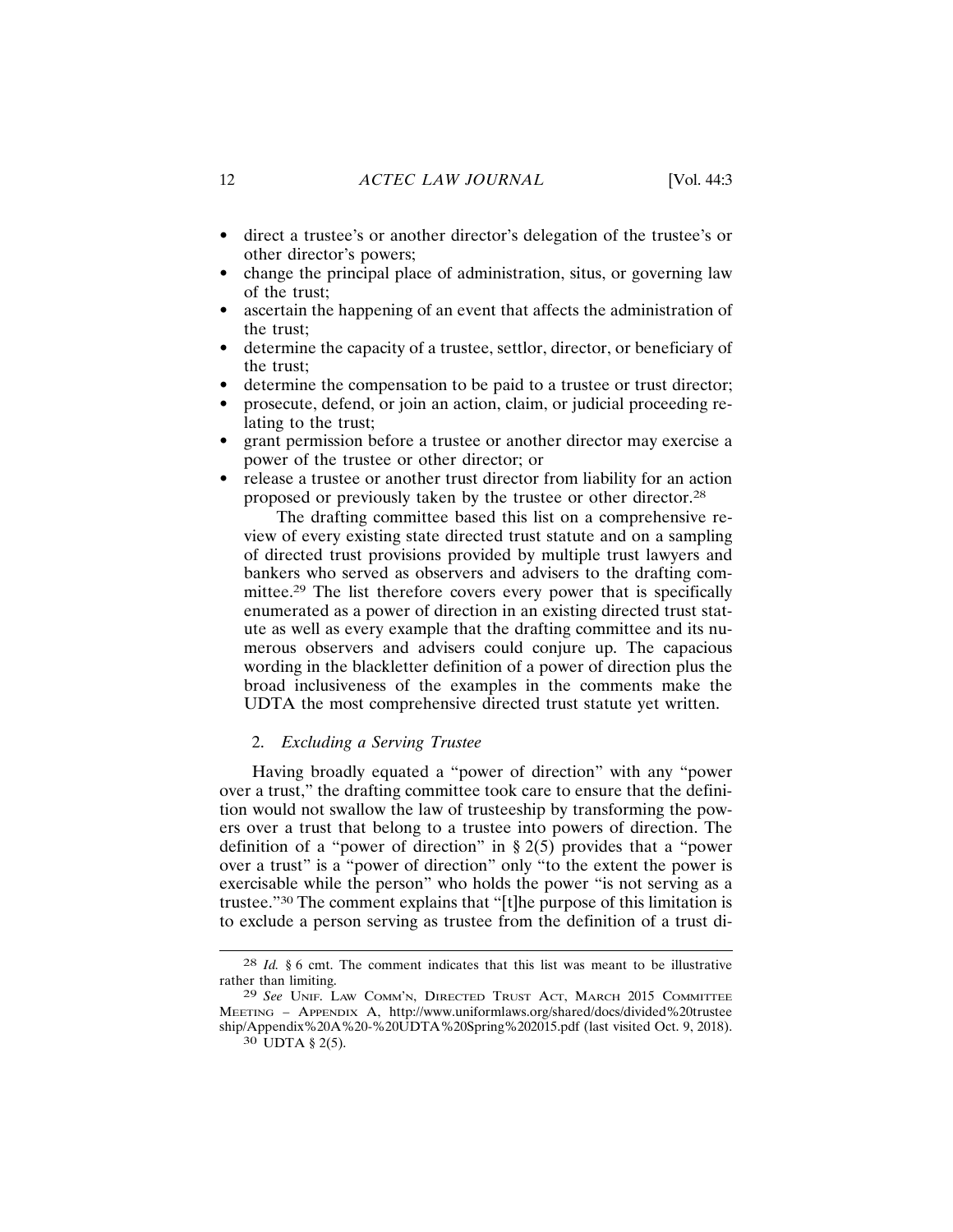- direct a trustee's or another director's delegation of the trustee's or other director's powers;
- change the principal place of administration, situs, or governing law of the trust:
- ascertain the happening of an event that affects the administration of  $\bullet$ the trust:
- determine the capacity of a trustee, settlor, director, or beneficiary of  $\bullet$ the trust:
- determine the compensation to be paid to a trustee or trust director;
- prosecute, defend, or join an action, claim, or judicial proceeding relating to the trust:
- grant permission before a trustee or another director may exercise a power of the trustee or other director; or
- release a trustee or another trust director from liability for an action proposed or previously taken by the trustee or other director.<sup>28</sup>

The drafting committee based this list on a comprehensive review of every existing state directed trust statute and on a sampling of directed trust provisions provided by multiple trust lawyers and bankers who served as observers and advisers to the drafting committee.<sup>29</sup> The list therefore covers every power that is specifically enumerated as a power of direction in an existing directed trust statute as well as every example that the drafting committee and its numerous observers and advisers could conjure up. The capacious wording in the blackletter definition of a power of direction plus the broad inclusiveness of the examples in the comments make the UDTA the most comprehensive directed trust statute yet written.

#### 2. Excluding a Serving Trustee

Having broadly equated a "power of direction" with any "power over a trust," the drafting committee took care to ensure that the definition would not swallow the law of trusteeship by transforming the powers over a trust that belong to a trustee into powers of direction. The definition of a "power of direction" in  $\S 2(5)$  provides that a "power over a trust" is a "power of direction" only "to the extent the power is exercisable while the person" who holds the power "is not serving as a trustee."<sup>30</sup> The comment explains that "[t]he purpose of this limitation is to exclude a person serving as trustee from the definition of a trust di-

 $28$  *Id.* § 6 cmt. The comment indicates that this list was meant to be illustrative rather than limiting.

<sup>&</sup>lt;sup>29</sup> See UNIF. LAW COMM'N, DIRECTED TRUST ACT, MARCH 2015 COMMITTEE MEETING - APPENDIX A, http://www.uniformlaws.org/shared/docs/divided%20trustee ship/Appendix%20A%20-%20UDTA%20Spring%202015.pdf (last visited Oct. 9, 2018). 30 UDTA § 2(5).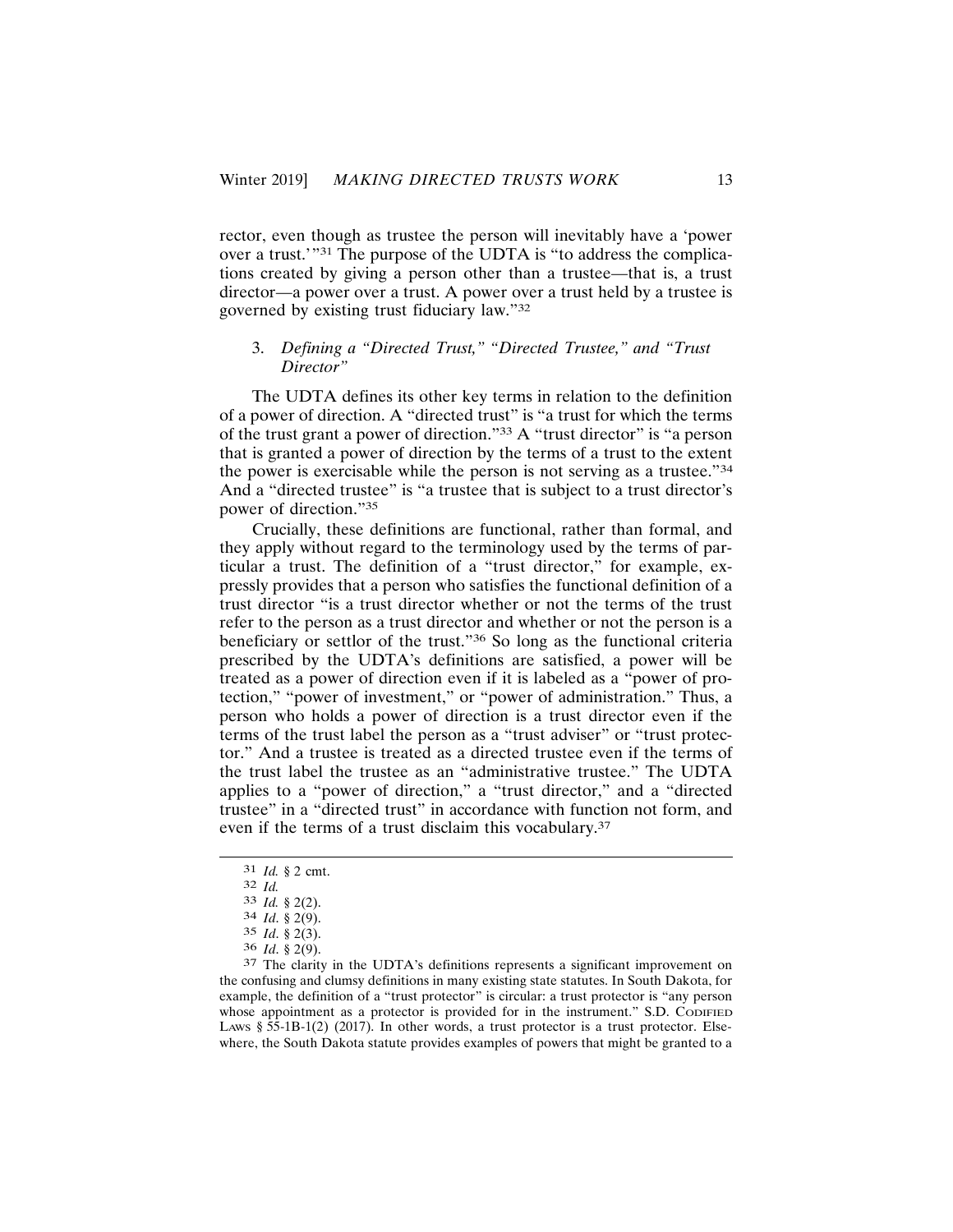rector, even though as trustee the person will inevitably have a 'power over a trust."<sup>31</sup> The purpose of the UDTA is "to address the complications created by giving a person other than a trustee—that is, a trust director—a power over a trust. A power over a trust held by a trustee is governed by existing trust fiduciary law."32

## 3. Defining a "Directed Trust," "Directed Trustee," and "Trust Director"

The UDTA defines its other key terms in relation to the definition of a power of direction. A "directed trust" is "a trust for which the terms of the trust grant a power of direction."33 A "trust director" is "a person that is granted a power of direction by the terms of a trust to the extent the power is exercisable while the person is not serving as a trustee."34 And a "directed trustee" is "a trustee that is subject to a trust director's power of direction."35

Crucially, these definitions are functional, rather than formal, and they apply without regard to the terminology used by the terms of particular a trust. The definition of a "trust director," for example, expressly provides that a person who satisfies the functional definition of a trust director "is a trust director whether or not the terms of the trust refer to the person as a trust director and whether or not the person is a beneficiary or settlor of the trust."36 So long as the functional criteria prescribed by the UDTA's definitions are satisfied, a power will be treated as a power of direction even if it is labeled as a "power of protection," "power of investment," or "power of administration." Thus, a person who holds a power of direction is a trust director even if the terms of the trust label the person as a "trust adviser" or "trust protector." And a trustee is treated as a directed trustee even if the terms of the trust label the trustee as an "administrative trustee." The UDTA applies to a "power of direction," a "trust director," and a "directed trustee" in a "directed trust" in accordance with function not form, and even if the terms of a trust disclaim this vocabulary.<sup>37</sup>

 $31$  *Id.* § 2 cmt.

 $32$  *Id.* 

 $33$  *Id.* § 2(2).

<sup>34</sup> Id. § 2(9).

 $35$  *Id.* § 2(3).

 $36$  *Id.* § 2(9).

<sup>37</sup> The clarity in the UDTA's definitions represents a significant improvement on the confusing and clumsy definitions in many existing state statutes. In South Dakota, for example, the definition of a "trust protector" is circular: a trust protector is "any person whose appointment as a protector is provided for in the instrument." S.D. CODIFIED LAWS  $\S$  55-1B-1(2) (2017). In other words, a trust protector is a trust protector. Elsewhere, the South Dakota statute provides examples of powers that might be granted to a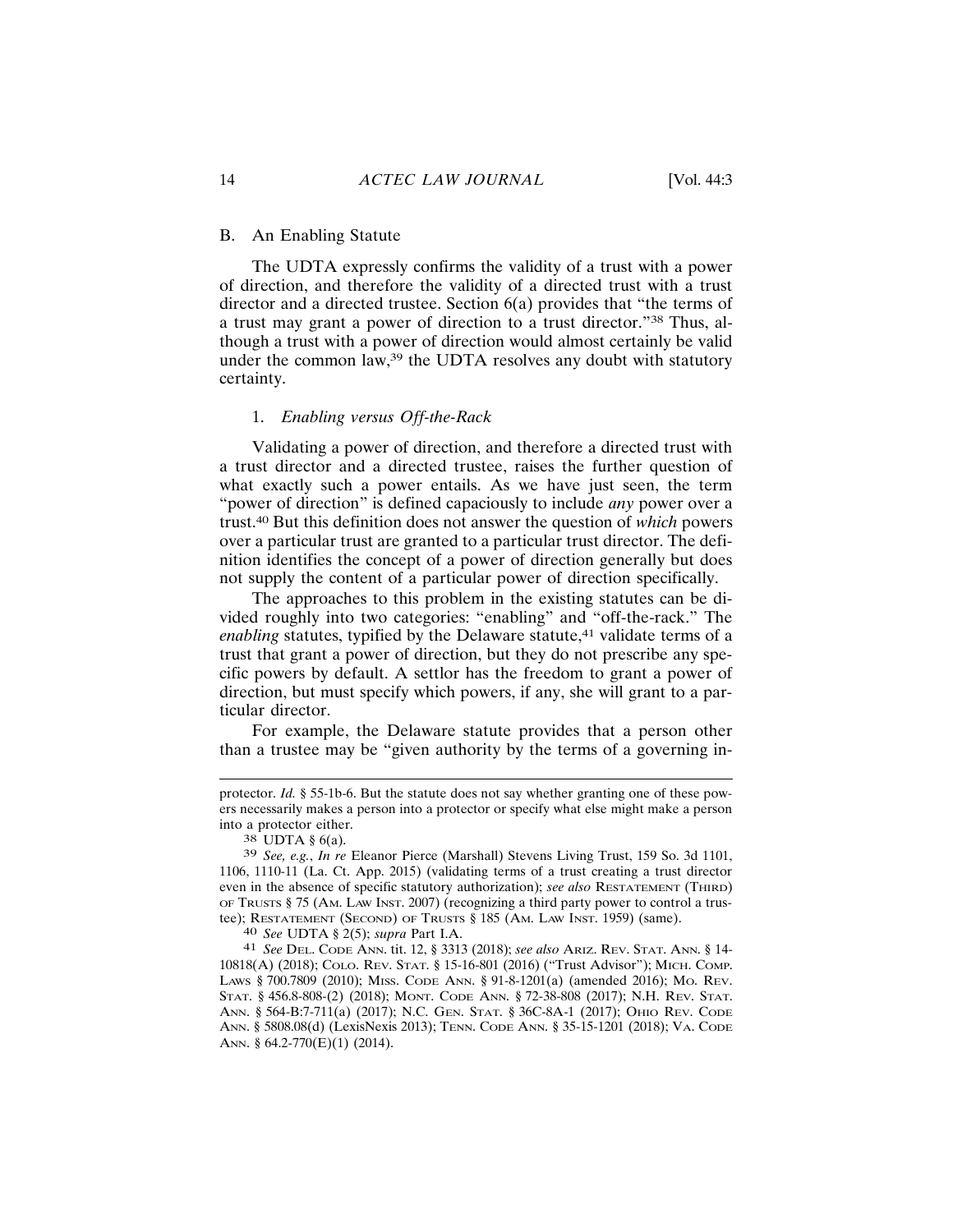#### **B.** An Enabling Statute

The UDTA expressly confirms the validity of a trust with a power of direction, and therefore the validity of a directed trust with a trust director and a directed trustee. Section  $6(a)$  provides that "the terms of a trust may grant a power of direction to a trust director."<sup>38</sup> Thus, although a trust with a power of direction would almost certainly be valid under the common law,<sup>39</sup> the UDTA resolves any doubt with statutory certainty.

#### 1. Enabling versus Off-the-Rack

Validating a power of direction, and therefore a directed trust with a trust director and a directed trustee, raises the further question of what exactly such a power entails. As we have just seen, the term "power of direction" is defined capaciously to include *any* power over a trust.<sup>40</sup> But this definition does not answer the question of *which* powers over a particular trust are granted to a particular trust director. The definition identifies the concept of a power of direction generally but does not supply the content of a particular power of direction specifically.

The approaches to this problem in the existing statutes can be divided roughly into two categories: "enabling" and "off-the-rack." The *enabling* statutes, typified by the Delaware statute,<sup>41</sup> validate terms of a trust that grant a power of direction, but they do not prescribe any specific powers by default. A settlor has the freedom to grant a power of direction, but must specify which powers, if any, she will grant to a particular director.

For example, the Delaware statute provides that a person other than a trustee may be "given authority by the terms of a governing in-

40 See UDTA § 2(5); supra Part I.A.

41 See DEL. CODE ANN. tit. 12, § 3313 (2018); see also ARIZ. REV. STAT. ANN. § 14-10818(A) (2018); COLO. REV. STAT. § 15-16-801 (2016) ("Trust Advisor"); MICH. COMP. LAWS § 700.7809 (2010); MISS. CODE ANN. § 91-8-1201(a) (amended 2016); MO. REV. STAT. § 456.8-808-(2) (2018); MONT. CODE ANN. § 72-38-808 (2017); N.H. REV. STAT. ANN. § 564-B:7-711(a) (2017); N.C. GEN. STAT. § 36C-8A-1 (2017); OHIO REV. CODE ANN. § 5808.08(d) (LexisNexis 2013); TENN. CODE ANN. § 35-15-1201 (2018); VA. CODE ANN. § 64.2-770(E)(1) (2014).

protector. Id. § 55-1b-6. But the statute does not say whether granting one of these powers necessarily makes a person into a protector or specify what else might make a person into a protector either.

<sup>38</sup> UDTA § 6(a).

<sup>&</sup>lt;sup>39</sup> See, e.g., In re Eleanor Pierce (Marshall) Stevens Living Trust, 159 So. 3d 1101, 1106, 1110-11 (La. Ct. App. 2015) (validating terms of a trust creating a trust director even in the absence of specific statutory authorization); see also RESTATEMENT (THIRD) OF TRUSTS  $\S$  75 (AM. LAW INST. 2007) (recognizing a third party power to control a trustee); RESTATEMENT (SECOND) OF TRUSTS § 185 (Ам. LAW INST. 1959) (same).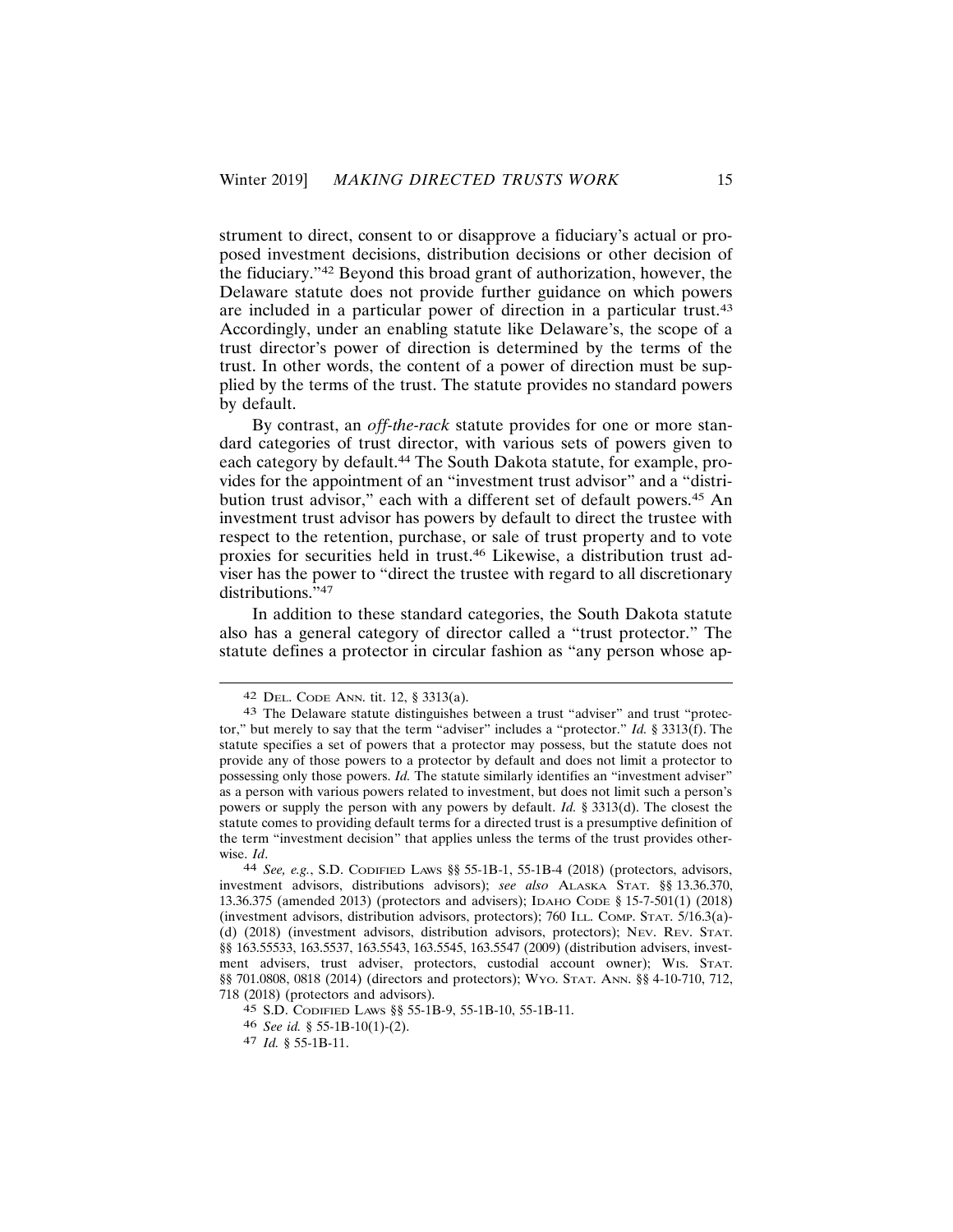strument to direct, consent to or disapprove a fiduciary's actual or proposed investment decisions, distribution decisions or other decision of the fiduciary."<sup>42</sup> Beyond this broad grant of authorization, however, the Delaware statute does not provide further guidance on which powers are included in a particular power of direction in a particular trust.<sup>43</sup> Accordingly, under an enabling statute like Delaware's, the scope of a trust director's power of direction is determined by the terms of the trust. In other words, the content of a power of direction must be supplied by the terms of the trust. The statute provides no standard powers by default.

By contrast, an off-the-rack statute provides for one or more standard categories of trust director, with various sets of powers given to each category by default.<sup>44</sup> The South Dakota statute, for example, provides for the appointment of an "investment trust advisor" and a "distribution trust advisor," each with a different set of default powers.<sup>45</sup> An investment trust advisor has powers by default to direct the trustee with respect to the retention, purchase, or sale of trust property and to vote proxies for securities held in trust.<sup>46</sup> Likewise, a distribution trust adviser has the power to "direct the trustee with regard to all discretionary distributions. $\overline{5}$ <sup>147</sup>

In addition to these standard categories, the South Dakota statute also has a general category of director called a "trust protector." The statute defines a protector in circular fashion as "any person whose ap-

<sup>&</sup>lt;sup>42</sup> DEL. CODE ANN. tit. 12, § 3313(a).

<sup>43</sup> The Delaware statute distinguishes between a trust "adviser" and trust "protector," but merely to say that the term "adviser" includes a "protector." Id. § 3313(f). The statute specifies a set of powers that a protector may possess, but the statute does not provide any of those powers to a protector by default and does not limit a protector to possessing only those powers. *Id.* The statute similarly identifies an "investment adviser" as a person with various powers related to investment, but does not limit such a person's powers or supply the person with any powers by default. *Id.* § 3313(d). The closest the statute comes to providing default terms for a directed trust is a presumptive definition of the term "investment decision" that applies unless the terms of the trust provides otherwise. Id.

<sup>44</sup> See, e.g., S.D. CODIFIED LAWS §§ 55-1B-1, 55-1B-4 (2018) (protectors, advisors, investment advisors, distributions advisors); see also ALASKA STAT. §§ 13.36.370, 13.36.375 (amended 2013) (protectors and advisers); IDAHO CODE § 15-7-501(1) (2018) (investment advisors, distribution advisors, protectors); 760 ILL. COMP. STAT. 5/16.3(a)-(d) (2018) (investment advisors, distribution advisors, protectors); NEV. REV. STAT. §§ 163.55533, 163.5537, 163.5543, 163.5545, 163.5547 (2009) (distribution advisers, investment advisers, trust adviser, protectors, custodial account owner); WIS. STAT. §§ 701.0808, 0818 (2014) (directors and protectors); WYO. STAT. ANN. §§ 4-10-710, 712, 718 (2018) (protectors and advisors).

<sup>45</sup> S.D. CODIFIED LAWS § 55-1B-9, 55-1B-10, 55-1B-11.

<sup>46</sup> See id. § 55-1B-10(1)-(2).

<sup>47</sup> Id. § 55-1B-11.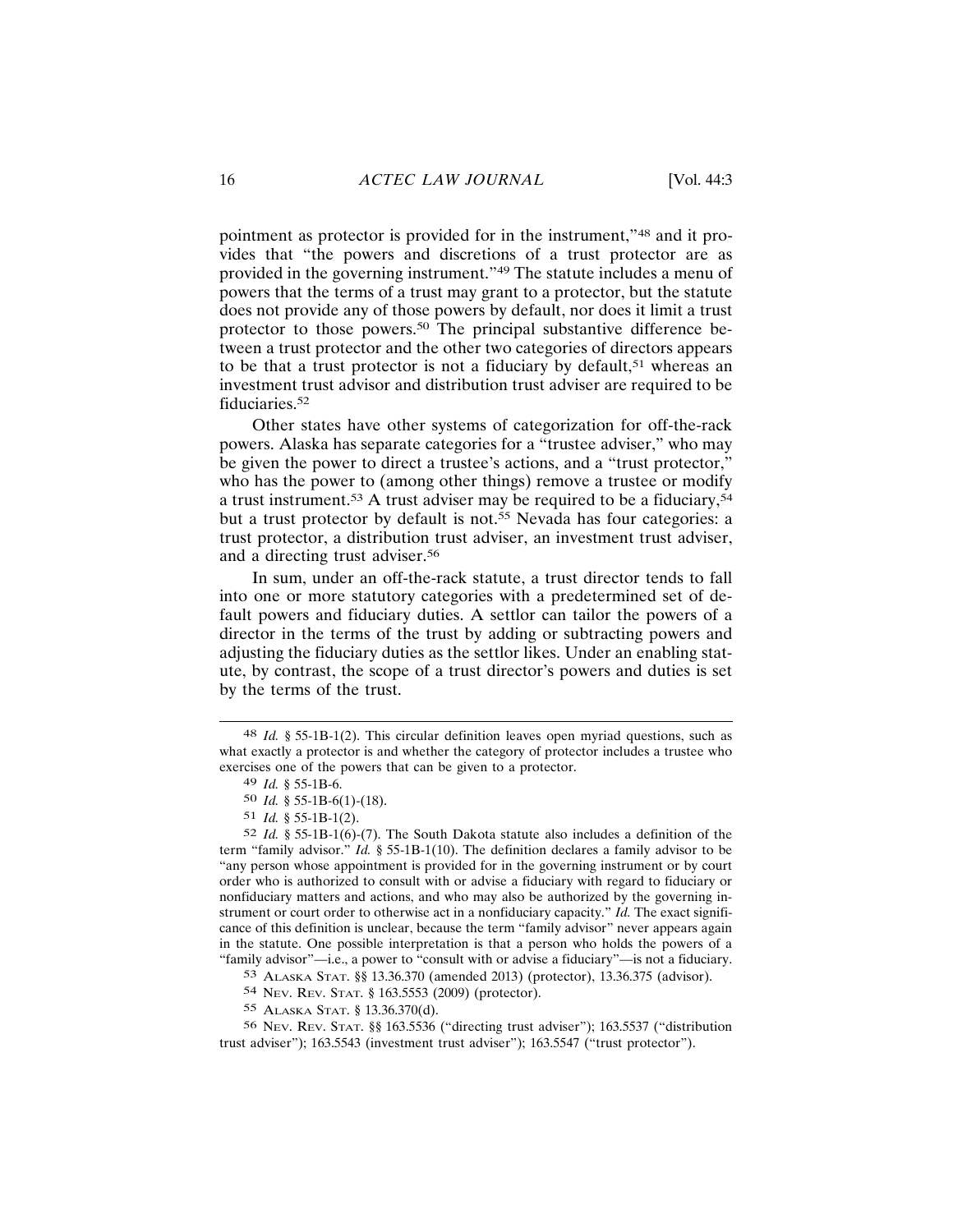pointment as protector is provided for in the instrument,"48 and it provides that "the powers and discretions of a trust protector are as provided in the governing instrument."49 The statute includes a menu of powers that the terms of a trust may grant to a protector, but the statute does not provide any of those powers by default, nor does it limit a trust protector to those powers.<sup>50</sup> The principal substantive difference between a trust protector and the other two categories of directors appears to be that a trust protector is not a fiduciary by default,<sup>51</sup> whereas an investment trust advisor and distribution trust adviser are required to be fiduciaries.<sup>52</sup>

Other states have other systems of categorization for off-the-rack powers. Alaska has separate categories for a "trustee adviser," who may be given the power to direct a trustee's actions, and a "trust protector," who has the power to (among other things) remove a trustee or modify a trust instrument.<sup>53</sup> A trust adviser may be required to be a fiduciary,<sup>54</sup> but a trust protector by default is not.<sup>55</sup> Nevada has four categories: a trust protector, a distribution trust adviser, an investment trust adviser, and a directing trust adviser.<sup>56</sup>

In sum, under an off-the-rack statute, a trust director tends to fall into one or more statutory categories with a predetermined set of default powers and fiduciary duties. A settlor can tailor the powers of a director in the terms of the trust by adding or subtracting powers and adjusting the fiduciary duties as the settlor likes. Under an enabling statute, by contrast, the scope of a trust director's powers and duties is set by the terms of the trust.

55 ALASKA STAT. § 13.36.370(d).

 $48$  *Id.* § 55-1B-1(2). This circular definition leaves open myriad questions, such as what exactly a protector is and whether the category of protector includes a trustee who exercises one of the powers that can be given to a protector.

<sup>49</sup> Id.  $§$  55-1B-6.

<sup>50</sup> *Id.* § 55-1B-6(1)-(18).

 $51$  *Id.* § 55-1B-1(2).

<sup>52</sup> *Id.* § 55-1B-1(6)-(7). The South Dakota statute also includes a definition of the term "family advisor." *Id.*  $\frac{1}{2}$  55-1B-1(10). The definition declares a family advisor to be "any person whose appointment is provided for in the governing instrument or by court order who is authorized to consult with or advise a fiduciary with regard to fiduciary or nonfiduciary matters and actions, and who may also be authorized by the governing instrument or court order to otherwise act in a nonfiduciary capacity." Id. The exact significance of this definition is unclear, because the term "family advisor" never appears again in the statute. One possible interpretation is that a person who holds the powers of a "family advisor"—i.e., a power to "consult with or advise a fiduciary"—is not a fiduciary.

<sup>53</sup> ALASKA STAT. §§ 13.36.370 (amended 2013) (protector), 13.36.375 (advisor).

<sup>54</sup> Nev. Rev. STAT. § 163.5553 (2009) (protector).

<sup>56</sup> Nev. Rev. STAT. §§ 163.5536 ("directing trust adviser"); 163.5537 ("distribution trust adviser"); 163.5543 (investment trust adviser"); 163.5547 ("trust protector").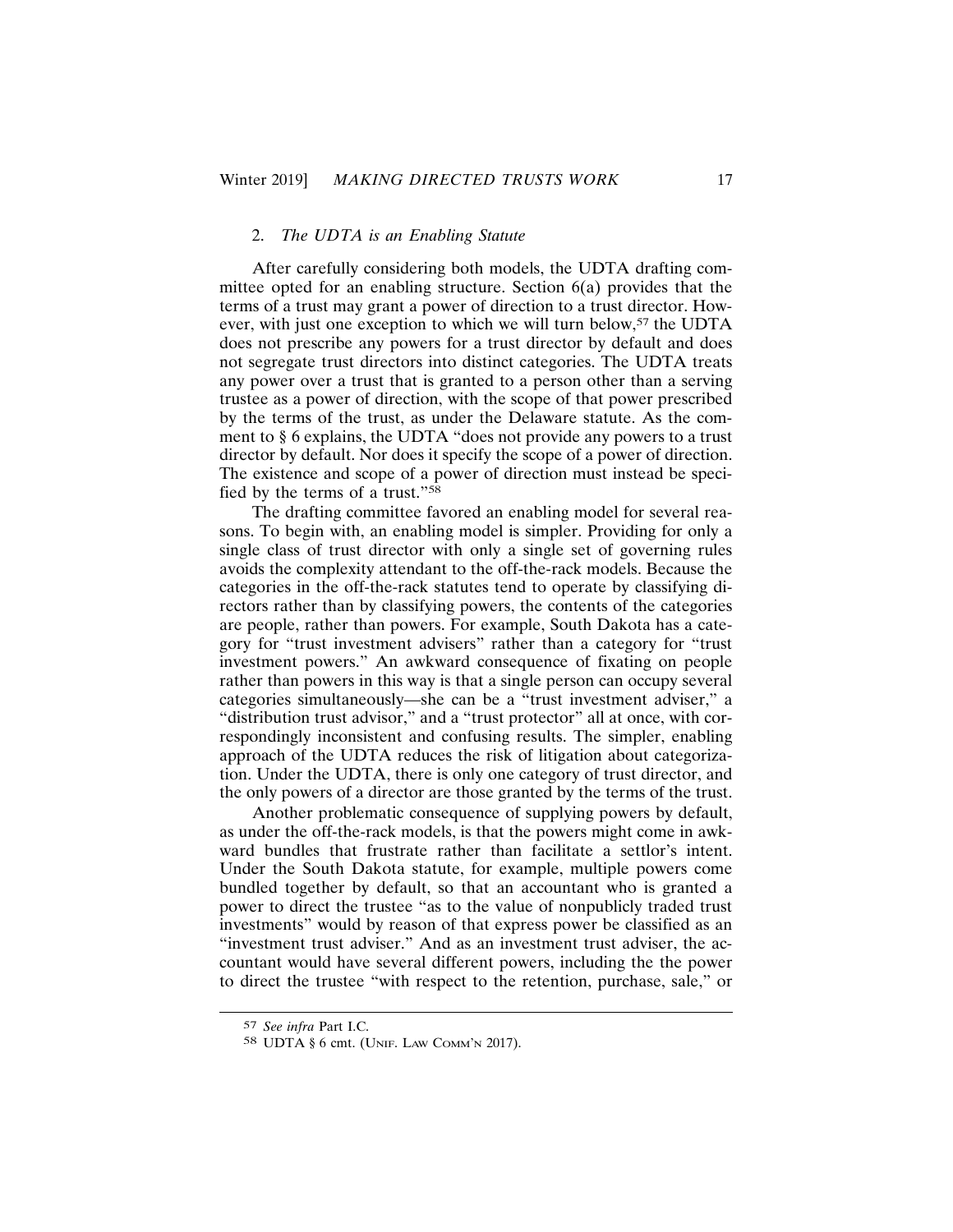## 2. The UDTA is an Enabling Statute

After carefully considering both models, the UDTA drafting committee opted for an enabling structure. Section  $6(a)$  provides that the terms of a trust may grant a power of direction to a trust director. However, with just one exception to which we will turn below,<sup>57</sup> the UDTA does not prescribe any powers for a trust director by default and does not segregate trust directors into distinct categories. The UDTA treats any power over a trust that is granted to a person other than a serving trustee as a power of direction, with the scope of that power prescribed by the terms of the trust, as under the Delaware statute. As the comment to § 6 explains, the UDTA "does not provide any powers to a trust director by default. Nor does it specify the scope of a power of direction. The existence and scope of a power of direction must instead be specified by the terms of a trust."<sup>58</sup>

The drafting committee favored an enabling model for several reasons. To begin with, an enabling model is simpler. Providing for only a single class of trust director with only a single set of governing rules avoids the complexity attendant to the off-the-rack models. Because the categories in the off-the-rack statutes tend to operate by classifying directors rather than by classifying powers, the contents of the categories are people, rather than powers. For example, South Dakota has a category for "trust investment advisers" rather than a category for "trust" investment powers." An awkward consequence of fixating on people rather than powers in this way is that a single person can occupy several categories simultaneously—she can be a "trust investment adviser," a "distribution trust advisor," and a "trust protector" all at once, with correspondingly inconsistent and confusing results. The simpler, enabling approach of the UDTA reduces the risk of litigation about categorization. Under the UDTA, there is only one category of trust director, and the only powers of a director are those granted by the terms of the trust.

Another problematic consequence of supplying powers by default, as under the off-the-rack models, is that the powers might come in awkward bundles that frustrate rather than facilitate a settlor's intent. Under the South Dakota statute, for example, multiple powers come bundled together by default, so that an accountant who is granted a power to direct the trustee "as to the value of nonpublicly traded trust investments" would by reason of that express power be classified as an "investment trust adviser." And as an investment trust adviser, the accountant would have several different powers, including the the power to direct the trustee "with respect to the retention, purchase, sale," or

<sup>57</sup> See infra Part I.C.

<sup>58</sup> UDTA § 6 cmt. (UNIF. LAW COMM'N 2017).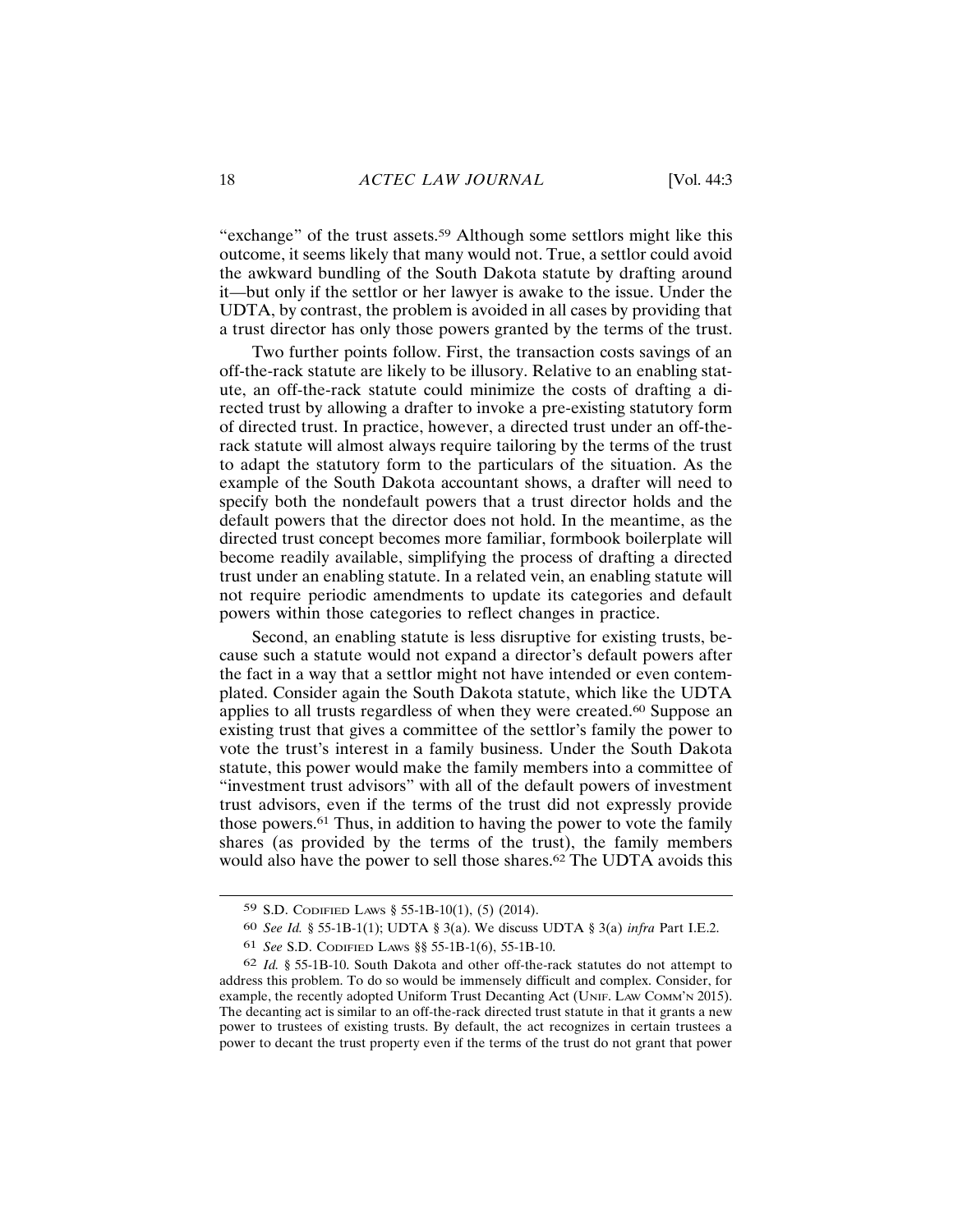"exchange" of the trust assets.<sup>59</sup> Although some settlors might like this outcome, it seems likely that many would not. True, a settlor could avoid the awkward bundling of the South Dakota statute by drafting around it—but only if the settlor or her lawyer is awake to the issue. Under the UDTA, by contrast, the problem is avoided in all cases by providing that a trust director has only those powers granted by the terms of the trust.

Two further points follow. First, the transaction costs savings of an off-the-rack statute are likely to be illusory. Relative to an enabling statute, an off-the-rack statute could minimize the costs of drafting a directed trust by allowing a drafter to invoke a pre-existing statutory form of directed trust. In practice, however, a directed trust under an off-therack statute will almost always require tailoring by the terms of the trust to adapt the statutory form to the particulars of the situation. As the example of the South Dakota accountant shows, a drafter will need to specify both the nondefault powers that a trust director holds and the default powers that the director does not hold. In the meantime, as the directed trust concept becomes more familiar, formbook boilerplate will become readily available, simplifying the process of drafting a directed trust under an enabling statute. In a related vein, an enabling statute will not require periodic amendments to update its categories and default powers within those categories to reflect changes in practice.

Second, an enabling statute is less disruptive for existing trusts, because such a statute would not expand a director's default powers after the fact in a way that a settlor might not have intended or even contemplated. Consider again the South Dakota statute, which like the UDTA applies to all trusts regardless of when they were created.<sup>60</sup> Suppose an existing trust that gives a committee of the settlor's family the power to vote the trust's interest in a family business. Under the South Dakota statute, this power would make the family members into a committee of "investment trust advisors" with all of the default powers of investment trust advisors, even if the terms of the trust did not expressly provide those powers.<sup>61</sup> Thus, in addition to having the power to vote the family shares (as provided by the terms of the trust), the family members would also have the power to sell those shares.<sup>62</sup> The UDTA avoids this

<sup>59</sup> S.D. CODIFIED LAWS  $\S$  55-1B-10(1), (5) (2014).

<sup>60</sup> See Id. § 55-1B-1(1); UDTA § 3(a). We discuss UDTA § 3(a) infra Part I.E.2.

<sup>61</sup> See S.D. CODIFIED LAWS §§ 55-1B-1(6), 55-1B-10.

<sup>62</sup> Id. § 55-1B-10. South Dakota and other off-the-rack statutes do not attempt to address this problem. To do so would be immensely difficult and complex. Consider, for example, the recently adopted Uniform Trust Decanting Act (UNIF. LAW COMM'N 2015). The decanting act is similar to an off-the-rack directed trust statute in that it grants a new power to trustees of existing trusts. By default, the act recognizes in certain trustees a power to decant the trust property even if the terms of the trust do not grant that power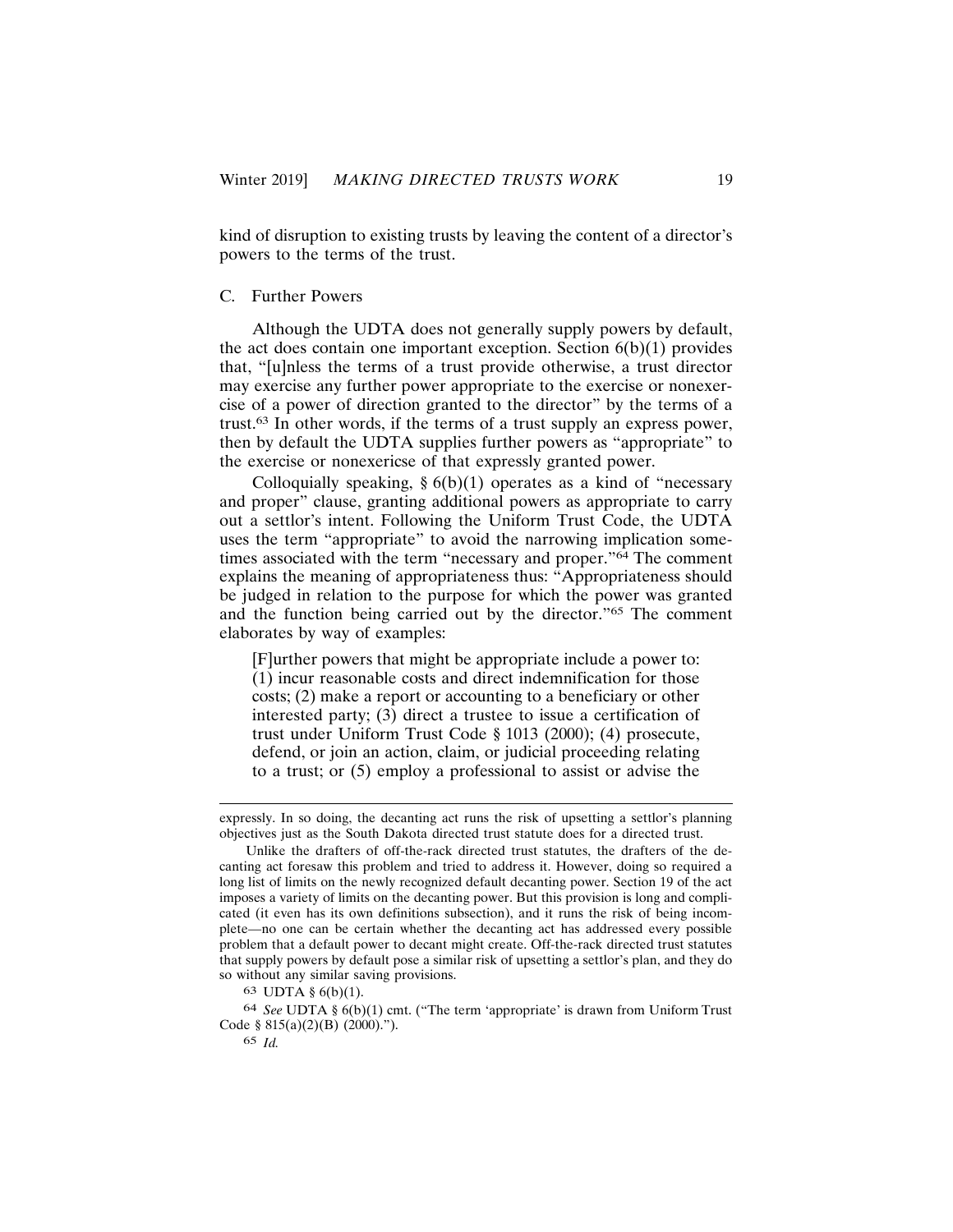kind of disruption to existing trusts by leaving the content of a director's powers to the terms of the trust.

#### C. Further Powers

Although the UDTA does not generally supply powers by default, the act does contain one important exception. Section  $6(b)(1)$  provides that, "[u]nless the terms of a trust provide otherwise, a trust director may exercise any further power appropriate to the exercise or nonexercise of a power of direction granted to the director" by the terms of a trust.<sup>63</sup> In other words, if the terms of a trust supply an express power, then by default the UDTA supplies further powers as "appropriate" to the exercise or nonexericse of that expressly granted power.

Colloquially speaking,  $\S 6(b)(1)$  operates as a kind of "necessary and proper" clause, granting additional powers as appropriate to carry out a settlor's intent. Following the Uniform Trust Code, the UDTA uses the term "appropriate" to avoid the narrowing implication sometimes associated with the term "necessary and proper."<sup>64</sup> The comment explains the meaning of appropriateness thus: "Appropriateness should be judged in relation to the purpose for which the power was granted and the function being carried out by the director."<sup>65</sup> The comment elaborates by way of examples:

[F] urther powers that might be appropriate include a power to: (1) incur reasonable costs and direct indemnification for those  $costs$ ; (2) make a report or accounting to a beneficiary or other interested party; (3) direct a trustee to issue a certification of trust under Uniform Trust Code  $\S$  1013 (2000); (4) prosecute, defend, or join an action, claim, or judicial proceeding relating to a trust; or  $(5)$  employ a professional to assist or advise the

expressly. In so doing, the decanting act runs the risk of upsetting a settlor's planning objectives just as the South Dakota directed trust statute does for a directed trust.

Unlike the drafters of off-the-rack directed trust statutes, the drafters of the decanting act foresaw this problem and tried to address it. However, doing so required a long list of limits on the newly recognized default decanting power. Section 19 of the act imposes a variety of limits on the decanting power. But this provision is long and complicated (it even has its own definitions subsection), and it runs the risk of being incomplete—no one can be certain whether the decanting act has addressed every possible problem that a default power to decant might create. Off-the-rack directed trust statutes that supply powers by default pose a similar risk of upsetting a settlor's plan, and they do so without any similar saving provisions.

<sup>63</sup> UDTA  $\S 6(b)(1)$ .

 $64$  See UDTA §  $6(b)(1)$  cmt. ("The term 'appropriate' is drawn from Uniform Trust Code §  $815(a)(2)(B)$  (2000).").

<sup>65</sup> Id.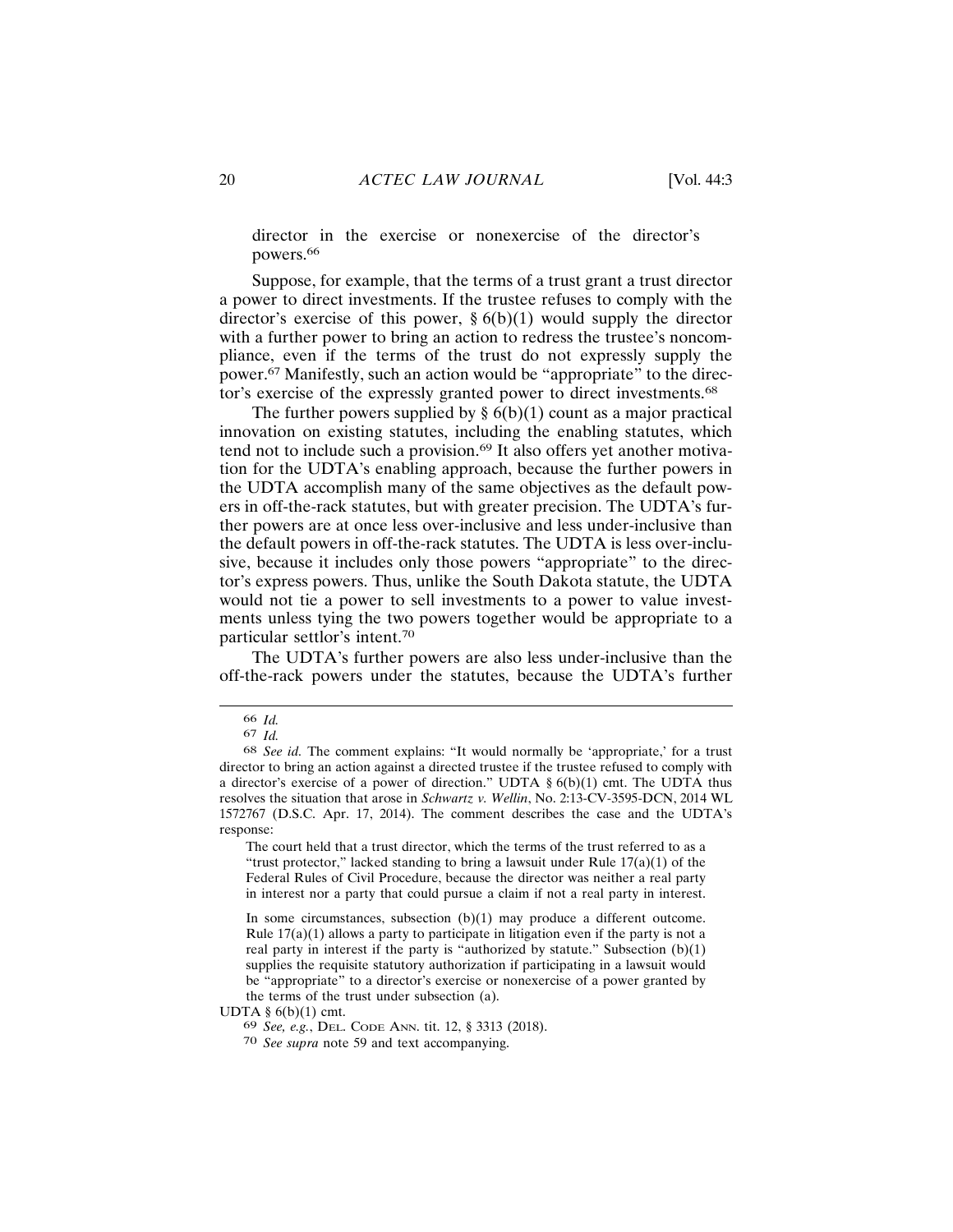director in the exercise or nonexercise of the director's powers.<sup>66</sup>

Suppose, for example, that the terms of a trust grant a trust director a power to direct investments. If the trustee refuses to comply with the director's exercise of this power,  $\S 6(b)(1)$  would supply the director with a further power to bring an action to redress the trustee's noncompliance, even if the terms of the trust do not expressly supply the power.<sup>67</sup> Manifestly, such an action would be "appropriate" to the director's exercise of the expressly granted power to direct investments.<sup>68</sup>

The further powers supplied by  $\S 6(b)(1)$  count as a major practical innovation on existing statutes, including the enabling statutes, which tend not to include such a provision.<sup>69</sup> It also offers yet another motivation for the UDTA's enabling approach, because the further powers in the UDTA accomplish many of the same objectives as the default powers in off-the-rack statutes, but with greater precision. The UDTA's further powers are at once less over-inclusive and less under-inclusive than the default powers in off-the-rack statutes. The UDTA is less over-inclusive, because it includes only those powers "appropriate" to the director's express powers. Thus, unlike the South Dakota statute, the UDTA would not tie a power to sell investments to a power to value investments unless tying the two powers together would be appropriate to a particular settlor's intent.<sup>70</sup>

The UDTA's further powers are also less under-inclusive than the off-the-rack powers under the statutes, because the UDTA's further

<sup>66</sup> Id.

 $67$  Id.

<sup>68</sup> See id. The comment explains: "It would normally be 'appropriate,' for a trust director to bring an action against a directed trustee if the trustee refused to comply with a director's exercise of a power of direction." UDTA  $\S 6(b)(1)$  cmt. The UDTA thus resolves the situation that arose in Schwartz v. Wellin, No. 2:13-CV-3595-DCN, 2014 WL 1572767 (D.S.C. Apr. 17, 2014). The comment describes the case and the UDTA's response:

The court held that a trust director, which the terms of the trust referred to as a "trust protector," lacked standing to bring a lawsuit under Rule  $17(a)(1)$  of the Federal Rules of Civil Procedure, because the director was neither a real party in interest nor a party that could pursue a claim if not a real party in interest.

In some circumstances, subsection  $(b)(1)$  may produce a different outcome. Rule  $17(a)(1)$  allows a party to participate in litigation even if the party is not a real party in interest if the party is "authorized by statute." Subsection  $(b)(1)$ supplies the requisite statutory authorization if participating in a lawsuit would be "appropriate" to a director's exercise or nonexercise of a power granted by the terms of the trust under subsection (a).

UDTA  $\S$  6(b)(1) cmt.

<sup>69</sup> See, e.g., DEL. CODE ANN. tit. 12, § 3313 (2018).

<sup>70</sup> See supra note 59 and text accompanying.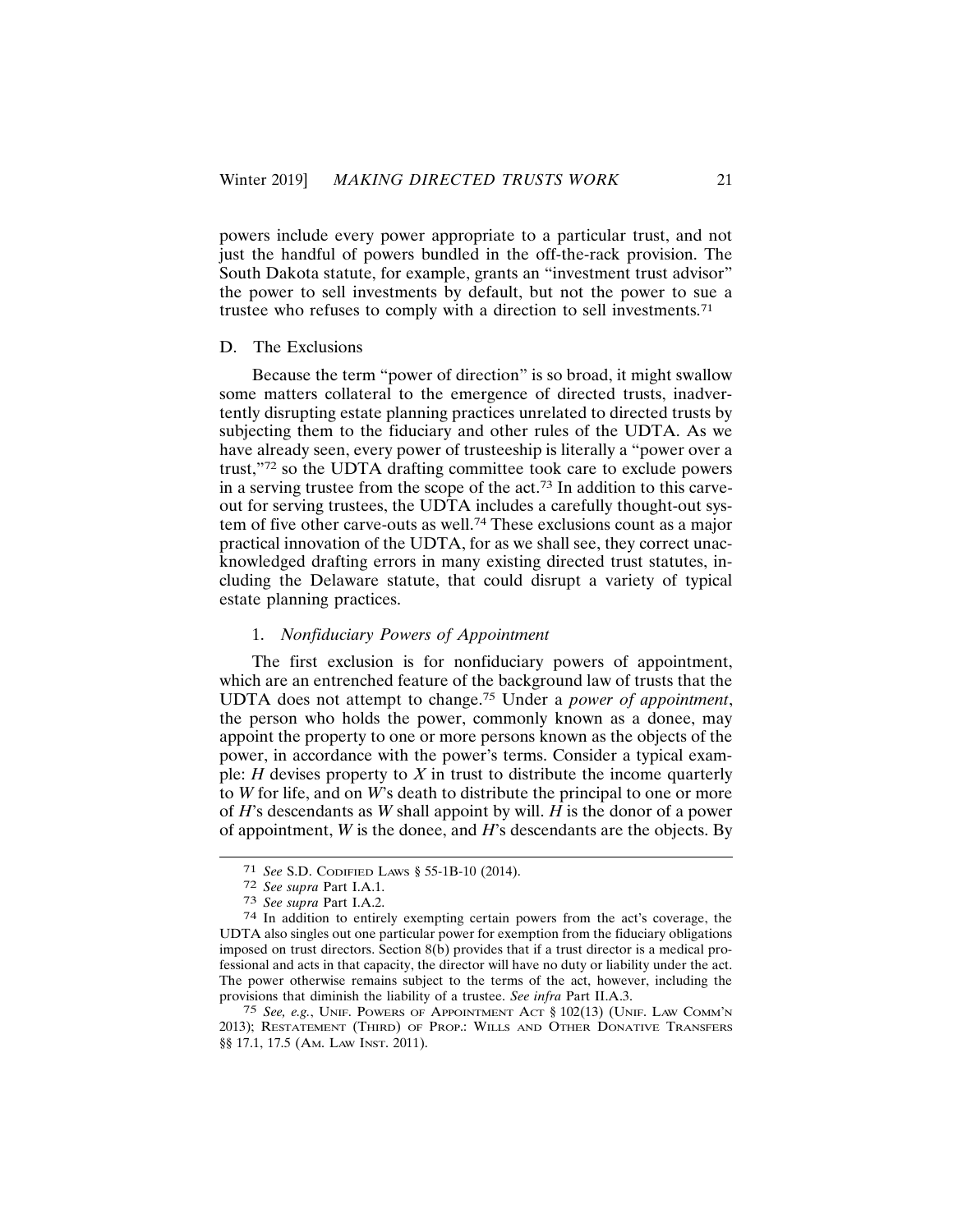powers include every power appropriate to a particular trust, and not just the handful of powers bundled in the off-the-rack provision. The South Dakota statute, for example, grants an "investment trust advisor" the power to sell investments by default, but not the power to sue a trustee who refuses to comply with a direction to sell investments.<sup>71</sup>

#### D. The Exclusions

Because the term "power of direction" is so broad, it might swallow some matters collateral to the emergence of directed trusts, inadvertently disrupting estate planning practices unrelated to directed trusts by subjecting them to the fiduciary and other rules of the UDTA. As we have already seen, every power of trusteeship is literally a "power over a trust,"72 so the UDTA drafting committee took care to exclude powers in a serving trustee from the scope of the act.<sup>73</sup> In addition to this carveout for serving trustees, the UDTA includes a carefully thought-out system of five other carve-outs as well.<sup>74</sup> These exclusions count as a major practical innovation of the UDTA, for as we shall see, they correct unacknowledged drafting errors in many existing directed trust statutes, including the Delaware statute, that could disrupt a variety of typical estate planning practices.

## 1. Nonfiduciary Powers of Appointment

The first exclusion is for nonfiduciary powers of appointment, which are an entrenched feature of the background law of trusts that the UDTA does not attempt to change.<sup>75</sup> Under a *power of appointment*, the person who holds the power, commonly known as a donee, may appoint the property to one or more persons known as the objects of the power, in accordance with the power's terms. Consider a typical example: *H* devises property to  $X$  in trust to distribute the income quarterly to W for life, and on W's death to distribute the principal to one or more of  $H$ 's descendants as W shall appoint by will.  $H$  is the donor of a power of appointment,  $W$  is the donee, and  $H$ 's descendants are the objects. By

<sup>&</sup>lt;sup>71</sup> See S.D. CODIFIED LAWS § 55-1B-10 (2014).

<sup>72</sup> See supra Part I.A.1.

<sup>73</sup> See supra Part I.A.2.

<sup>74</sup> In addition to entirely exempting certain powers from the act's coverage, the UDTA also singles out one particular power for exemption from the fiduciary obligations imposed on trust directors. Section 8(b) provides that if a trust director is a medical professional and acts in that capacity, the director will have no duty or liability under the act. The power otherwise remains subject to the terms of the act, however, including the provisions that diminish the liability of a trustee. See infra Part II.A.3.

<sup>75</sup> See, e.g., UNIF. POWERS OF APPOINTMENT ACT § 102(13) (UNIF. LAW COMM'N 2013); RESTATEMENT (THIRD) OF PROP.: WILLS AND OTHER DONATIVE TRANSFERS §§ 17.1, 17.5 (AM. LAW INST. 2011).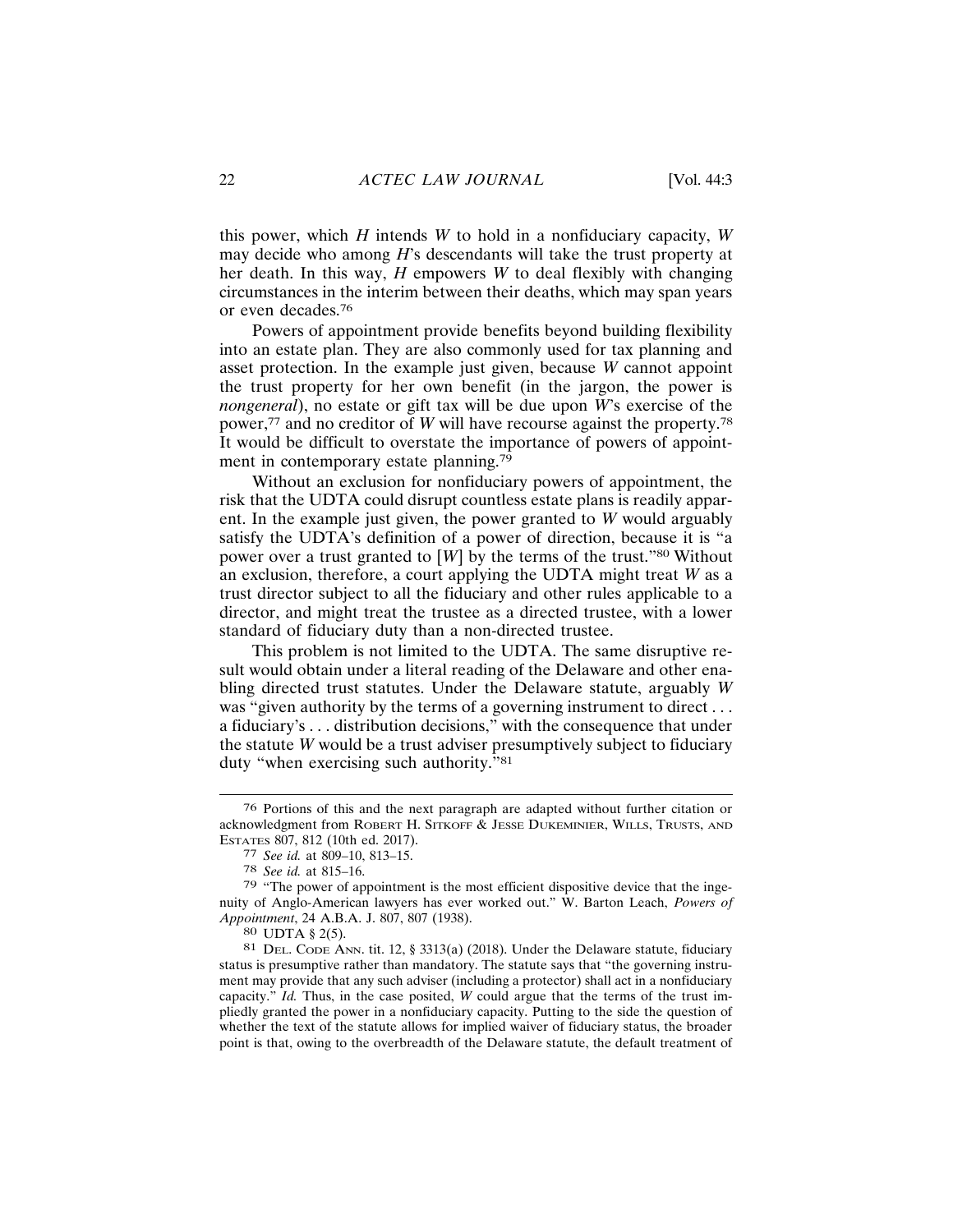this power, which  $H$  intends  $W$  to hold in a nonfiduciary capacity,  $W$ may decide who among H's descendants will take the trust property at her death. In this way,  $H$  empowers  $W$  to deal flexibly with changing circumstances in the interim between their deaths, which may span years or even decades.<sup>76</sup>

Powers of appointment provide benefits beyond building flexibility into an estate plan. They are also commonly used for tax planning and asset protection. In the example just given, because  $W$  cannot appoint the trust property for her own benefit (in the jargon, the power is *nongeneral*), no estate or gift tax will be due upon W's exercise of the power,  $77$  and no creditor of W will have recourse against the property.<sup>78</sup> It would be difficult to overstate the importance of powers of appointment in contemporary estate planning.<sup>79</sup>

Without an exclusion for nonfiduciary powers of appointment, the risk that the UDTA could disrupt countless estate plans is readily apparent. In the example just given, the power granted to  $W$  would arguably satisfy the UDTA's definition of a power of direction, because it is "a power over a trust granted to  $[W]$  by the terms of the trust."<sup>80</sup> Without an exclusion, therefore, a court applying the UDTA might treat  $W$  as a trust director subject to all the fiduciary and other rules applicable to a director, and might treat the trustee as a directed trustee, with a lower standard of fiduciary duty than a non-directed trustee.

This problem is not limited to the UDTA. The same disruptive result would obtain under a literal reading of the Delaware and other enabling directed trust statutes. Under the Delaware statute, arguably W was "given authority by the terms of a governing instrument to direct... a fiduciary's . . . distribution decisions," with the consequence that under the statute  $W$  would be a trust adviser presumptively subject to fiduciary duty "when exercising such authority."<sup>81</sup>

<sup>76</sup> Portions of this and the next paragraph are adapted without further citation or acknowledgment from ROBERT H. SITKOFF & JESSE DUKEMINIER, WILLS, TRUSTS, AND ESTATES 807, 812 (10th ed. 2017).

<sup>77</sup> See id. at 809-10, 813-15.

<sup>78</sup> See id. at 815-16.

<sup>79 &</sup>quot;The power of appointment is the most efficient dispositive device that the ingenuity of Anglo-American lawyers has ever worked out." W. Barton Leach, Powers of Appointment, 24 A.B.A. J. 807, 807 (1938).

<sup>80</sup> UDTA § 2(5).

<sup>81</sup> DEL. CODE ANN. tit. 12, § 3313(a) (2018). Under the Delaware statute, fiduciary status is presumptive rather than mandatory. The statute says that "the governing instrument may provide that any such adviser (including a protector) shall act in a nonfiduciary capacity." Id. Thus, in the case posited, W could argue that the terms of the trust impliedly granted the power in a nonfiduciary capacity. Putting to the side the question of whether the text of the statute allows for implied waiver of fiduciary status, the broader point is that, owing to the overbreadth of the Delaware statute, the default treatment of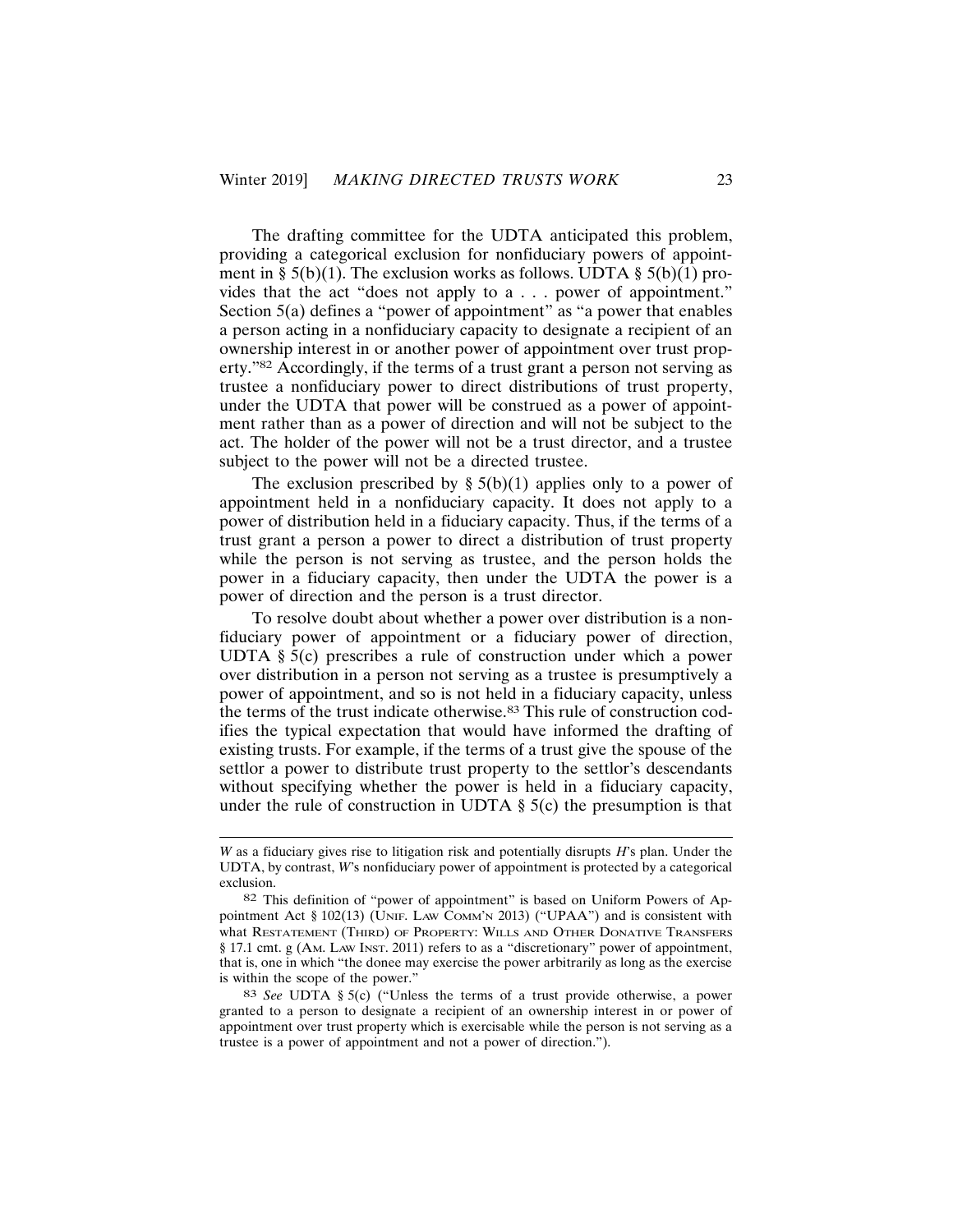The drafting committee for the UDTA anticipated this problem, providing a categorical exclusion for nonfiduciary powers of appointment in § 5(b)(1). The exclusion works as follows. UDTA § 5(b)(1) provides that the act "does not apply to a . . . power of appointment." Section 5(a) defines a "power of appointment" as "a power that enables a person acting in a nonfiduciary capacity to designate a recipient of an ownership interest in or another power of appointment over trust property."<sup>82</sup> Accordingly, if the terms of a trust grant a person not serving as trustee a nonfiduciary power to direct distributions of trust property, under the UDTA that power will be construed as a power of appointment rather than as a power of direction and will not be subject to the act. The holder of the power will not be a trust director, and a trustee subject to the power will not be a directed trustee.

The exclusion prescribed by  $\S 5(b)(1)$  applies only to a power of appointment held in a nonfiduciary capacity. It does not apply to a power of distribution held in a fiduciary capacity. Thus, if the terms of a trust grant a person a power to direct a distribution of trust property while the person is not serving as trustee, and the person holds the power in a fiduciary capacity, then under the UDTA the power is a power of direction and the person is a trust director.

To resolve doubt about whether a power over distribution is a nonfiduciary power of appointment or a fiduciary power of direction, UDTA  $\S$  5(c) prescribes a rule of construction under which a power over distribution in a person not serving as a trustee is presumptively a power of appointment, and so is not held in a fiduciary capacity, unless the terms of the trust indicate otherwise.<sup>83</sup> This rule of construction codifies the typical expectation that would have informed the drafting of existing trusts. For example, if the terms of a trust give the spouse of the settlor a power to distribute trust property to the settlor's descendants without specifying whether the power is held in a fiduciary capacity, under the rule of construction in UDTA  $\S$  5(c) the presumption is that

 $W$  as a fiduciary gives rise to litigation risk and potentially disrupts  $H$ 's plan. Under the UDTA, by contrast, W's nonfiduciary power of appointment is protected by a categorical exclusion.

<sup>82</sup> This definition of "power of appointment" is based on Uniform Powers of Appointment Act § 102(13) (UNIF. LAW COMM'N 2013) ("UPAA") and is consistent with What RESTATEMENT (THIRD) OF PROPERTY: WILLS AND OTHER DONATIVE TRANSFERS § 17.1 cmt. g (AM. LAW INST. 2011) refers to as a "discretionary" power of appointment, that is, one in which "the donee may exercise the power arbitrarily as long as the exercise is within the scope of the power."

<sup>83</sup> See UDTA § 5(c) ("Unless the terms of a trust provide otherwise, a power granted to a person to designate a recipient of an ownership interest in or power of appointment over trust property which is exercisable while the person is not serving as a trustee is a power of appointment and not a power of direction.").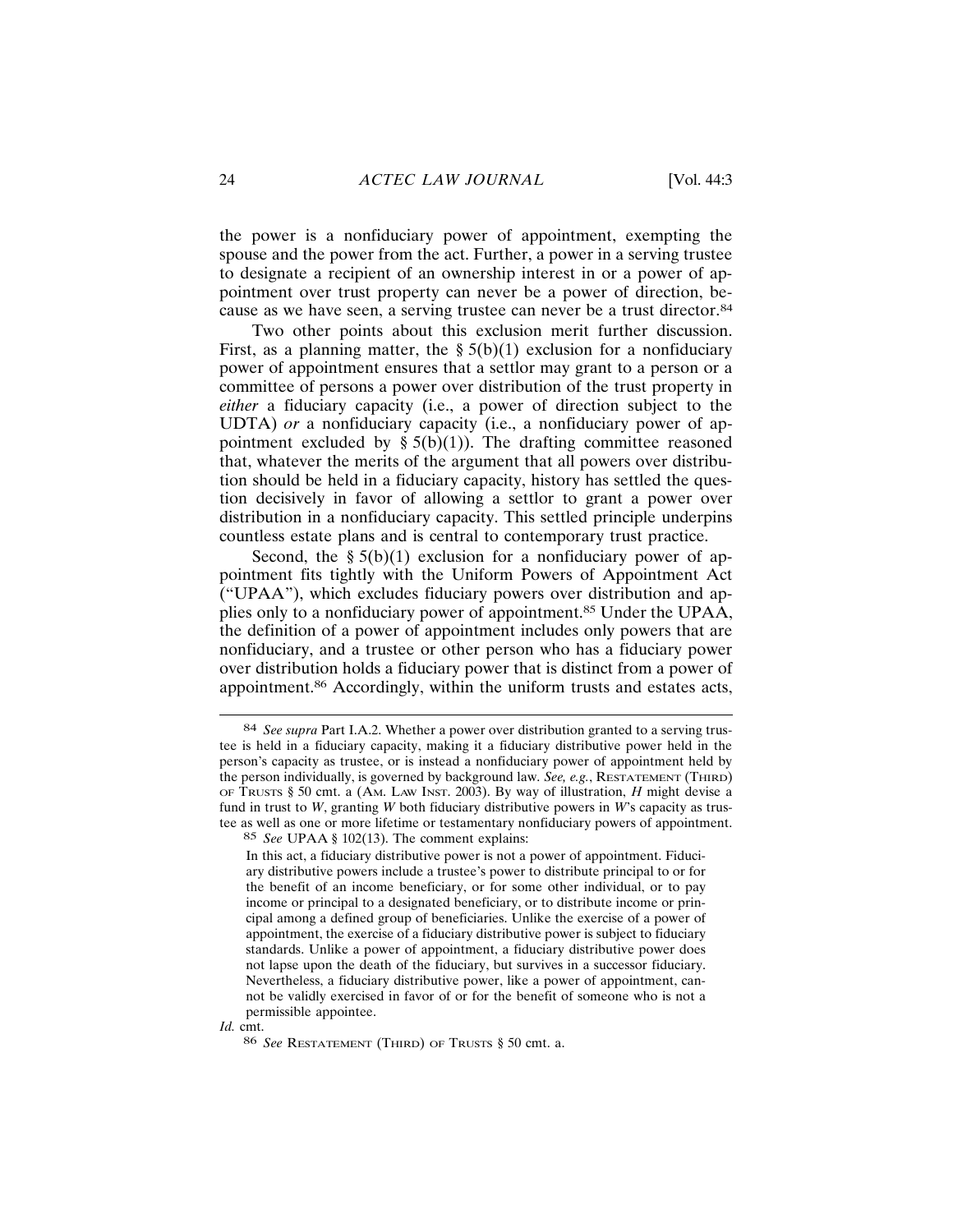the power is a nonfiduciary power of appointment, exempting the spouse and the power from the act. Further, a power in a serving trustee to designate a recipient of an ownership interest in or a power of appointment over trust property can never be a power of direction, because as we have seen, a serving trustee can never be a trust director.<sup>84</sup>

Two other points about this exclusion merit further discussion. First, as a planning matter, the  $\S 5(b)(1)$  exclusion for a nonfiduciary power of appointment ensures that a settlor may grant to a person or a committee of persons a power over distribution of the trust property in *either* a fiduciary capacity (i.e., a power of direction subject to the UDTA) or a nonfiduciary capacity (i.e., a nonfiduciary power of appointment excluded by  $\S 5(b)(1)$ ). The drafting committee reasoned that, whatever the merits of the argument that all powers over distribution should be held in a fiduciary capacity, history has settled the question decisively in favor of allowing a settlor to grant a power over distribution in a nonfiduciary capacity. This settled principle underpins countless estate plans and is central to contemporary trust practice.

Second, the  $\S 5(b)(1)$  exclusion for a nonfiduciary power of appointment fits tightly with the Uniform Powers of Appointment Act ("UPAA"), which excludes fiduciary powers over distribution and applies only to a nonfiduciary power of appointment.<sup>85</sup> Under the UPAA, the definition of a power of appointment includes only powers that are nonfiduciary, and a trustee or other person who has a fiduciary power over distribution holds a fiduciary power that is distinct from a power of appointment.<sup>86</sup> Accordingly, within the uniform trusts and estates acts,

Id. cmt.

<sup>84</sup> See supra Part I.A.2. Whether a power over distribution granted to a serving trustee is held in a fiduciary capacity, making it a fiduciary distributive power held in the person's capacity as trustee, or is instead a nonfiduciary power of appointment held by the person individually, is governed by background law. See, e.g., RESTATEMENT (THIRD) OF TRUSTS § 50 cmt. a (AM. LAW INST. 2003). By way of illustration,  $H$  might devise a fund in trust to W, granting W both fiduciary distributive powers in W's capacity as trustee as well as one or more lifetime or testamentary nonfiduciary powers of appointment.

<sup>85</sup> See UPAA § 102(13). The comment explains:

In this act, a fiduciary distributive power is not a power of appointment. Fiduciary distributive powers include a trustee's power to distribute principal to or for the benefit of an income beneficiary, or for some other individual, or to pay income or principal to a designated beneficiary, or to distribute income or principal among a defined group of beneficiaries. Unlike the exercise of a power of appointment, the exercise of a fiduciary distributive power is subject to fiduciary standards. Unlike a power of appointment, a fiduciary distributive power does not lapse upon the death of the fiduciary, but survives in a successor fiduciary. Nevertheless, a fiduciary distributive power, like a power of appointment, cannot be validly exercised in favor of or for the benefit of someone who is not a permissible appointee.

<sup>86</sup> See RESTATEMENT (THIRD) OF TRUSTS § 50 cmt. a.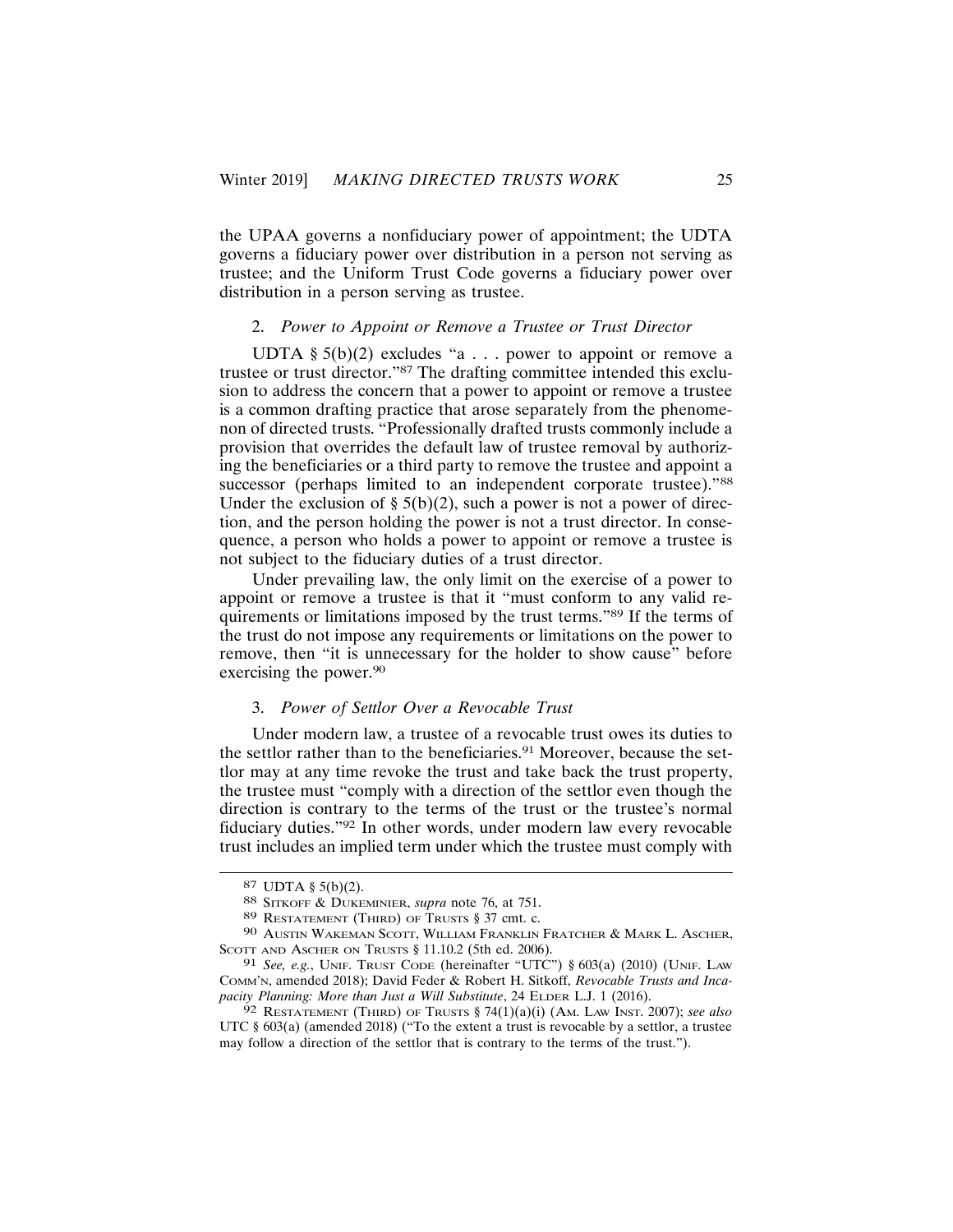the UPAA governs a nonfiduciary power of appointment; the UDTA governs a fiduciary power over distribution in a person not serving as trustee; and the Uniform Trust Code governs a fiduciary power over distribution in a person serving as trustee.

## 2. Power to Appoint or Remove a Trustee or Trust Director

UDTA §  $5(b)(2)$  excludes "a . . . power to appoint or remove a trustee or trust director."<sup>87</sup> The drafting committee intended this exclusion to address the concern that a power to appoint or remove a trustee is a common drafting practice that arose separately from the phenomenon of directed trusts. "Professionally drafted trusts commonly include a provision that overrides the default law of trustee removal by authorizing the beneficiaries or a third party to remove the trustee and appoint a successor (perhaps limited to an independent corporate trustee)."88 Under the exclusion of  $\S 5(b)(2)$ , such a power is not a power of direction, and the person holding the power is not a trust director. In consequence, a person who holds a power to appoint or remove a trustee is not subject to the fiduciary duties of a trust director.

Under prevailing law, the only limit on the exercise of a power to appoint or remove a trustee is that it "must conform to any valid requirements or limitations imposed by the trust terms."<sup>89</sup> If the terms of the trust do not impose any requirements or limitations on the power to remove, then "it is unnecessary for the holder to show cause" before exercising the power.<sup>90</sup>

## 3. Power of Settlor Over a Revocable Trust

Under modern law, a trustee of a revocable trust owes its duties to the settlor rather than to the beneficiaries.<sup>91</sup> Moreover, because the settlor may at any time revoke the trust and take back the trust property, the trustee must "comply with a direction of the settlor even though the direction is contrary to the terms of the trust or the trustee's normal fiduciary duties."92 In other words, under modern law every revocable trust includes an implied term under which the trustee must comply with

<sup>87</sup> UDTA  $\S$  5(b)(2).

<sup>88</sup> SITKOFF & DUKEMINIER, supra note 76, at 751.

<sup>89</sup> RESTATEMENT (THIRD) OF TRUSTS § 37 cmt. c.

<sup>90</sup> AUSTIN WAKEMAN SCOTT, WILLIAM FRANKLIN FRATCHER & MARK L. ASCHER, SCOTT AND ASCHER ON TRUSTS § 11.10.2 (5th ed. 2006).

<sup>91</sup> See, e.g., UNIF. TRUST CODE (hereinafter "UTC") § 603(a) (2010) (UNIF. LAW COMM'N, amended 2018); David Feder & Robert H. Sitkoff, Revocable Trusts and Incapacity Planning: More than Just a Will Substitute, 24 ELDER L.J. 1 (2016).

<sup>92</sup> RESTATEMENT (THIRD) OF TRUSTS  $$74(1)(a)(i)$  (AM. LAW INST. 2007); see also UTC  $\S$  603(a) (amended 2018) ("To the extent a trust is revocable by a settlor, a trustee may follow a direction of the settlor that is contrary to the terms of the trust.").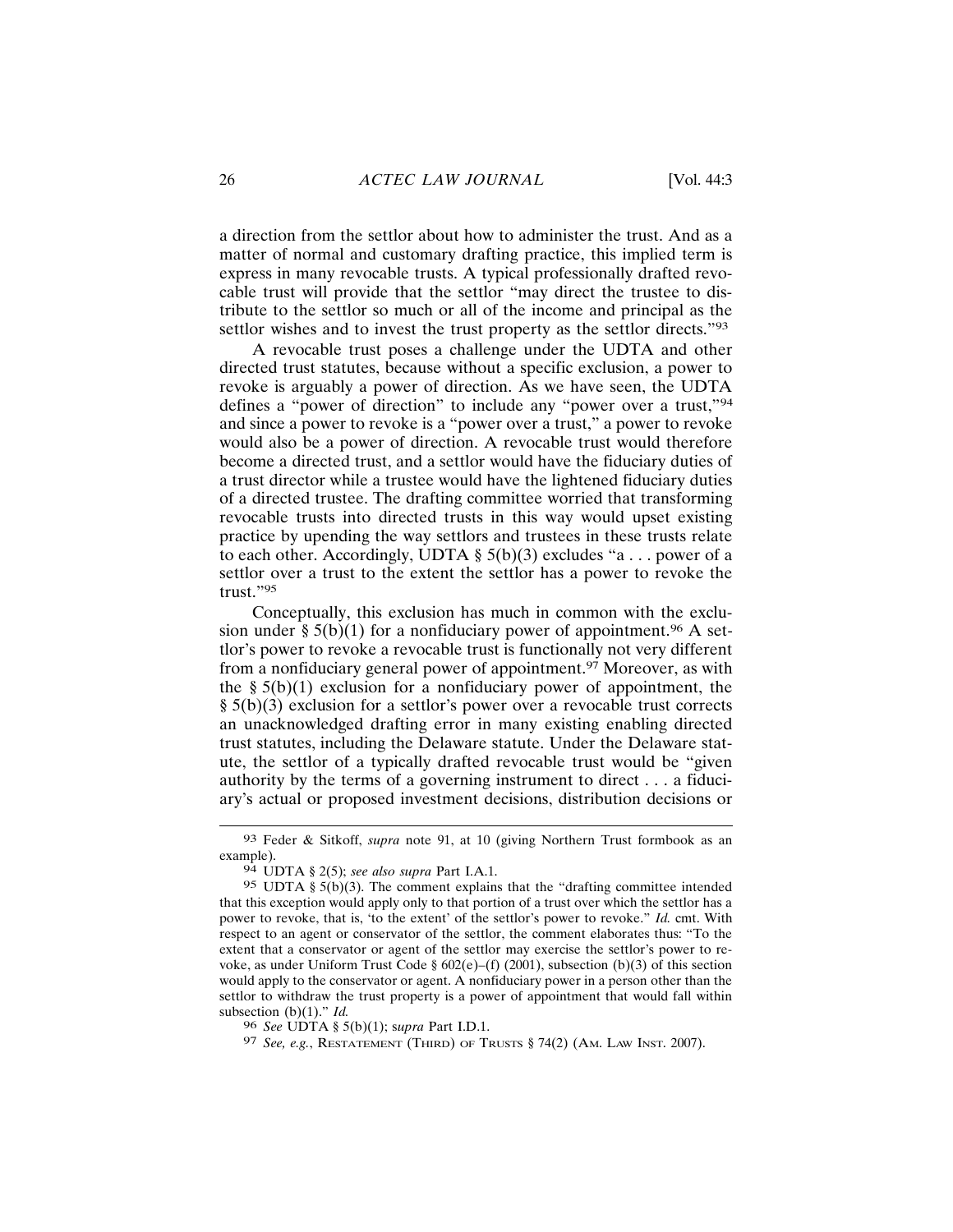a direction from the settlor about how to administer the trust. And as a matter of normal and customary drafting practice, this implied term is express in many revocable trusts. A typical professionally drafted revocable trust will provide that the settlor "may direct the trustee to distribute to the settlor so much or all of the income and principal as the settlor wishes and to invest the trust property as the settlor directs."93

A revocable trust poses a challenge under the UDTA and other directed trust statutes, because without a specific exclusion, a power to revoke is arguably a power of direction. As we have seen, the UDTA defines a "power of direction" to include any "power over a trust,"94 and since a power to revoke is a "power over a trust," a power to revoke would also be a power of direction. A revocable trust would therefore become a directed trust, and a settlor would have the fiduciary duties of a trust director while a trustee would have the lightened fiduciary duties of a directed trustee. The drafting committee worried that transforming revocable trusts into directed trusts in this way would upset existing practice by upending the way settlors and trustees in these trusts relate to each other. Accordingly, UDTA  $\S$  5(b)(3) excludes "a... power of a settlor over a trust to the extent the settlor has a power to revoke the trust." $95$ 

Conceptually, this exclusion has much in common with the exclusion under §  $5(b)(1)$  for a nonfiduciary power of appointment.<sup>96</sup> A settlor's power to revoke a revocable trust is functionally not very different from a nonfiduciary general power of appointment.<sup>97</sup> Moreover, as with the §  $5(b)(1)$  exclusion for a nonfiduciary power of appointment, the  $\S$  5(b)(3) exclusion for a settlor's power over a revocable trust corrects an unacknowledged drafting error in many existing enabling directed trust statutes, including the Delaware statute. Under the Delaware statute, the settlor of a typically drafted revocable trust would be "given" authority by the terms of a governing instrument to direct . . . a fiduciary's actual or proposed investment decisions, distribution decisions or

<sup>93</sup> Feder & Sitkoff, supra note 91, at 10 (giving Northern Trust formbook as an example).

 $94$  UDTA § 2(5); see also supra Part I.A.1.

<sup>95</sup> UDTA §  $5(b)(3)$ . The comment explains that the "drafting committee intended" that this exception would apply only to that portion of a trust over which the settlor has a power to revoke, that is, 'to the extent' of the settlor's power to revoke." Id. cmt. With respect to an agent or conservator of the settlor, the comment elaborates thus: "To the extent that a conservator or agent of the settlor may exercise the settlor's power to revoke, as under Uniform Trust Code §  $602(e)$ –(f) (2001), subsection (b)(3) of this section would apply to the conservator or agent. A nonfiduciary power in a person other than the settlor to withdraw the trust property is a power of appointment that would fall within subsection (b)(1)."  $Id$ .

<sup>96</sup> See UDTA § 5(b)(1); supra Part I.D.1.

<sup>97</sup> See, e.g., RESTATEMENT (THIRD) OF TRUSTS § 74(2) (AM. LAW INST. 2007).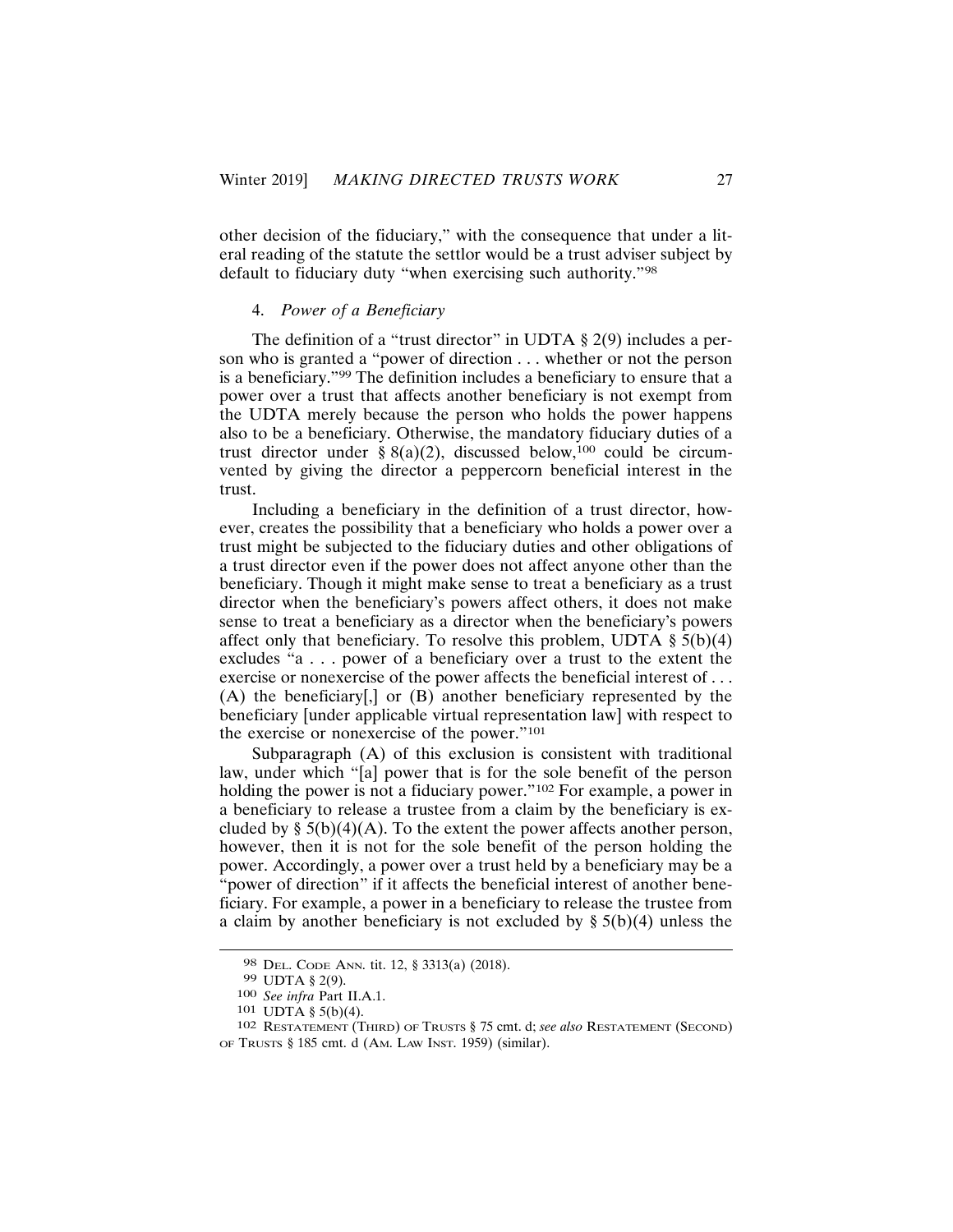other decision of the fiduciary," with the consequence that under a literal reading of the statute the settlor would be a trust adviser subject by default to fiduciary duty "when exercising such authority."98

#### 4. Power of a Beneficiary

The definition of a "trust director" in UDTA  $\S$  2(9) includes a person who is granted a "power of direction . . . whether or not the person is a beneficiary."<sup>99</sup> The definition includes a beneficiary to ensure that a power over a trust that affects another beneficiary is not exempt from the UDTA merely because the person who holds the power happens also to be a beneficiary. Otherwise, the mandatory fiduciary duties of a trust director under §  $8(a)(2)$ , discussed below,<sup>100</sup> could be circumvented by giving the director a peppercorn beneficial interest in the trust.

Including a beneficiary in the definition of a trust director, however, creates the possibility that a beneficiary who holds a power over a trust might be subjected to the fiduciary duties and other obligations of a trust director even if the power does not affect anyone other than the beneficiary. Though it might make sense to treat a beneficiary as a trust director when the beneficiary's powers affect others, it does not make sense to treat a beneficiary as a director when the beneficiary's powers affect only that beneficiary. To resolve this problem, UDTA  $\S$  5(b)(4) excludes "a . . . power of a beneficiary over a trust to the extent the exercise or nonexercise of the power affects the beneficial interest of ... (A) the beneficiary[,] or (B) another beneficiary represented by the beneficiary funder applicable virtual representation lawl with respect to the exercise or nonexercise of the power."101

Subparagraph (A) of this exclusion is consistent with traditional law, under which "[a] power that is for the sole benefit of the person holding the power is not a fiduciary power."<sup>102</sup> For example, a power in a beneficiary to release a trustee from a claim by the beneficiary is excluded by  $\S$  5(b)(4)(A). To the extent the power affects another person, however, then it is not for the sole benefit of the person holding the power. Accordingly, a power over a trust held by a beneficiary may be a "power of direction" if it affects the beneficial interest of another beneficiary. For example, a power in a beneficiary to release the trustee from a claim by another beneficiary is not excluded by  $\S 5(b)(4)$  unless the

<sup>98</sup> DEL. CODE ANN. tit. 12, § 3313(a) (2018).

<sup>99</sup> UDTA § 2(9).

<sup>100</sup> See infra Part II.A.1.

<sup>101</sup> UDTA §  $5(b)(4)$ .

<sup>102</sup> RESTATEMENT (THIRD) OF TRUSTS § 75 cmt. d; see also RESTATEMENT (SECOND) OF TRUSTS § 185 cmt. d (AM. LAW INST. 1959) (similar).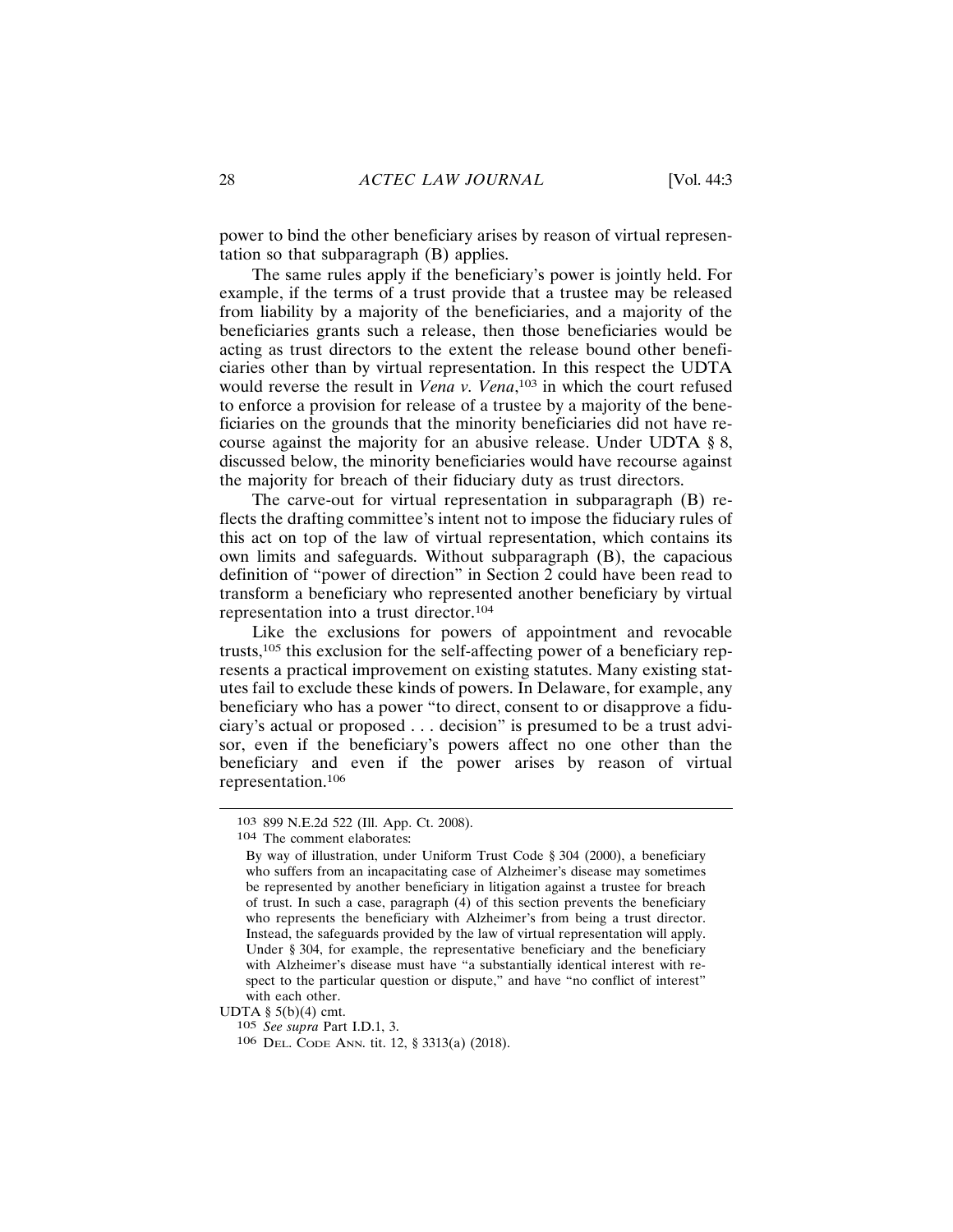power to bind the other beneficiary arises by reason of virtual representation so that subparagraph (B) applies.

The same rules apply if the beneficiary's power is jointly held. For example, if the terms of a trust provide that a trustee may be released from liability by a majority of the beneficiaries, and a majority of the beneficiaries grants such a release, then those beneficiaries would be acting as trust directors to the extent the release bound other beneficiaries other than by virtual representation. In this respect the UDTA would reverse the result in Vena v. Vena,<sup>103</sup> in which the court refused to enforce a provision for release of a trustee by a majority of the beneficiaries on the grounds that the minority beneficiaries did not have recourse against the majority for an abusive release. Under UDTA  $\S$ 8, discussed below, the minority beneficiaries would have recourse against the majority for breach of their fiduciary duty as trust directors.

The carve-out for virtual representation in subparagraph (B) reflects the drafting committee's intent not to impose the fiduciary rules of this act on top of the law of virtual representation, which contains its own limits and safeguards. Without subparagraph (B), the capacious definition of "power of direction" in Section 2 could have been read to transform a beneficiary who represented another beneficiary by virtual representation into a trust director.<sup>104</sup>

Like the exclusions for powers of appointment and revocable trusts,  $105$  this exclusion for the self-affecting power of a beneficiary represents a practical improvement on existing statutes. Many existing statutes fail to exclude these kinds of powers. In Delaware, for example, any beneficiary who has a power "to direct, consent to or disapprove a fiduciary's actual or proposed . . . decision" is presumed to be a trust advisor, even if the beneficiary's powers affect no one other than the beneficiary and even if the power arises by reason of virtual representation.<sup>106</sup>

UDTA §  $5(b)(4)$  cmt.

105 See supra Part I.D.1, 3.

106 DEL. CODE ANN. tit. 12, § 3313(a) (2018).

<sup>103 899</sup> N.E.2d 522 (Ill. App. Ct. 2008).

<sup>104</sup> The comment elaborates:

By way of illustration, under Uniform Trust Code § 304 (2000), a beneficiary who suffers from an incapacitating case of Alzheimer's disease may sometimes be represented by another beneficiary in litigation against a trustee for breach of trust. In such a case, paragraph (4) of this section prevents the beneficiary who represents the beneficiary with Alzheimer's from being a trust director. Instead, the safeguards provided by the law of virtual representation will apply. Under § 304, for example, the representative beneficiary and the beneficiary with Alzheimer's disease must have "a substantially identical interest with respect to the particular question or dispute," and have "no conflict of interest" with each other.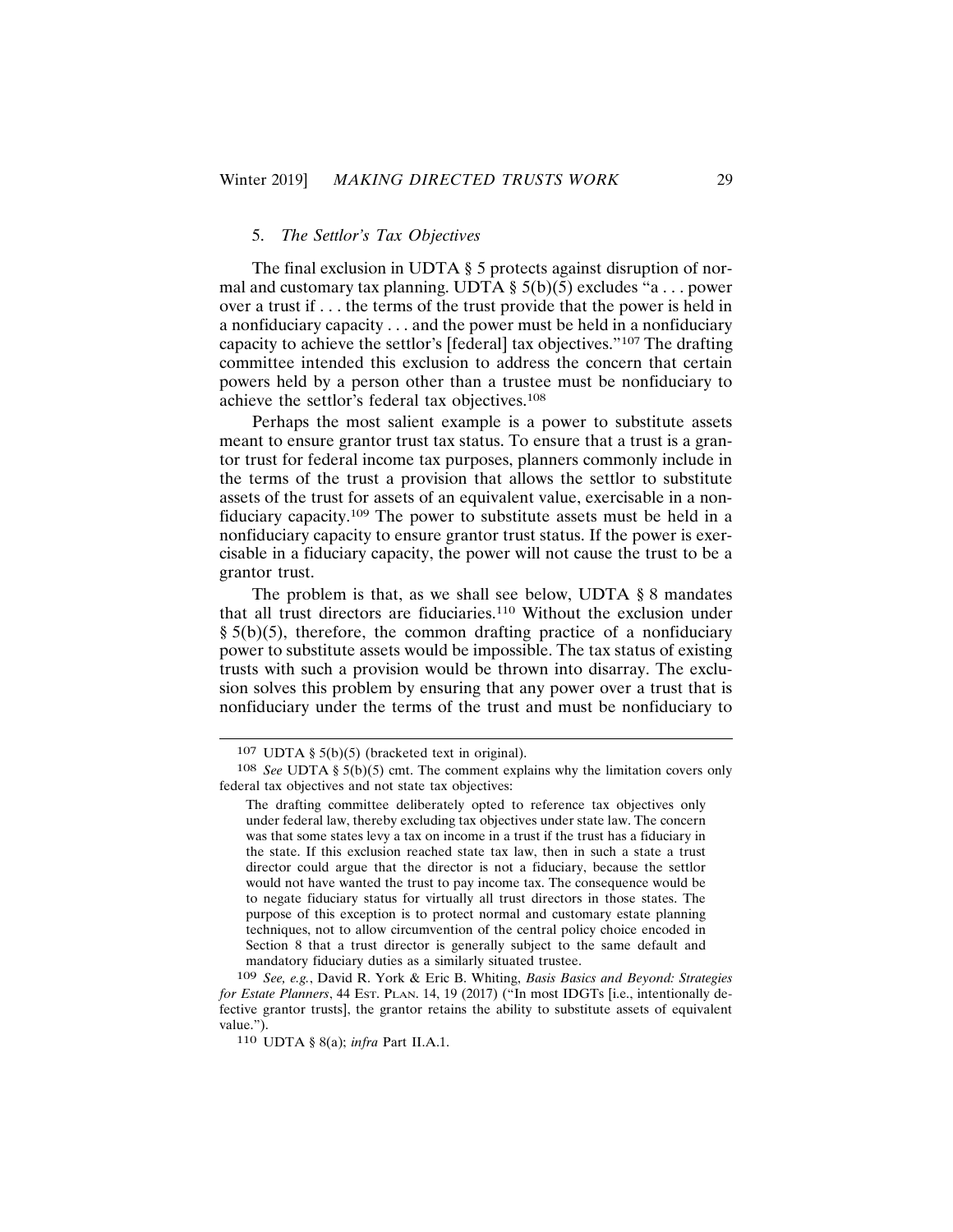## 5. The Settlor's Tax Objectives

The final exclusion in UDTA § 5 protects against disruption of normal and customary tax planning. UDTA  $\S$  5(b)(5) excludes "a... power over a trust if . . . the terms of the trust provide that the power is held in a nonfiduciary capacity  $\dots$  and the power must be held in a nonfiduciary capacity to achieve the settlor's [federal] tax objectives."<sup>107</sup> The drafting committee intended this exclusion to address the concern that certain powers held by a person other than a trustee must be nonfiduciary to achieve the settlor's federal tax objectives.<sup>108</sup>

Perhaps the most salient example is a power to substitute assets meant to ensure grantor trust tax status. To ensure that a trust is a grantor trust for federal income tax purposes, planners commonly include in the terms of the trust a provision that allows the settlor to substitute assets of the trust for assets of an equivalent value, exercisable in a nonfiduciary capacity.<sup>109</sup> The power to substitute assets must be held in a nonfiduciary capacity to ensure grantor trust status. If the power is exercisable in a fiduciary capacity, the power will not cause the trust to be a grantor trust.

The problem is that, as we shall see below, UDTA  $\S 8$  mandates that all trust directors are fiduciaries.<sup>110</sup> Without the exclusion under  $\S$  5(b)(5), therefore, the common drafting practice of a nonfiduciary power to substitute assets would be impossible. The tax status of existing trusts with such a provision would be thrown into disarray. The exclusion solves this problem by ensuring that any power over a trust that is nonfiduciary under the terms of the trust and must be nonfiduciary to

<sup>107</sup> UDTA §  $5(b)(5)$  (bracketed text in original).

<sup>108</sup> See UDTA §  $5(b)(5)$  cmt. The comment explains why the limitation covers only federal tax objectives and not state tax objectives:

The drafting committee deliberately opted to reference tax objectives only under federal law, thereby excluding tax objectives under state law. The concern was that some states levy a tax on income in a trust if the trust has a fiduciary in the state. If this exclusion reached state tax law, then in such a state a trust director could argue that the director is not a fiduciary, because the settlor would not have wanted the trust to pay income tax. The consequence would be to negate fiduciary status for virtually all trust directors in those states. The purpose of this exception is to protect normal and customary estate planning techniques, not to allow circumvention of the central policy choice encoded in Section 8 that a trust director is generally subject to the same default and mandatory fiduciary duties as a similarly situated trustee.

<sup>109</sup> See, e.g., David R. York & Eric B. Whiting, Basis Basics and Beyond: Strategies for Estate Planners, 44 Est. PLAN. 14, 19 (2017) ("In most IDGTs [i.e., intentionally defective grantor trusts], the grantor retains the ability to substitute assets of equivalent value.").

<sup>110</sup> UDTA § 8(a); infra Part II.A.1.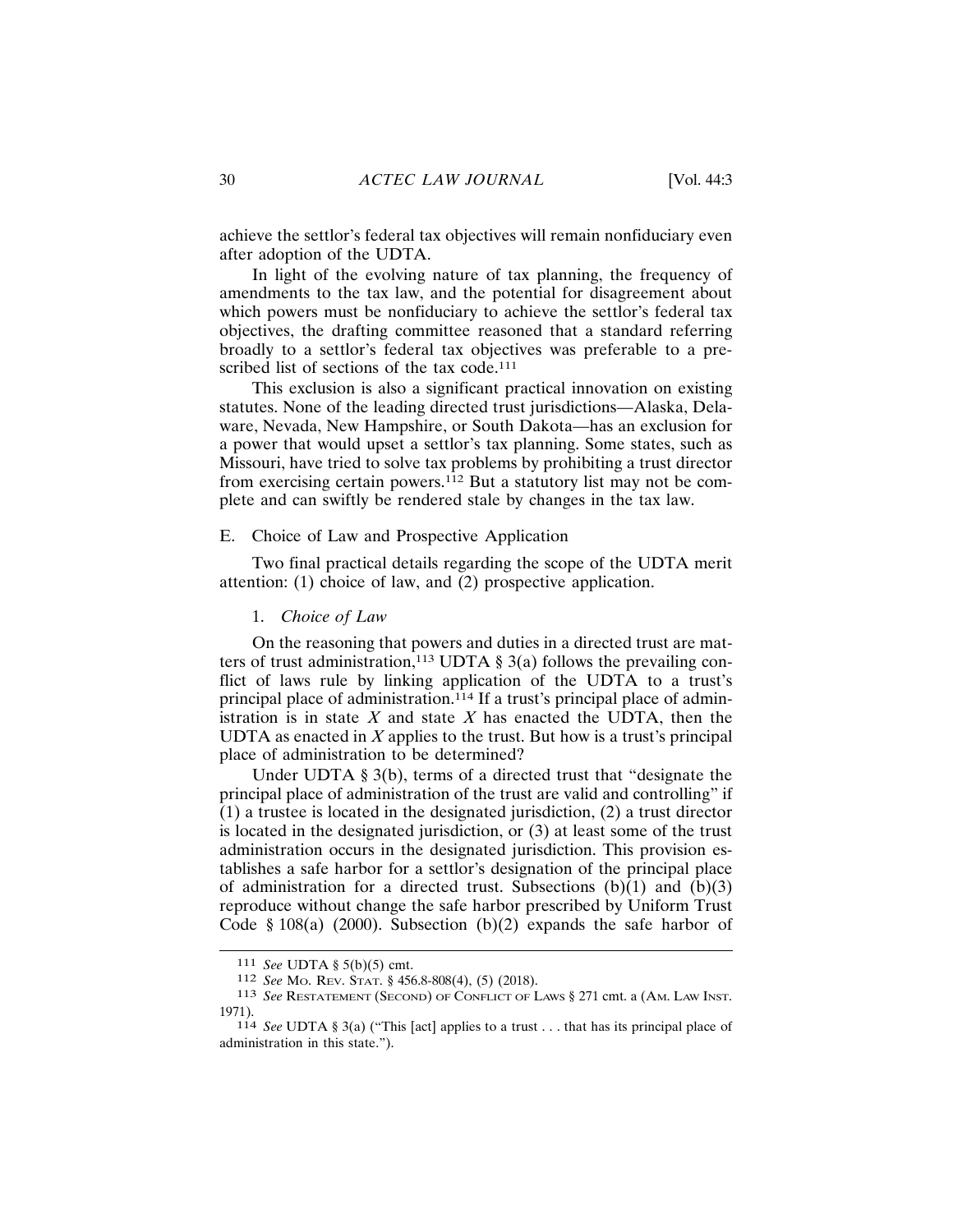achieve the settlor's federal tax objectives will remain nonfiduciary even after adoption of the UDTA.

In light of the evolving nature of tax planning, the frequency of amendments to the tax law, and the potential for disagreement about which powers must be nonfiduciary to achieve the settlor's federal tax objectives, the drafting committee reasoned that a standard referring broadly to a settlor's federal tax objectives was preferable to a prescribed list of sections of the tax code.<sup>111</sup>

This exclusion is also a significant practical innovation on existing statutes. None of the leading directed trust jurisdictions—Alaska, Delaware, Nevada, New Hampshire, or South Dakota-has an exclusion for a power that would upset a settlor's tax planning. Some states, such as Missouri, have tried to solve tax problems by prohibiting a trust director from exercising certain powers.<sup>112</sup> But a statutory list may not be complete and can swiftly be rendered stale by changes in the tax law.

#### E. Choice of Law and Prospective Application

Two final practical details regarding the scope of the UDTA merit attention: (1) choice of law, and  $(2)$  prospective application.

## 1. Choice of Law

On the reasoning that powers and duties in a directed trust are matters of trust administration,<sup>113</sup> UDTA  $\S$  3(a) follows the prevailing conflict of laws rule by linking application of the UDTA to a trust's principal place of administration.<sup>114</sup> If a trust's principal place of administration is in state  $X$  and state  $X$  has enacted the UDTA, then the UDTA as enacted in  $X$  applies to the trust. But how is a trust's principal place of administration to be determined?

Under UDTA  $\S$  3(b), terms of a directed trust that "designate the principal place of administration of the trust are valid and controlling" if  $(1)$  a trustee is located in the designated jurisdiction,  $(2)$  a trust director is located in the designated jurisdiction, or (3) at least some of the trust administration occurs in the designated jurisdiction. This provision establishes a safe harbor for a settlor's designation of the principal place of administration for a directed trust. Subsections  $(b)(1)$  and  $(b)(3)$ reproduce without change the safe harbor prescribed by Uniform Trust Code § 108(a) (2000). Subsection (b)(2) expands the safe harbor of

<sup>111</sup> See UDTA § 5(b)(5) cmt.

<sup>112</sup> See Mo. REV. STAT. § 456.8-808(4), (5) (2018).

<sup>113</sup> See RESTATEMENT (SECOND) OF CONFLICT OF LAWS § 271 cmt. a (AM. LAW INST. 1971).

<sup>114</sup> See UDTA § 3(a) ("This [act] applies to a trust . . . that has its principal place of administration in this state.").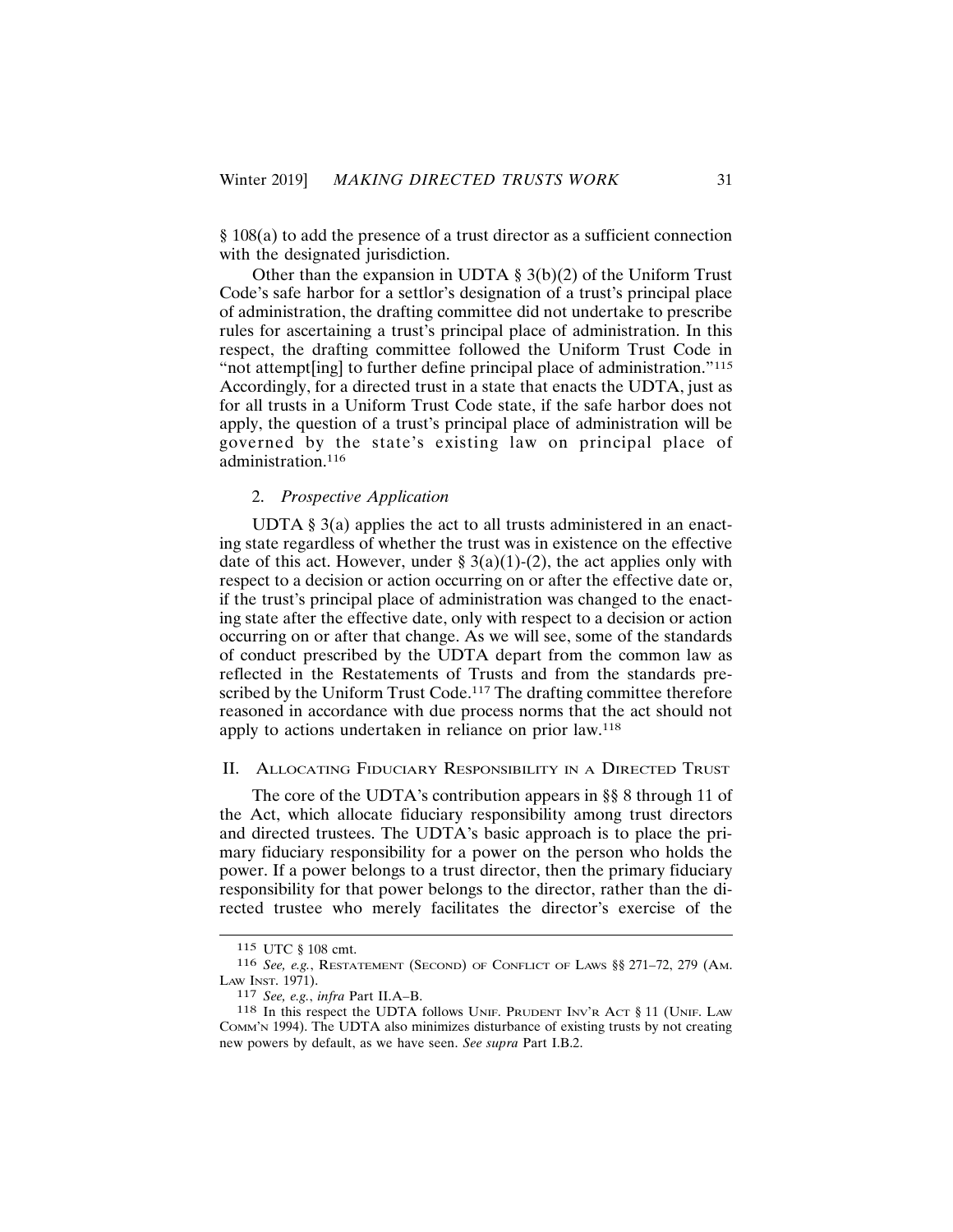$§$  108(a) to add the presence of a trust director as a sufficient connection with the designated jurisdiction.

Other than the expansion in UDTA  $\S 3(b)(2)$  of the Uniform Trust Code's safe harbor for a settlor's designation of a trust's principal place of administration, the drafting committee did not undertake to prescribe rules for ascertaining a trust's principal place of administration. In this respect, the drafting committee followed the Uniform Trust Code in "not attempt[ing] to further define principal place of administration."115 Accordingly, for a directed trust in a state that enacts the UDTA, just as for all trusts in a Uniform Trust Code state, if the safe harbor does not apply, the question of a trust's principal place of administration will be governed by the state's existing law on principal place of administration.<sup>116</sup>

## 2. Prospective Application

UDTA  $\S$  3(a) applies the act to all trusts administered in an enacting state regardless of whether the trust was in existence on the effective date of this act. However, under §  $3(a)(1)-(2)$ , the act applies only with respect to a decision or action occurring on or after the effective date or, if the trust's principal place of administration was changed to the enacting state after the effective date, only with respect to a decision or action occurring on or after that change. As we will see, some of the standards of conduct prescribed by the UDTA depart from the common law as reflected in the Restatements of Trusts and from the standards prescribed by the Uniform Trust Code.<sup>117</sup> The drafting committee therefore reasoned in accordance with due process norms that the act should not apply to actions undertaken in reliance on prior law.<sup>118</sup>

#### **II. ALLOCATING FIDUCIARY RESPONSIBILITY IN A DIRECTED TRUST**

The core of the UDTA's contribution appears in §§ 8 through 11 of the Act, which allocate fiduciary responsibility among trust directors and directed trustees. The UDTA's basic approach is to place the primary fiduciary responsibility for a power on the person who holds the power. If a power belongs to a trust director, then the primary fiduciary responsibility for that power belongs to the director, rather than the directed trustee who merely facilitates the director's exercise of the

<sup>115</sup> UTC § 108 cmt.

<sup>116</sup> See, e.g., RESTATEMENT (SECOND) OF CONFLICT OF LAWS §§ 271-72, 279 (AM. LAW INST. 1971).

<sup>117</sup> See, e.g., infra Part II.A-B.

<sup>118</sup> In this respect the UDTA follows UNIF. PRUDENT INV'R ACT § 11 (UNIF. LAW Сомм' N1994). The UDTA also minimizes disturbance of existing trusts by not creating new powers by default, as we have seen. See supra Part I.B.2.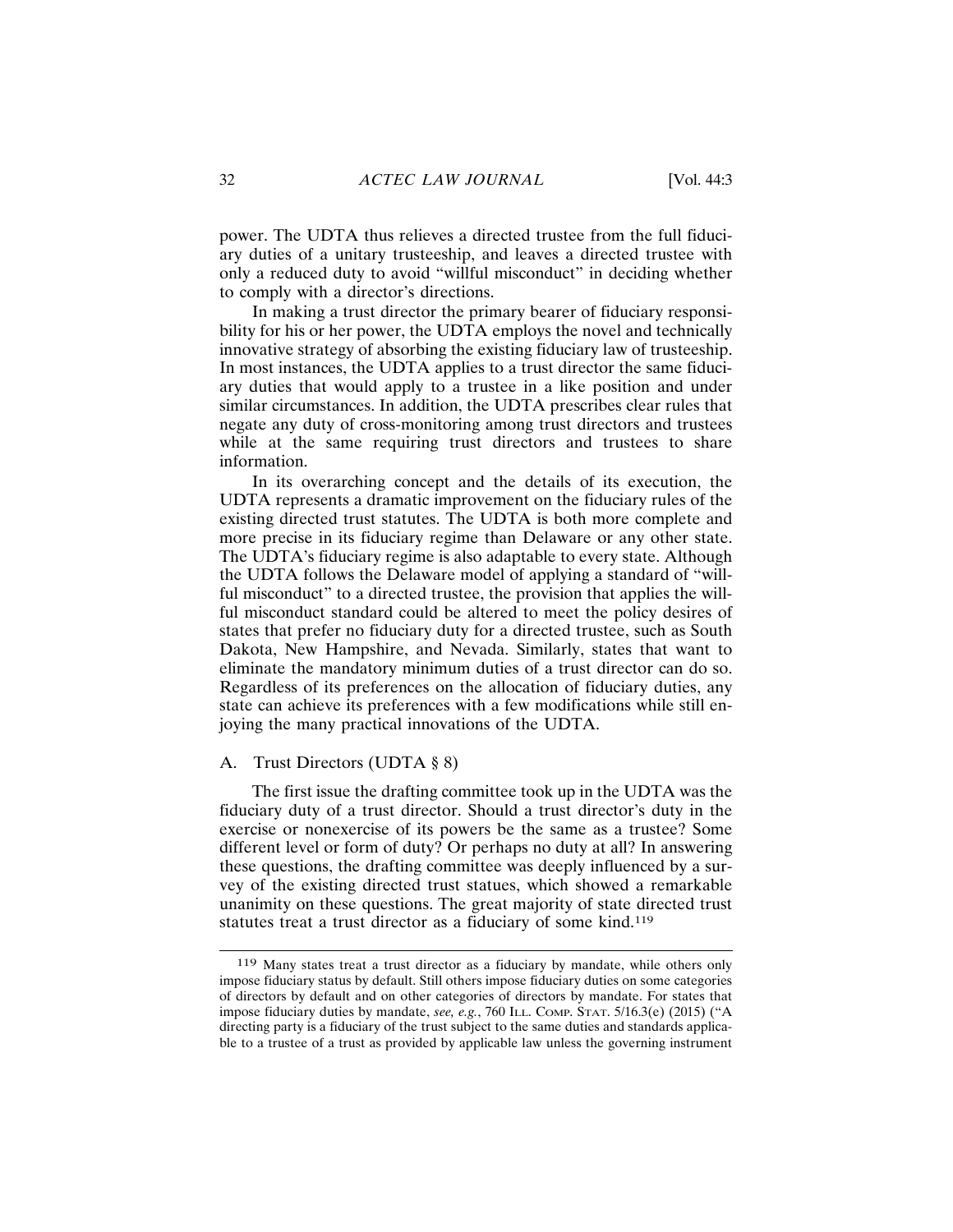power. The UDTA thus relieves a directed trustee from the full fiduciary duties of a unitary trusteeship, and leaves a directed trustee with only a reduced duty to avoid "willful misconduct" in deciding whether to comply with a director's directions.

In making a trust director the primary bearer of fiduciary responsibility for his or her power, the UDTA employs the novel and technically innovative strategy of absorbing the existing fiduciary law of trusteeship. In most instances, the UDTA applies to a trust director the same fiduciary duties that would apply to a trustee in a like position and under similar circumstances. In addition, the UDTA prescribes clear rules that negate any duty of cross-monitoring among trust directors and trustees while at the same requiring trust directors and trustees to share information.

In its overarching concept and the details of its execution, the UDTA represents a dramatic improvement on the fiduciary rules of the existing directed trust statutes. The UDTA is both more complete and more precise in its fiduciary regime than Delaware or any other state. The UDTA's fiduciary regime is also adaptable to every state. Although the UDTA follows the Delaware model of applying a standard of "willful misconduct" to a directed trustee, the provision that applies the willful misconduct standard could be altered to meet the policy desires of states that prefer no fiduciary duty for a directed trustee, such as South Dakota, New Hampshire, and Nevada. Similarly, states that want to eliminate the mandatory minimum duties of a trust director can do so. Regardless of its preferences on the allocation of fiduciary duties, any state can achieve its preferences with a few modifications while still enjoying the many practical innovations of the UDTA.

### A. Trust Directors (UDTA § 8)

The first issue the drafting committee took up in the UDTA was the fiduciary duty of a trust director. Should a trust director's duty in the exercise or nonexercise of its powers be the same as a trustee? Some different level or form of duty? Or perhaps no duty at all? In answering these questions, the drafting committee was deeply influenced by a survey of the existing directed trust statues, which showed a remarkable unanimity on these questions. The great majority of state directed trust statutes treat a trust director as a fiduciary of some kind.<sup>119</sup>

<sup>119</sup> Many states treat a trust director as a fiduciary by mandate, while others only impose fiduciary status by default. Still others impose fiduciary duties on some categories of directors by default and on other categories of directors by mandate. For states that impose fiduciary duties by mandate, see, e.g., 760 ILL. COMP. STAT. 5/16.3(e) (2015) ("A directing party is a fiduciary of the trust subject to the same duties and standards applicable to a trustee of a trust as provided by applicable law unless the governing instrument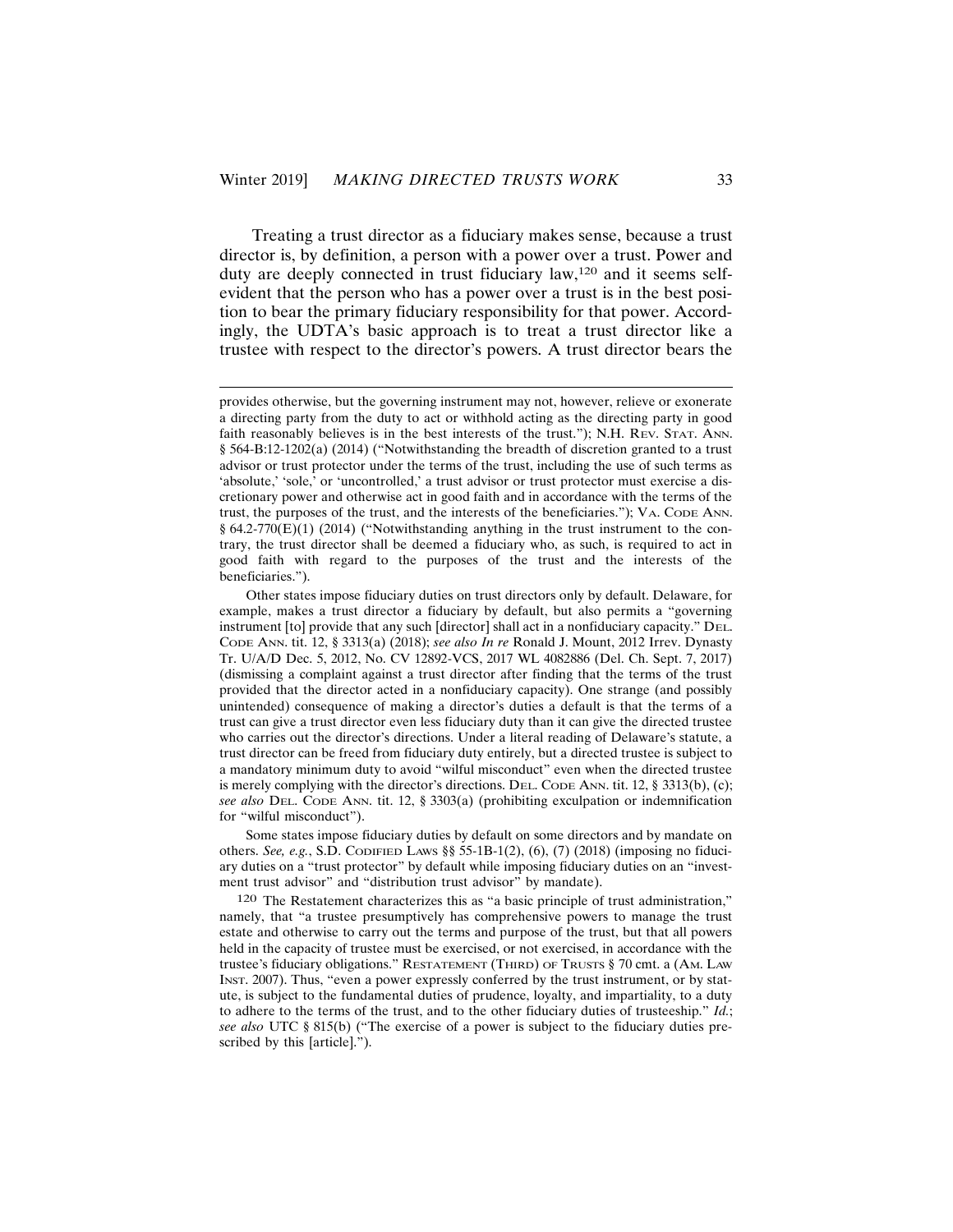Treating a trust director as a fiduciary makes sense, because a trust director is, by definition, a person with a power over a trust. Power and duty are deeply connected in trust fiduciary law,<sup>120</sup> and it seems selfevident that the person who has a power over a trust is in the best position to bear the primary fiduciary responsibility for that power. Accordingly, the UDTA's basic approach is to treat a trust director like a trustee with respect to the director's powers. A trust director bears the

Some states impose fiduciary duties by default on some directors and by mandate on others. See, e.g., S.D. CODIFIED LAWS §  $55-1B-1(2)$ , (6), (7) (2018) (imposing no fiduciary duties on a "trust protector" by default while imposing fiduciary duties on an "investment trust advisor" and "distribution trust advisor" by mandate).

120 The Restatement characterizes this as "a basic principle of trust administration," namely, that "a trustee presumptively has comprehensive powers to manage the trust estate and otherwise to carry out the terms and purpose of the trust, but that all powers held in the capacity of trustee must be exercised, or not exercised, in accordance with the trustee's fiduciary obligations." RESTATEMENT (THIRD) OF TRUSTS § 70 cmt. a (AM. LAW INST. 2007). Thus, "even a power expressly conferred by the trust instrument, or by statute, is subject to the fundamental duties of prudence, loyalty, and impartiality, to a duty to adhere to the terms of the trust, and to the other fiduciary duties of trusteeship."  $Id$ ; see also UTC § 815(b) ("The exercise of a power is subject to the fiduciary duties prescribed by this [article].").

provides otherwise, but the governing instrument may not, however, relieve or exonerate a directing party from the duty to act or withhold acting as the directing party in good faith reasonably believes is in the best interests of the trust."); N.H. REV. STAT. ANN. § 564-B:12-1202(a) (2014) ("Notwithstanding the breadth of discretion granted to a trust advisor or trust protector under the terms of the trust, including the use of such terms as 'absolute,' 'sole,' or 'uncontrolled,' a trust advisor or trust protector must exercise a discretionary power and otherwise act in good faith and in accordance with the terms of the trust, the purposes of the trust, and the interests of the beneficiaries."); VA. CODE ANN.  $§ 64.2-770(E)(1) (2014)$  ("Notwithstanding anything in the trust instrument to the contrary, the trust director shall be deemed a fiduciary who, as such, is required to act in good faith with regard to the purposes of the trust and the interests of the beneficiaries.").

Other states impose fiduciary duties on trust directors only by default. Delaware, for example, makes a trust director a fiduciary by default, but also permits a "governing" instrument [to] provide that any such [director] shall act in a nonfiduciary capacity." DEL. CODE ANN. tit. 12, § 3313(a) (2018); see also In re Ronald J. Mount, 2012 Irrev. Dynasty Tr. U/A/D Dec. 5, 2012, No. CV 12892-VCS, 2017 WL 4082886 (Del. Ch. Sept. 7, 2017) (dismissing a complaint against a trust director after finding that the terms of the trust provided that the director acted in a nonfiduciary capacity). One strange (and possibly unintended) consequence of making a director's duties a default is that the terms of a trust can give a trust director even less fiduciary duty than it can give the directed trustee who carries out the director's directions. Under a literal reading of Delaware's statute, a trust director can be freed from fiduciary duty entirely, but a directed trustee is subject to a mandatory minimum duty to avoid "wilful misconduct" even when the directed trustee is merely complying with the director's directions. DEL. CODE ANN. tit. 12,  $\S 3313(b)$ , (c); see also DEL. CODE ANN. tit. 12, § 3303(a) (prohibiting exculpation or indemnification for "wilful misconduct").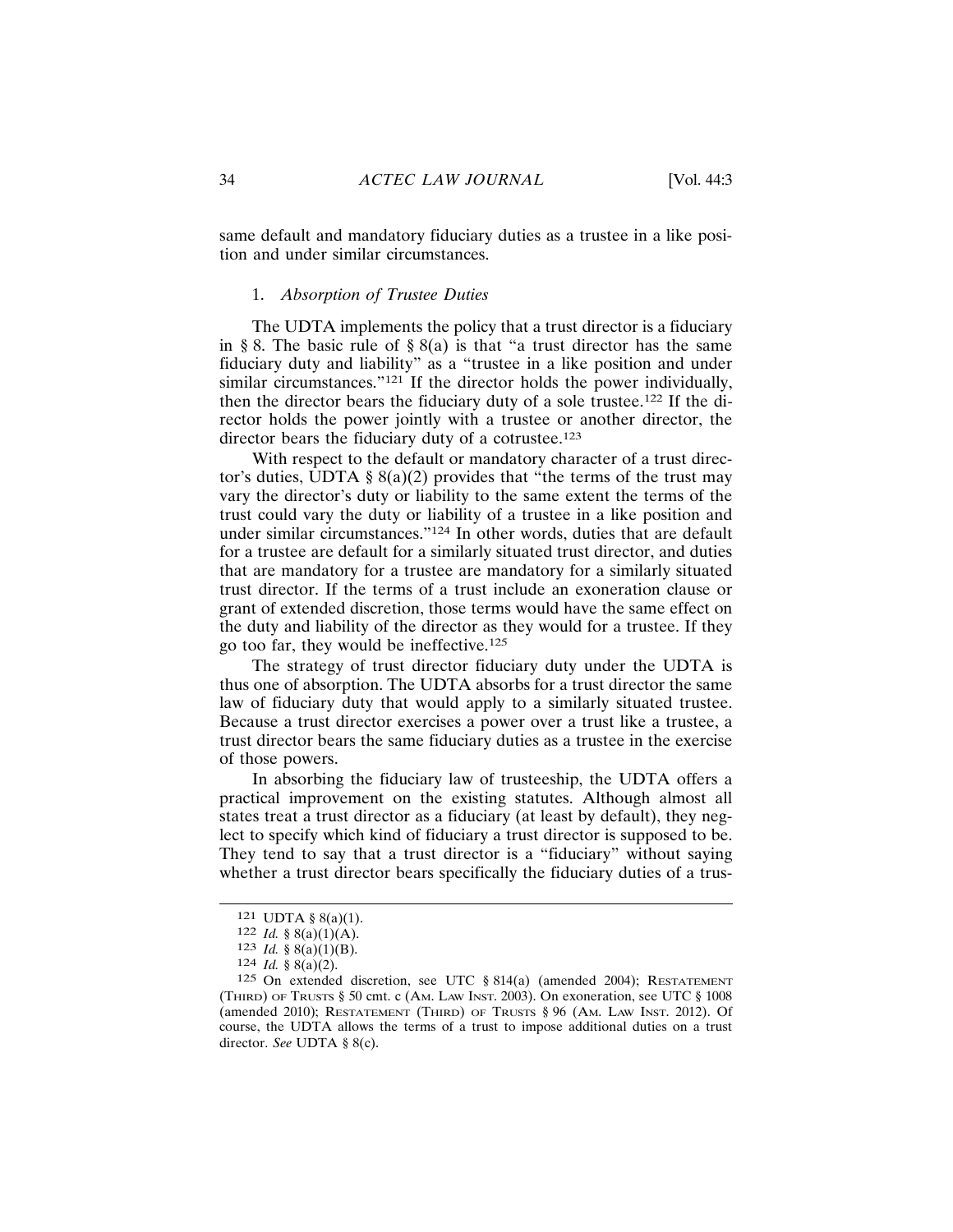same default and mandatory fiduciary duties as a trustee in a like position and under similar circumstances.

## 1. Absorption of Trustee Duties

The UDTA implements the policy that a trust director is a fiduciary in § 8. The basic rule of § 8(a) is that "a trust director has the same fiduciary duty and liability" as a "trustee in a like position and under similar circumstances."<sup>121</sup> If the director holds the power individually, then the director bears the fiduciary duty of a sole trustee.<sup>122</sup> If the director holds the power jointly with a trustee or another director, the director bears the fiduciary duty of a cotrustee.<sup>123</sup>

With respect to the default or mandatory character of a trust director's duties, UDTA  $\S 8(a)(2)$  provides that "the terms of the trust may vary the director's duty or liability to the same extent the terms of the trust could vary the duty or liability of a trustee in a like position and under similar circumstances."<sup>124</sup> In other words, duties that are default for a trustee are default for a similarly situated trust director, and duties that are mandatory for a trustee are mandatory for a similarly situated trust director. If the terms of a trust include an exoneration clause or grant of extended discretion, those terms would have the same effect on the duty and liability of the director as they would for a trustee. If they go too far, they would be ineffective.<sup>125</sup>

The strategy of trust director fiduciary duty under the UDTA is thus one of absorption. The UDTA absorbs for a trust director the same law of fiduciary duty that would apply to a similarly situated trustee. Because a trust director exercises a power over a trust like a trustee, a trust director bears the same fiduciary duties as a trustee in the exercise of those powers.

In absorbing the fiduciary law of trusteeship, the UDTA offers a practical improvement on the existing statutes. Although almost all states treat a trust director as a fiduciary (at least by default), they neglect to specify which kind of fiduciary a trust director is supposed to be. They tend to say that a trust director is a "fiduciary" without saying whether a trust director bears specifically the fiduciary duties of a trus-

<sup>121</sup> UDTA  $\S$  8(a)(1).

<sup>122</sup> *Id.* § 8(a)(1)(A).

<sup>123</sup> *Id.* § 8(a)(1)(B).

<sup>124</sup> *Id.* § 8(a)(2).

<sup>125</sup> On extended discretion, see UTC § 814(a) (amended 2004); RESTATEMENT (THIRD) OF TRUSTS § 50 cmt. c (AM. LAW INST. 2003). On exoneration, see UTC § 1008 (amended 2010); RESTATEMENT (THIRD) OF TRUSTS  $\S 96$  (AM. LAW INST. 2012). Of course, the UDTA allows the terms of a trust to impose additional duties on a trust director. See UDTA  $\S$  8(c).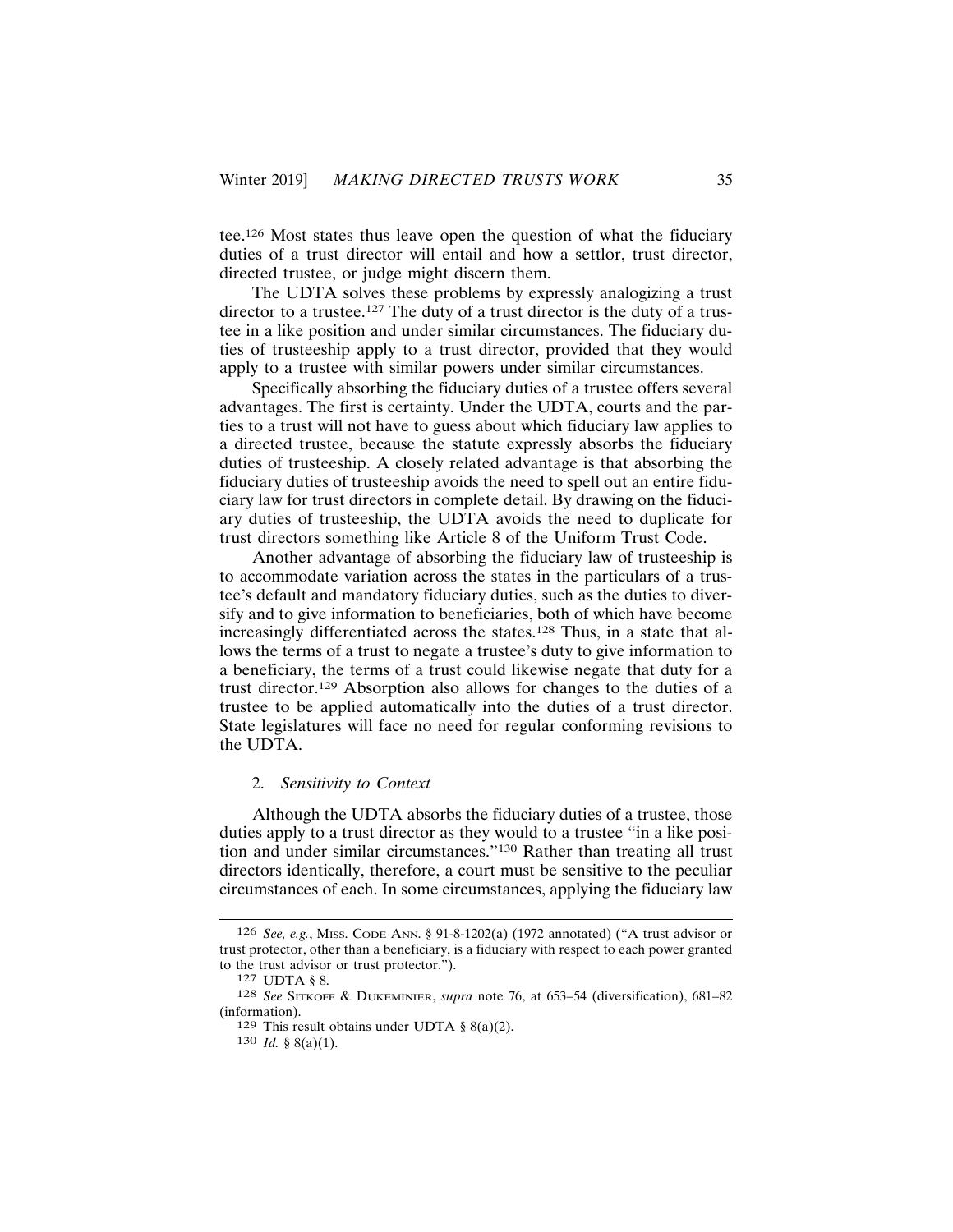tee.<sup>126</sup> Most states thus leave open the question of what the fiduciary duties of a trust director will entail and how a settlor, trust director, directed trustee, or judge might discern them.

The UDTA solves these problems by expressly analogizing a trust director to a trustee.<sup>127</sup> The duty of a trust director is the duty of a trustee in a like position and under similar circumstances. The fiduciary duties of trusteeship apply to a trust director, provided that they would apply to a trustee with similar powers under similar circumstances.

Specifically absorbing the fiduciary duties of a trustee offers several advantages. The first is certainty. Under the UDTA, courts and the parties to a trust will not have to guess about which fiduciary law applies to a directed trustee, because the statute expressly absorbs the fiduciary duties of trusteeship. A closely related advantage is that absorbing the fiduciary duties of trusteeship avoids the need to spell out an entire fiduciary law for trust directors in complete detail. By drawing on the fiduciary duties of trusteeship, the UDTA avoids the need to duplicate for trust directors something like Article 8 of the Uniform Trust Code.

Another advantage of absorbing the fiduciary law of trusteeship is to accommodate variation across the states in the particulars of a trustee's default and mandatory fiduciary duties, such as the duties to diversify and to give information to beneficiaries, both of which have become increasingly differentiated across the states.<sup>128</sup> Thus, in a state that allows the terms of a trust to negate a trustee's duty to give information to a beneficiary, the terms of a trust could likewise negate that duty for a trust director.<sup>129</sup> Absorption also allows for changes to the duties of a trustee to be applied automatically into the duties of a trust director. State legislatures will face no need for regular conforming revisions to the UDTA.

#### 2. Sensitivity to Context

Although the UDTA absorbs the fiduciary duties of a trustee, those duties apply to a trust director as they would to a trustee "in a like position and under similar circumstances."<sup>130</sup> Rather than treating all trust directors identically, therefore, a court must be sensitive to the peculiar circumstances of each. In some circumstances, applying the fiduciary law

<sup>126</sup> See, e.g., Miss. CODE ANN. § 91-8-1202(a) (1972 annotated) ("A trust advisor or trust protector, other than a beneficiary, is a fiduciary with respect to each power granted to the trust advisor or trust protector.").

<sup>127</sup> UDTA § 8.

<sup>128</sup> See SITKOFF & DUKEMINIER, supra note 76, at 653-54 (diversification), 681-82 (information).

<sup>129</sup> This result obtains under UDTA  $\S$  8(a)(2).

<sup>130</sup> *Id.* § 8(a)(1).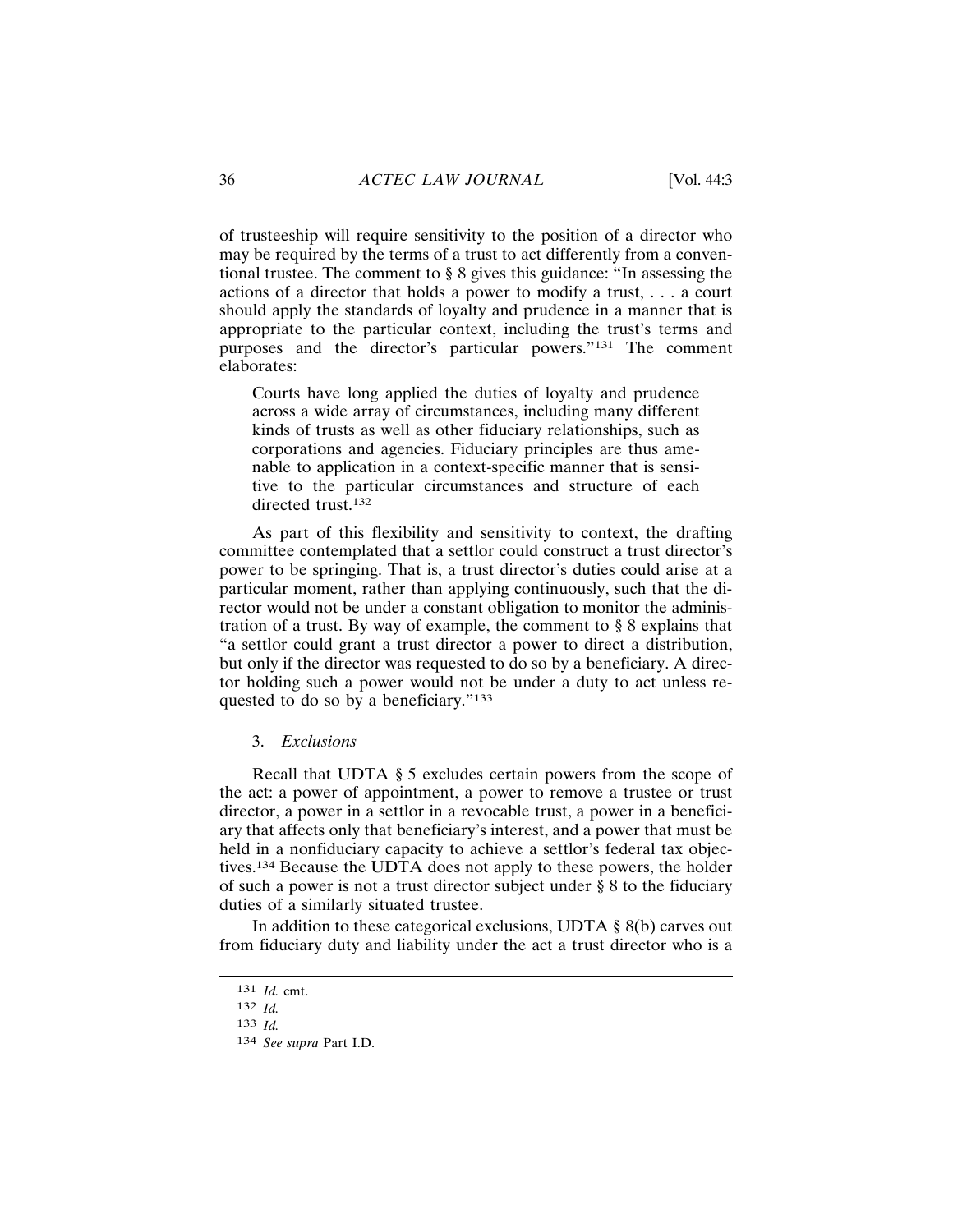of trusteeship will require sensitivity to the position of a director who may be required by the terms of a trust to act differently from a conventional trustee. The comment to § 8 gives this guidance: "In assessing the actions of a director that holds a power to modify a trust,  $\dots$  a court should apply the standards of loyalty and prudence in a manner that is appropriate to the particular context, including the trust's terms and purposes and the director's particular powers."<sup>131</sup> The comment elaborates:

Courts have long applied the duties of loyalty and prudence across a wide array of circumstances, including many different kinds of trusts as well as other fiduciary relationships, such as corporations and agencies. Fiduciary principles are thus amenable to application in a context-specific manner that is sensitive to the particular circumstances and structure of each directed trust.<sup>132</sup>

As part of this flexibility and sensitivity to context, the drafting committee contemplated that a settlor could construct a trust director's power to be springing. That is, a trust director's duties could arise at a particular moment, rather than applying continuously, such that the director would not be under a constant obligation to monitor the administration of a trust. By way of example, the comment to  $\S 8$  explains that "a settlor could grant a trust director a power to direct a distribution, but only if the director was requested to do so by a beneficiary. A director holding such a power would not be under a duty to act unless requested to do so by a beneficiary."133

#### 3. Exclusions

Recall that UDTA § 5 excludes certain powers from the scope of the act: a power of appointment, a power to remove a trustee or trust director, a power in a settlor in a revocable trust, a power in a beneficiary that affects only that beneficiary's interest, and a power that must be held in a nonfiduciary capacity to achieve a settlor's federal tax objectives.<sup>134</sup> Because the UDTA does not apply to these powers, the holder of such a power is not a trust director subject under  $\S 8$  to the fiduciary duties of a similarly situated trustee.

In addition to these categorical exclusions, UDTA  $\S$  8(b) carves out from fiduciary duty and liability under the act a trust director who is a

 $131$  *Id.* cmt.

<sup>132</sup>  $Id$ 

<sup>133</sup>  $Id$ 

<sup>134</sup> See supra Part I.D.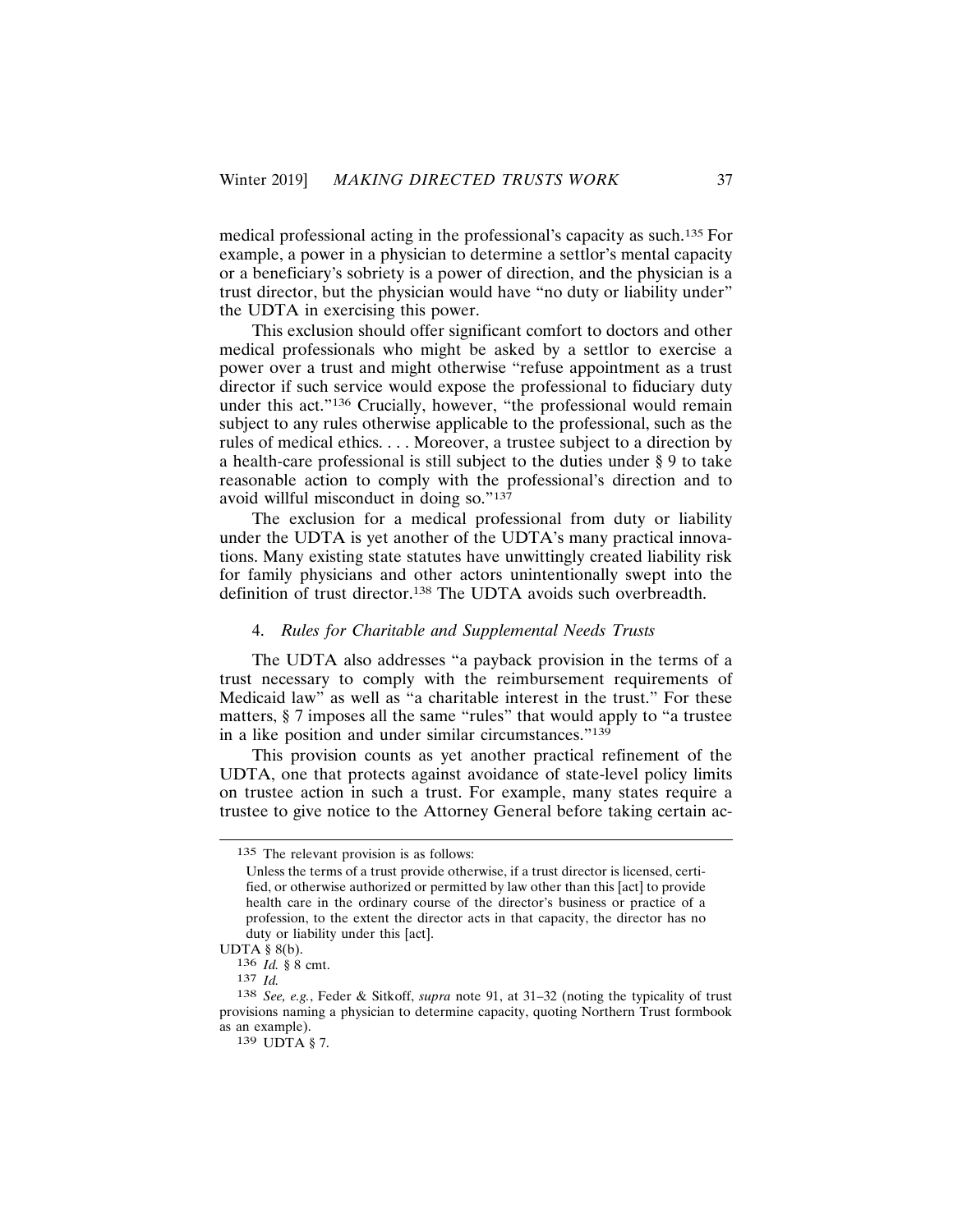medical professional acting in the professional's capacity as such.<sup>135</sup> For example, a power in a physician to determine a settlor's mental capacity or a beneficiary's sobriety is a power of direction, and the physician is a trust director, but the physician would have "no duty or liability under" the UDTA in exercising this power.

This exclusion should offer significant comfort to doctors and other medical professionals who might be asked by a settlor to exercise a power over a trust and might otherwise "refuse appointment as a trust director if such service would expose the professional to fiduciary duty under this act."<sup>136</sup> Crucially, however, "the professional would remain subject to any rules otherwise applicable to the professional, such as the rules of medical ethics.... Moreover, a trustee subject to a direction by a health-care professional is still subject to the duties under § 9 to take reasonable action to comply with the professional's direction and to avoid willful misconduct in doing so."137

The exclusion for a medical professional from duty or liability under the UDTA is yet another of the UDTA's many practical innovations. Many existing state statutes have unwittingly created liability risk for family physicians and other actors unintentionally swept into the definition of trust director.<sup>138</sup> The UDTA avoids such overbreadth.

## 4. Rules for Charitable and Supplemental Needs Trusts

The UDTA also addresses "a payback provision in the terms of a trust necessary to comply with the reimbursement requirements of Medicaid law" as well as "a charitable interest in the trust." For these matters, § 7 imposes all the same "rules" that would apply to "a trustee in a like position and under similar circumstances."139

This provision counts as yet another practical refinement of the UDTA, one that protects against avoidance of state-level policy limits on trustee action in such a trust. For example, many states require a trustee to give notice to the Attorney General before taking certain ac-

<sup>135</sup> The relevant provision is as follows:

Unless the terms of a trust provide otherwise, if a trust director is licensed, certified, or otherwise authorized or permitted by law other than this [act] to provide health care in the ordinary course of the director's business or practice of a profession, to the extent the director acts in that capacity, the director has no duty or liability under this [act].

UDTA  $\S$  8(b).

<sup>136</sup> *Id.* § 8 cmt.

 $137$  *Id.* 

<sup>138</sup> See, e.g., Feder & Sitkoff, supra note 91, at 31-32 (noting the typicality of trust provisions naming a physician to determine capacity, quoting Northern Trust formbook as an example).

<sup>139</sup> UDTA § 7.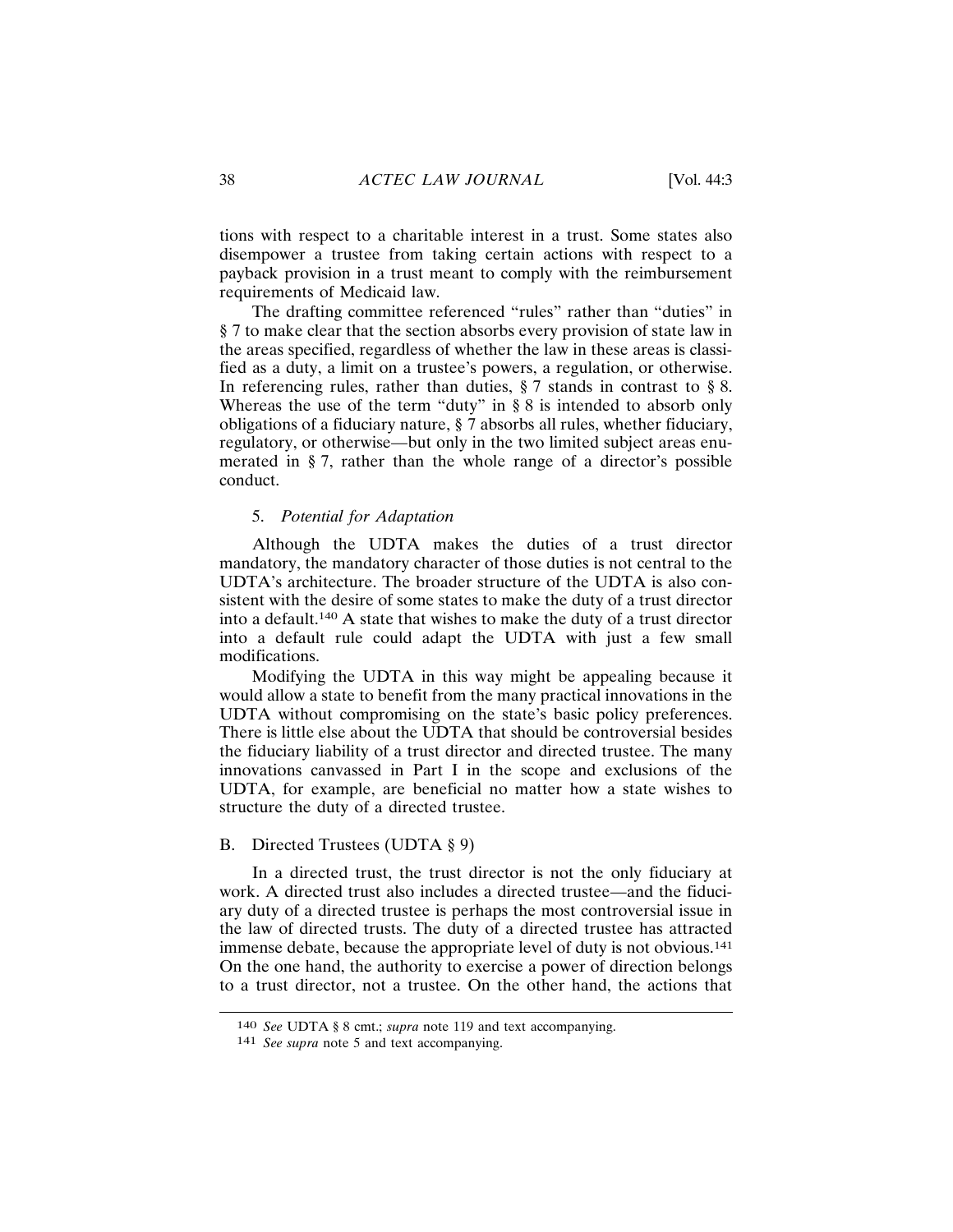tions with respect to a charitable interest in a trust. Some states also disempower a trustee from taking certain actions with respect to a payback provision in a trust meant to comply with the reimbursement requirements of Medicaid law.

The drafting committee referenced "rules" rather than "duties" in § 7 to make clear that the section absorbs every provision of state law in the areas specified, regardless of whether the law in these areas is classified as a duty, a limit on a trustee's powers, a regulation, or otherwise. In referencing rules, rather than duties,  $\S 7$  stands in contrast to  $\S 8$ . Whereas the use of the term "duty" in  $\S 8$  is intended to absorb only obligations of a fiduciary nature, § 7 absorbs all rules, whether fiduciary, regulatory, or otherwise—but only in the two limited subject areas enumerated in § 7, rather than the whole range of a director's possible conduct.

## 5. Potential for Adaptation

Although the UDTA makes the duties of a trust director mandatory, the mandatory character of those duties is not central to the UDTA's architecture. The broader structure of the UDTA is also consistent with the desire of some states to make the duty of a trust director into a default.<sup>140</sup> A state that wishes to make the duty of a trust director into a default rule could adapt the UDTA with just a few small modifications.

Modifying the UDTA in this way might be appealing because it would allow a state to benefit from the many practical innovations in the UDTA without compromising on the state's basic policy preferences. There is little else about the UDTA that should be controversial besides the fiduciary liability of a trust director and directed trustee. The many innovations canvassed in Part I in the scope and exclusions of the UDTA, for example, are beneficial no matter how a state wishes to structure the duty of a directed trustee.

#### B. Directed Trustees (UDTA § 9)

In a directed trust, the trust director is not the only fiduciary at work. A directed trust also includes a directed trustee—and the fiduciary duty of a directed trustee is perhaps the most controversial issue in the law of directed trusts. The duty of a directed trustee has attracted immense debate, because the appropriate level of duty is not obvious.<sup>141</sup> On the one hand, the authority to exercise a power of direction belongs to a trust director, not a trustee. On the other hand, the actions that

<sup>140</sup> See UDTA § 8 cmt.; supra note 119 and text accompanying.

<sup>141</sup> See supra note 5 and text accompanying.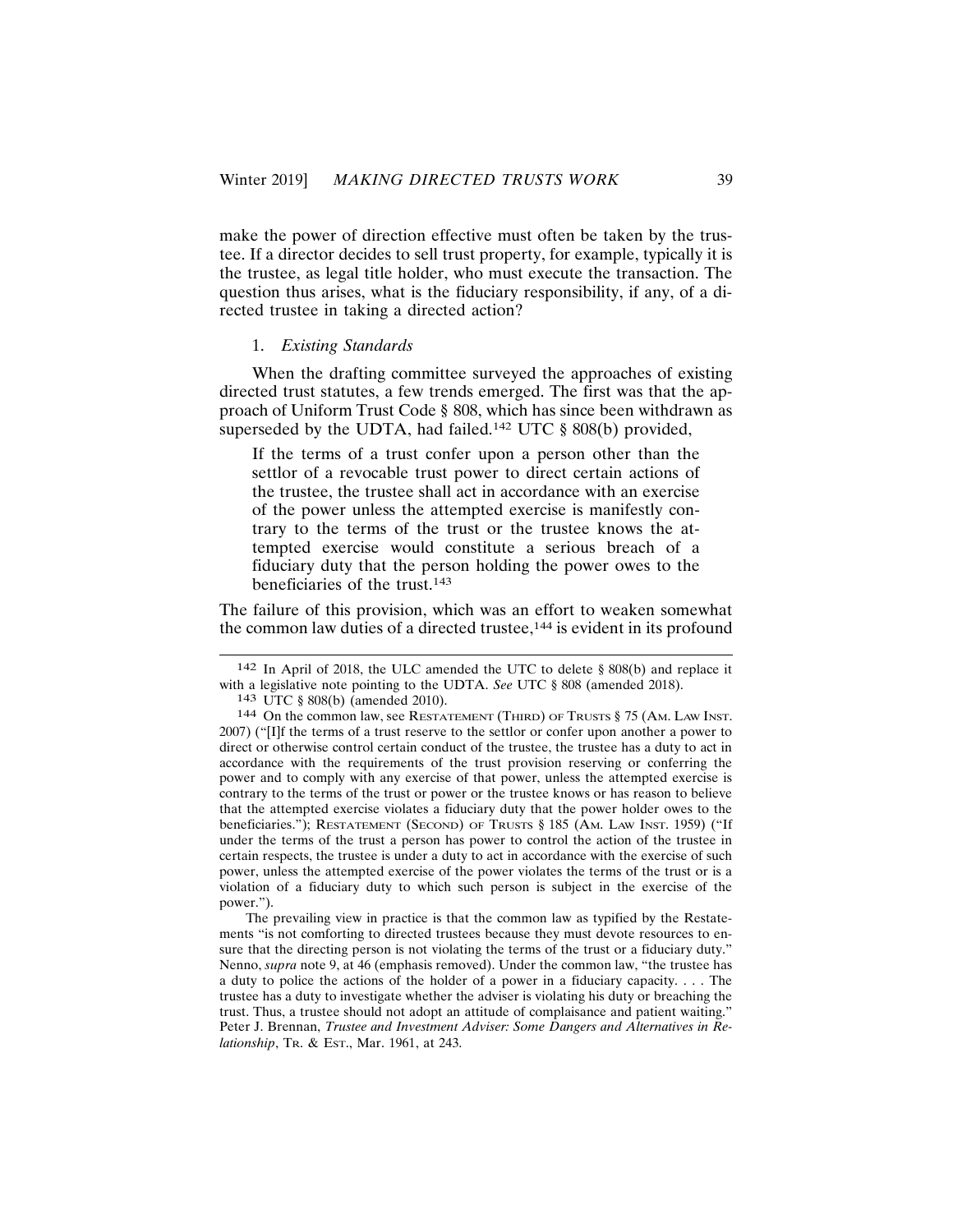make the power of direction effective must often be taken by the trustee. If a director decides to sell trust property, for example, typically it is the trustee, as legal title holder, who must execute the transaction. The question thus arises, what is the fiduciary responsibility, if any, of a directed trustee in taking a directed action?

## 1. Existing Standards

When the drafting committee surveyed the approaches of existing directed trust statutes, a few trends emerged. The first was that the approach of Uniform Trust Code § 808, which has since been withdrawn as superseded by the UDTA, had failed.<sup>142</sup> UTC  $\S$  808(b) provided,

If the terms of a trust confer upon a person other than the settlor of a revocable trust power to direct certain actions of the trustee, the trustee shall act in accordance with an exercise of the power unless the attempted exercise is manifestly contrary to the terms of the trust or the trustee knows the attempted exercise would constitute a serious breach of a fiduciary duty that the person holding the power owes to the beneficiaries of the trust.<sup>143</sup>

The failure of this provision, which was an effort to weaken somewhat the common law duties of a directed trustee,<sup>144</sup> is evident in its profound

<sup>142</sup> In April of 2018, the ULC amended the UTC to delete § 808(b) and replace it with a legislative note pointing to the UDTA. See UTC § 808 (amended 2018).

<sup>143</sup> UTC § 808(b) (amended 2010).

<sup>144</sup> On the common law, see RESTATEMENT (THIRD) OF TRUSTS § 75 (AM. LAW INST. 2007) ("[I]f the terms of a trust reserve to the settlor or confer upon another a power to direct or otherwise control certain conduct of the trustee, the trustee has a duty to act in accordance with the requirements of the trust provision reserving or conferring the power and to comply with any exercise of that power, unless the attempted exercise is contrary to the terms of the trust or power or the trustee knows or has reason to believe that the attempted exercise violates a fiduciary duty that the power holder owes to the beneficiaries."); RESTATEMENT (SECOND) OF TRUSTS § 185 (AM. LAW INST. 1959) ("If under the terms of the trust a person has power to control the action of the trustee in certain respects, the trustee is under a duty to act in accordance with the exercise of such power, unless the attempted exercise of the power violates the terms of the trust or is a violation of a fiduciary duty to which such person is subject in the exercise of the power.").

The prevailing view in practice is that the common law as typified by the Restatements "is not comforting to directed trustees because they must devote resources to ensure that the directing person is not violating the terms of the trust or a fiduciary duty." Nenno, *supra* note 9, at 46 (emphasis removed). Under the common law, "the trustee has a duty to police the actions of the holder of a power in a fiduciary capacity.... The trustee has a duty to investigate whether the adviser is violating his duty or breaching the trust. Thus, a trustee should not adopt an attitude of complaisance and patient waiting." Peter J. Brennan, Trustee and Investment Adviser: Some Dangers and Alternatives in Relationship, TR. & Est., Mar. 1961, at 243.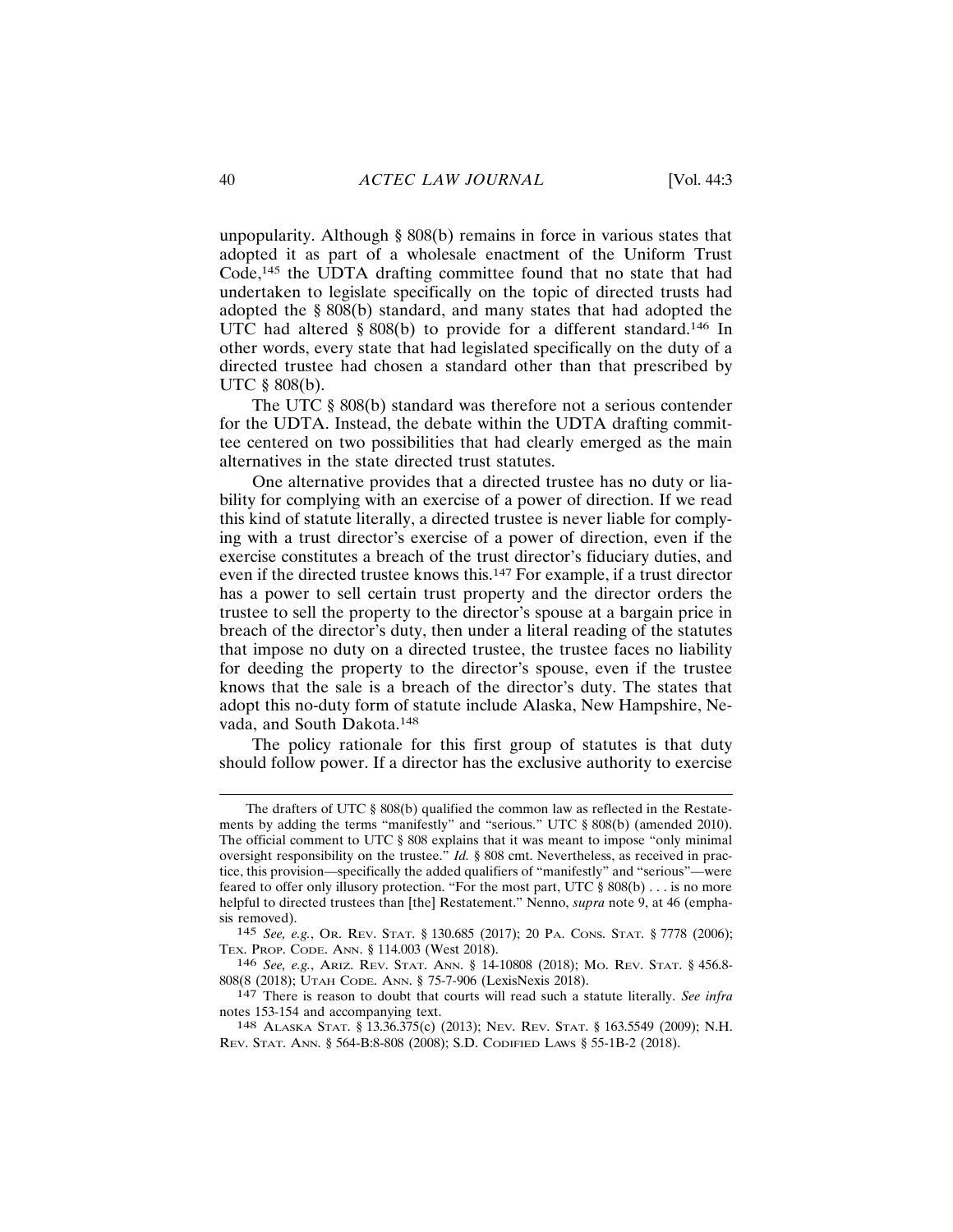unpopularity. Although § 808(b) remains in force in various states that adopted it as part of a wholesale enactment of the Uniform Trust Code,<sup>145</sup> the UDTA drafting committee found that no state that had undertaken to legislate specifically on the topic of directed trusts had adopted the § 808(b) standard, and many states that had adopted the UTC had altered  $\S 808(b)$  to provide for a different standard.<sup>146</sup> In other words, every state that had legislated specifically on the duty of a directed trustee had chosen a standard other than that prescribed by UTC  $$808(b)$ .

The UTC  $\S$  808(b) standard was therefore not a serious contender for the UDTA. Instead, the debate within the UDTA drafting committee centered on two possibilities that had clearly emerged as the main alternatives in the state directed trust statutes.

One alternative provides that a directed trustee has no duty or liability for complying with an exercise of a power of direction. If we read this kind of statute literally, a directed trustee is never liable for complying with a trust director's exercise of a power of direction, even if the exercise constitutes a breach of the trust director's fiduciary duties, and even if the directed trustee knows this.<sup>147</sup> For example, if a trust director has a power to sell certain trust property and the director orders the trustee to sell the property to the director's spouse at a bargain price in breach of the director's duty, then under a literal reading of the statutes that impose no duty on a directed trustee, the trustee faces no liability for deeding the property to the director's spouse, even if the trustee knows that the sale is a breach of the director's duty. The states that adopt this no-duty form of statute include Alaska, New Hampshire, Nevada, and South Dakota.<sup>148</sup>

The policy rationale for this first group of statutes is that duty should follow power. If a director has the exclusive authority to exercise

The drafters of UTC  $\S$  808(b) qualified the common law as reflected in the Restatements by adding the terms "manifestly" and "serious." UTC § 808(b) (amended 2010). The official comment to UTC  $\S$  808 explains that it was meant to impose "only minimal" oversight responsibility on the trustee." Id. § 808 cmt. Nevertheless, as received in practice, this provision—specifically the added qualifiers of "manifestly" and "serious"—were feared to offer only illusory protection. "For the most part, UTC § 808(b) . . . is no more helpful to directed trustees than [the] Restatement." Nenno, *supra* note 9, at 46 (emphasis removed).

<sup>145</sup> See, e.g., Or. REV. STAT. § 130.685 (2017); 20 PA. CONS. STAT. § 7778 (2006); TEX. PROP. CODE. ANN. § 114.003 (West 2018).

<sup>146</sup> See, e.g., Ariz. REV. STAT. ANN. § 14-10808 (2018); Mo. REV. STAT. § 456.8-808(8 (2018); UTAH CODE. ANN. § 75-7-906 (LexisNexis 2018).

<sup>147</sup> There is reason to doubt that courts will read such a statute literally. See infra notes 153-154 and accompanying text.

<sup>148</sup> ALASKA STAT. § 13.36.375(c) (2013); NEV. REV. STAT. § 163.5549 (2009); N.H. REV. STAT. ANN. § 564-B:8-808 (2008); S.D. CODIFIED LAWS § 55-1B-2 (2018).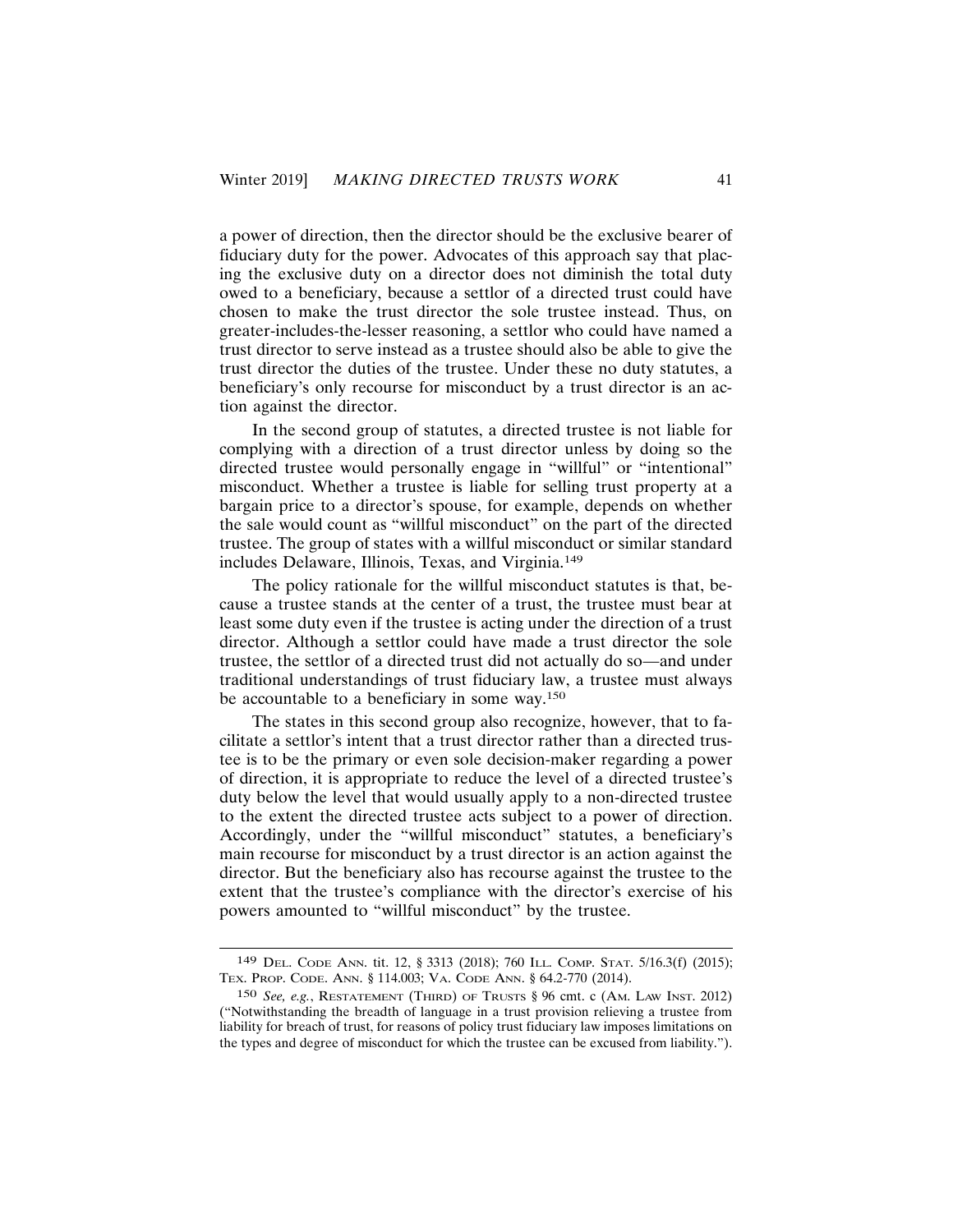a power of direction, then the director should be the exclusive bearer of fiduciary duty for the power. Advocates of this approach say that placing the exclusive duty on a director does not diminish the total duty owed to a beneficiary, because a settlor of a directed trust could have chosen to make the trust director the sole trustee instead. Thus, on greater-includes-the-lesser reasoning, a settlor who could have named a trust director to serve instead as a trustee should also be able to give the trust director the duties of the trustee. Under these no duty statutes, a beneficiary's only recourse for misconduct by a trust director is an action against the director.

In the second group of statutes, a directed trustee is not liable for complying with a direction of a trust director unless by doing so the directed trustee would personally engage in "willful" or "intentional" misconduct. Whether a trustee is liable for selling trust property at a bargain price to a director's spouse, for example, depends on whether the sale would count as "willful misconduct" on the part of the directed trustee. The group of states with a willful misconduct or similar standard includes Delaware, Illinois, Texas, and Virginia.<sup>149</sup>

The policy rationale for the willful misconduct statutes is that, because a trustee stands at the center of a trust, the trustee must bear at least some duty even if the trustee is acting under the direction of a trust director. Although a settlor could have made a trust director the sole trustee, the settlor of a directed trust did not actually do so—and under traditional understandings of trust fiduciary law, a trustee must always be accountable to a beneficiary in some way.<sup>150</sup>

The states in this second group also recognize, however, that to facilitate a settlor's intent that a trust director rather than a directed trustee is to be the primary or even sole decision-maker regarding a power of direction, it is appropriate to reduce the level of a directed trustee's duty below the level that would usually apply to a non-directed trustee to the extent the directed trustee acts subject to a power of direction. Accordingly, under the "willful misconduct" statutes, a beneficiary's main recourse for misconduct by a trust director is an action against the director. But the beneficiary also has recourse against the trustee to the extent that the trustee's compliance with the director's exercise of his powers amounted to "willful misconduct" by the trustee.

<sup>149</sup> DEL. CODE ANN. tit. 12, § 3313 (2018); 760 ILL. COMP. STAT. 5/16.3(f) (2015); TEX. PROP. CODE. ANN. § 114.003; VA. CODE ANN. § 64.2-770 (2014).

<sup>150</sup> See, e.g., RESTATEMENT (THIRD) OF TRUSTS § 96 cmt. c (AM. LAW INST. 2012) ("Notwithstanding the breadth of language in a trust provision relieving a trustee from liability for breach of trust, for reasons of policy trust fiduciary law imposes limitations on the types and degree of misconduct for which the trustee can be excused from liability.").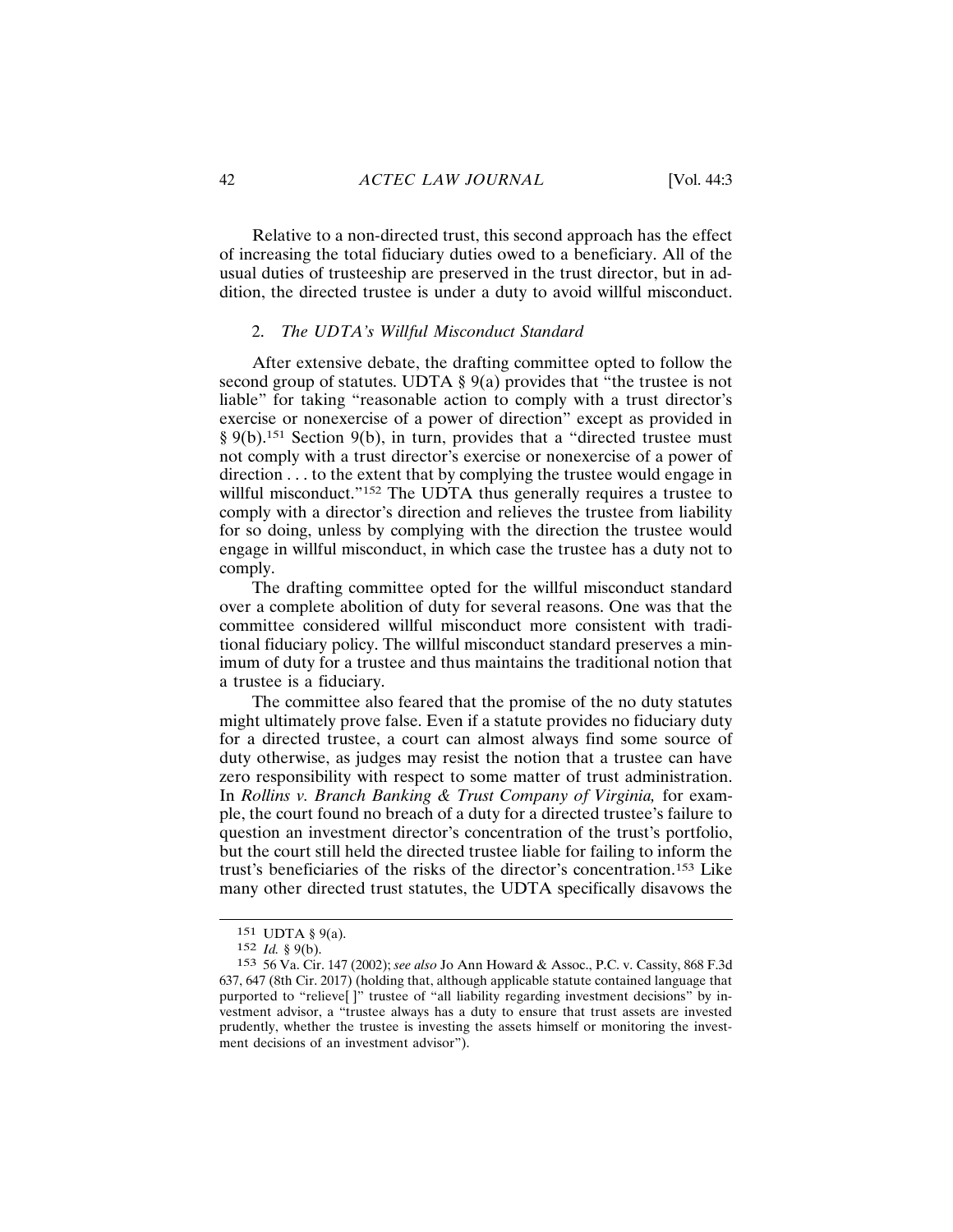Relative to a non-directed trust, this second approach has the effect of increasing the total fiduciary duties owed to a beneficiary. All of the usual duties of trusteeship are preserved in the trust director, but in addition, the directed trustee is under a duty to avoid willful misconduct.

#### 2. The UDTA's Willful Misconduct Standard

After extensive debate, the drafting committee opted to follow the second group of statutes. UDTA  $\S$  9(a) provides that "the trustee is not liable" for taking "reasonable action to comply with a trust director's exercise or nonexercise of a power of direction" except as provided in  $\S$  9(b).<sup>151</sup> Section 9(b), in turn, provides that a "directed trustee must not comply with a trust director's exercise or nonexercise of a power of direction . . . to the extent that by complying the trustee would engage in willful misconduct."<sup>152</sup> The UDTA thus generally requires a trustee to comply with a director's direction and relieves the trustee from liability for so doing, unless by complying with the direction the trustee would engage in willful misconduct, in which case the trustee has a duty not to comply.

The drafting committee opted for the willful misconduct standard over a complete abolition of duty for several reasons. One was that the committee considered willful misconduct more consistent with traditional fiduciary policy. The willful misconduct standard preserves a minimum of duty for a trustee and thus maintains the traditional notion that a trustee is a fiduciary.

The committee also feared that the promise of the no duty statutes might ultimately prove false. Even if a statute provides no fiduciary duty for a directed trustee, a court can almost always find some source of duty otherwise, as judges may resist the notion that a trustee can have zero responsibility with respect to some matter of trust administration. In Rollins v. Branch Banking & Trust Company of Virginia, for example, the court found no breach of a duty for a directed trustee's failure to question an investment director's concentration of the trust's portfolio, but the court still held the directed trustee liable for failing to inform the trust's beneficiaries of the risks of the director's concentration.<sup>153</sup> Like many other directed trust statutes, the UDTA specifically disavows the

<sup>151</sup> UDTA § 9(a).

<sup>152</sup> *Id.* § 9(b).

<sup>153 56</sup> Va. Cir. 147 (2002); see also Jo Ann Howard & Assoc., P.C. v. Cassity, 868 F.3d 637, 647 (8th Cir. 2017) (holding that, although applicable statute contained language that purported to "relieve[]" trustee of "all liability regarding investment decisions" by investment advisor, a "trustee always has a duty to ensure that trust assets are invested prudently, whether the trustee is investing the assets himself or monitoring the investment decisions of an investment advisor").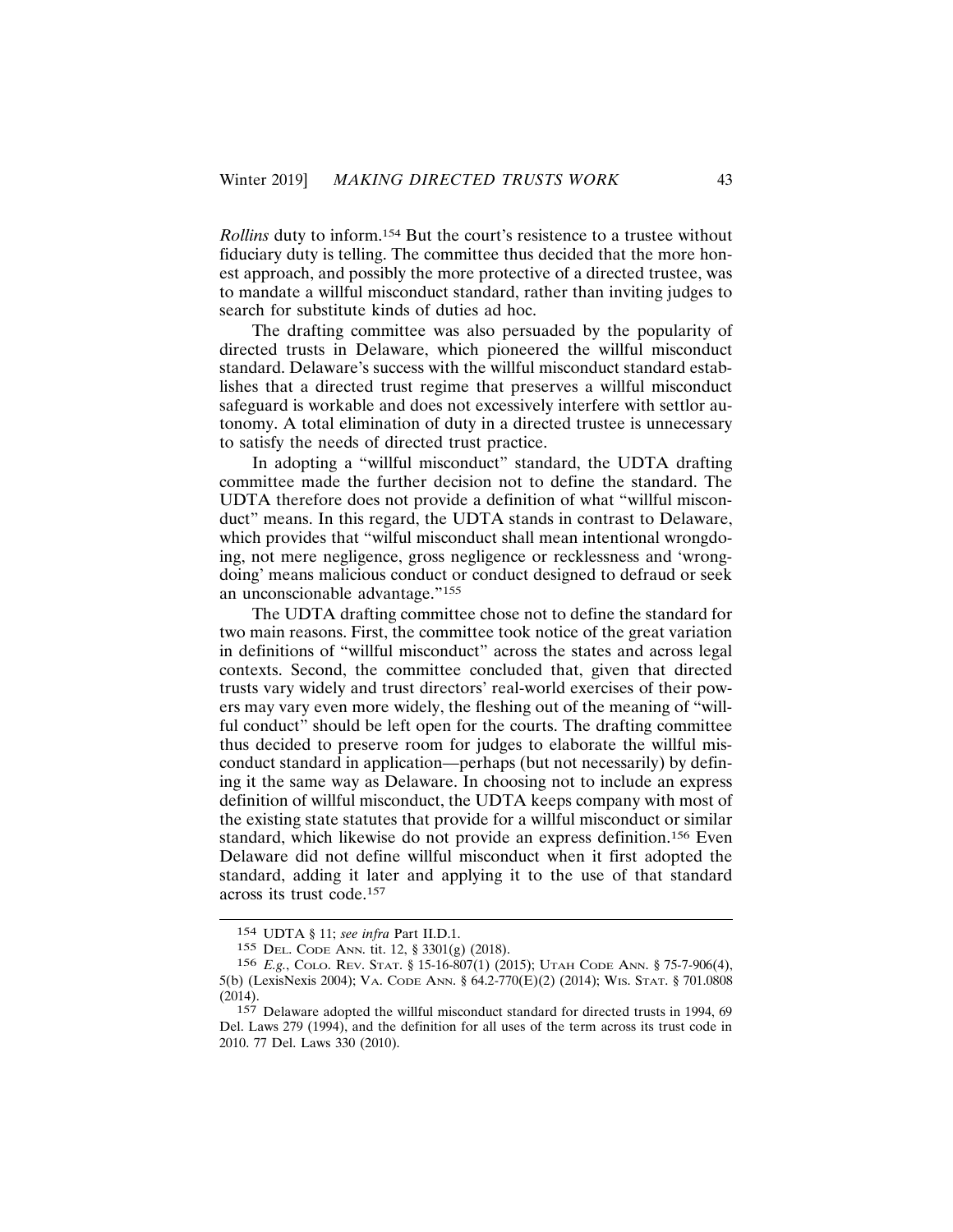Rollins duty to inform.<sup>154</sup> But the court's resistence to a trustee without fiduciary duty is telling. The committee thus decided that the more honest approach, and possibly the more protective of a directed trustee, was to mandate a willful misconduct standard, rather than inviting judges to search for substitute kinds of duties ad hoc.

The drafting committee was also persuaded by the popularity of directed trusts in Delaware, which pioneered the willful misconduct standard. Delaware's success with the willful misconduct standard establishes that a directed trust regime that preserves a willful misconduct safeguard is workable and does not excessively interfere with settlor autonomy. A total elimination of duty in a directed trustee is unnecessary to satisfy the needs of directed trust practice.

In adopting a "willful misconduct" standard, the UDTA drafting committee made the further decision not to define the standard. The UDTA therefore does not provide a definition of what "willful misconduct" means. In this regard, the UDTA stands in contrast to Delaware, which provides that "wilful misconduct shall mean intentional wrongdoing, not mere negligence, gross negligence or recklessness and 'wrongdoing' means malicious conduct or conduct designed to defraud or seek an unconscionable advantage."155

The UDTA drafting committee chose not to define the standard for two main reasons. First, the committee took notice of the great variation in definitions of "willful misconduct" across the states and across legal contexts. Second, the committee concluded that, given that directed trusts vary widely and trust directors' real-world exercises of their powers may vary even more widely, the fleshing out of the meaning of "willful conduct" should be left open for the courts. The drafting committee thus decided to preserve room for judges to elaborate the willful misconduct standard in application—perhaps (but not necessarily) by defining it the same way as Delaware. In choosing not to include an express definition of willful misconduct, the UDTA keeps company with most of the existing state statutes that provide for a willful misconduct or similar standard, which likewise do not provide an express definition.<sup>156</sup> Even Delaware did not define willful misconduct when it first adopted the standard, adding it later and applying it to the use of that standard across its trust code.<sup>157</sup>

<sup>154</sup> UDTA § 11; see infra Part II.D.1.

<sup>155</sup> DEL. CODE ANN. tit. 12, § 3301(g) (2018).

<sup>156</sup> E.g., COLO. REV. STAT. § 15-16-807(1) (2015); UTAH CODE ANN. § 75-7-906(4), 5(b) (LexisNexis 2004); VA. CODE ANN. § 64.2-770(E)(2) (2014); WIS. STAT. § 701.0808  $(2014).$ 

<sup>157</sup> Delaware adopted the willful misconduct standard for directed trusts in 1994, 69 Del. Laws 279 (1994), and the definition for all uses of the term across its trust code in 2010. 77 Del. Laws 330 (2010).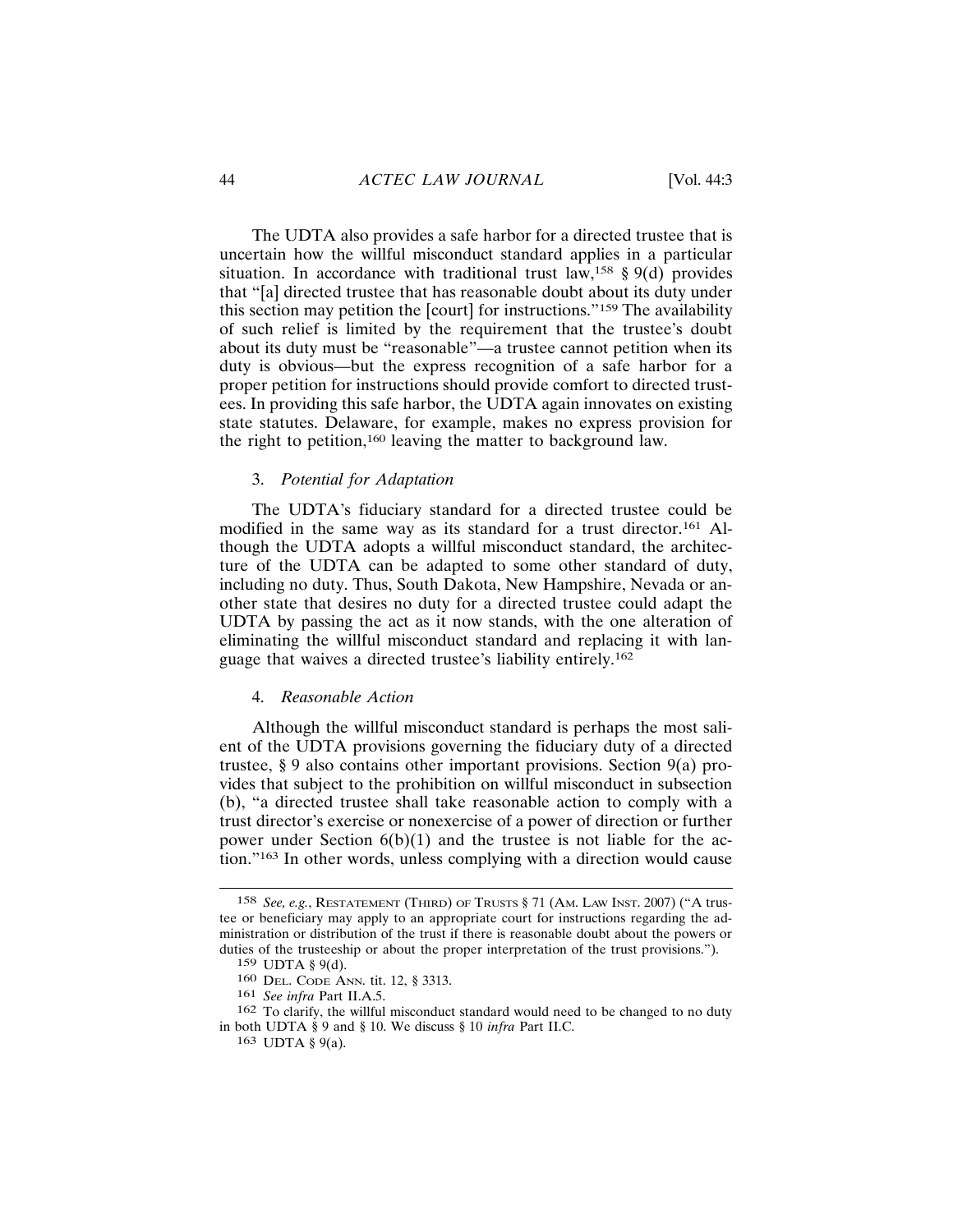The UDTA also provides a safe harbor for a directed trustee that is uncertain how the willful misconduct standard applies in a particular situation. In accordance with traditional trust  $law$ ,<sup>158</sup> § 9(d) provides that "[a] directed trustee that has reasonable doubt about its duty under this section may petition the [court] for instructions."<sup>159</sup> The availability of such relief is limited by the requirement that the trustee's doubt about its duty must be "reasonable"—a trustee cannot petition when its duty is obvious—but the express recognition of a safe harbor for a proper petition for instructions should provide comfort to directed trustees. In providing this safe harbor, the UDTA again innovates on existing state statutes. Delaware, for example, makes no express provision for the right to petition,<sup>160</sup> leaving the matter to background law.

#### 3. Potential for Adaptation

The UDTA's fiduciary standard for a directed trustee could be modified in the same way as its standard for a trust director.<sup>161</sup> Although the UDTA adopts a willful misconduct standard, the architecture of the UDTA can be adapted to some other standard of duty, including no duty. Thus, South Dakota, New Hampshire, Nevada or another state that desires no duty for a directed trustee could adapt the UDTA by passing the act as it now stands, with the one alteration of eliminating the willful misconduct standard and replacing it with language that waives a directed trustee's liability entirely.<sup>162</sup>

#### 4. Reasonable Action

Although the willful misconduct standard is perhaps the most salient of the UDTA provisions governing the fiduciary duty of a directed trustee,  $\S 9$  also contains other important provisions. Section  $9(a)$  provides that subject to the prohibition on willful misconduct in subsection (b), "a directed trustee shall take reasonable action to comply with a trust director's exercise or nonexercise of a power of direction or further power under Section  $6(b)(1)$  and the trustee is not liable for the action."<sup>163</sup> In other words, unless complying with a direction would cause

<sup>158</sup> See, e.g., RESTATEMENT (THIRD) OF TRUSTS § 71 (AM. LAW INST. 2007) ("A trustee or beneficiary may apply to an appropriate court for instructions regarding the administration or distribution of the trust if there is reasonable doubt about the powers or duties of the trusteeship or about the proper interpretation of the trust provisions.").

<sup>159</sup> UDTA § 9(d).

<sup>160</sup> DEL. CODE ANN. tit. 12, § 3313.

<sup>161</sup> See infra Part II.A.5.

<sup>162</sup> To clarify, the willful misconduct standard would need to be changed to no duty in both UDTA § 9 and § 10. We discuss § 10 infra Part II.C.

<sup>163</sup> UDTA § 9(a).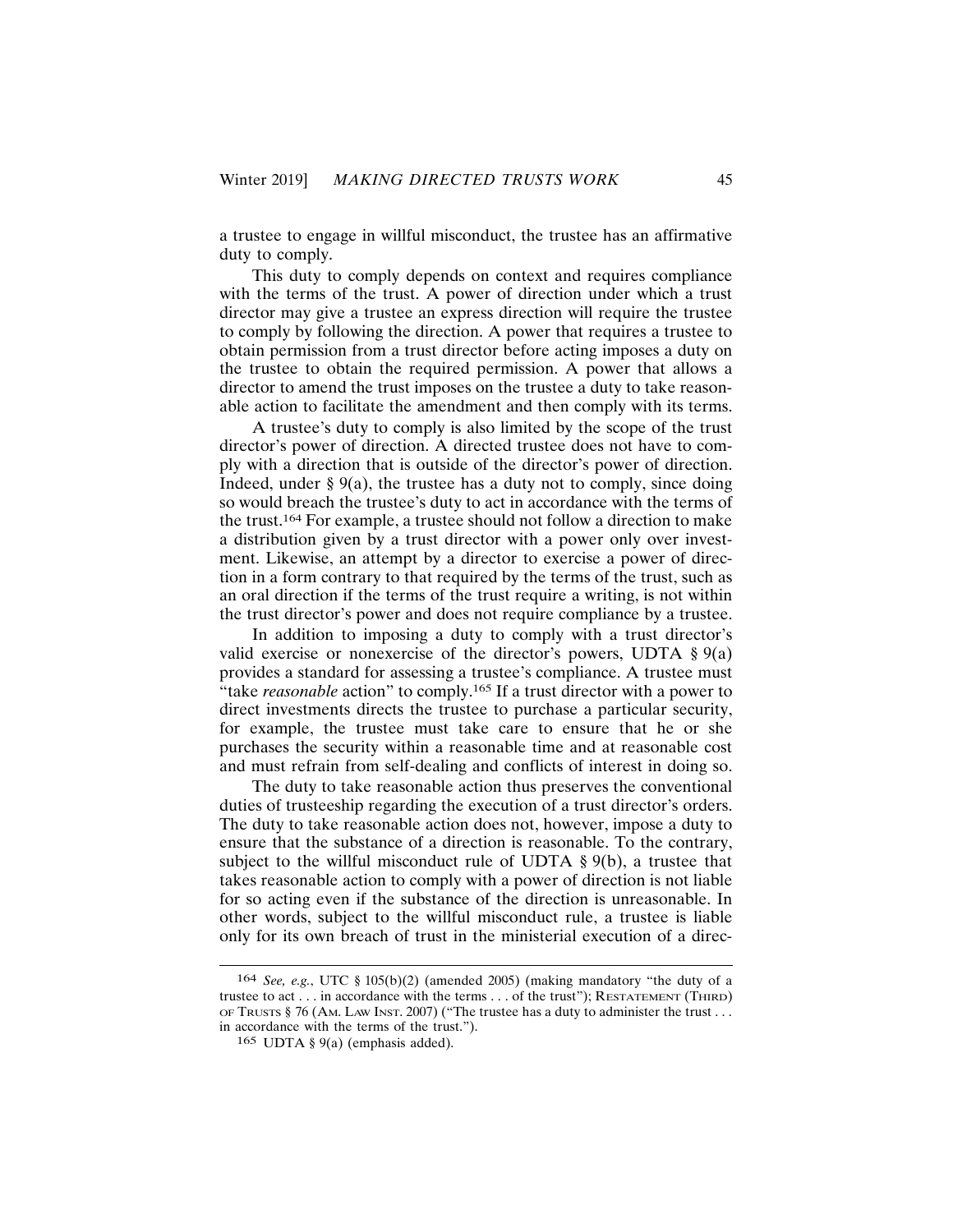a trustee to engage in willful misconduct, the trustee has an affirmative duty to comply.

This duty to comply depends on context and requires compliance with the terms of the trust. A power of direction under which a trust director may give a trustee an express direction will require the trustee to comply by following the direction. A power that requires a trustee to obtain permission from a trust director before acting imposes a duty on the trustee to obtain the required permission. A power that allows a director to amend the trust imposes on the trustee a duty to take reasonable action to facilitate the amendment and then comply with its terms.

A trustee's duty to comply is also limited by the scope of the trust director's power of direction. A directed trustee does not have to comply with a direction that is outside of the director's power of direction. Indeed, under  $\S$  9(a), the trustee has a duty not to comply, since doing so would breach the trustee's duty to act in accordance with the terms of the trust.<sup>164</sup> For example, a trustee should not follow a direction to make a distribution given by a trust director with a power only over investment. Likewise, an attempt by a director to exercise a power of direction in a form contrary to that required by the terms of the trust, such as an oral direction if the terms of the trust require a writing, is not within the trust director's power and does not require compliance by a trustee.

In addition to imposing a duty to comply with a trust director's valid exercise or nonexercise of the director's powers, UDTA  $\S 9(a)$ provides a standard for assessing a trustee's compliance. A trustee must "take reasonable action" to comply.<sup>165</sup> If a trust director with a power to direct investments directs the trustee to purchase a particular security, for example, the trustee must take care to ensure that he or she purchases the security within a reasonable time and at reasonable cost and must refrain from self-dealing and conflicts of interest in doing so.

The duty to take reasonable action thus preserves the conventional duties of trusteeship regarding the execution of a trust director's orders. The duty to take reasonable action does not, however, impose a duty to ensure that the substance of a direction is reasonable. To the contrary, subject to the willful misconduct rule of UDTA  $\S 9(b)$ , a trustee that takes reasonable action to comply with a power of direction is not liable for so acting even if the substance of the direction is unreasonable. In other words, subject to the willful misconduct rule, a trustee is liable only for its own breach of trust in the ministerial execution of a direc-

<sup>164</sup> See, e.g., UTC § 105(b)(2) (amended 2005) (making mandatory "the duty of a trustee to act... in accordance with the terms... of the trust");  $R$ ESTATEMENT (THIRD) OF TRUSTS § 76 (AM. LAW INST. 2007) ("The trustee has a duty to administer the trust... in accordance with the terms of the trust.").

<sup>165</sup> UDTA § 9(a) (emphasis added).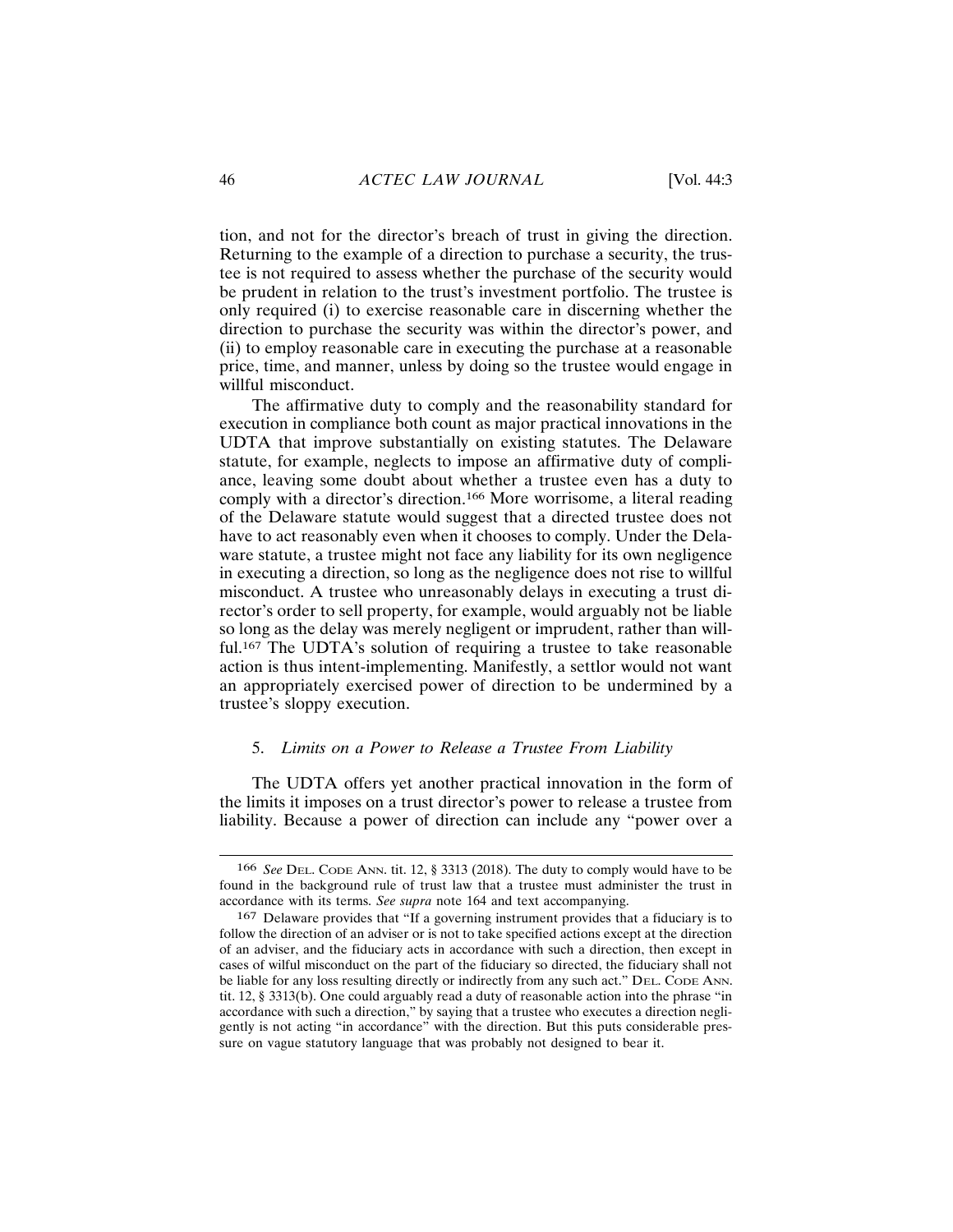tion, and not for the director's breach of trust in giving the direction. Returning to the example of a direction to purchase a security, the trustee is not required to assess whether the purchase of the security would be prudent in relation to the trust's investment portfolio. The trustee is only required (i) to exercise reasonable care in discerning whether the direction to purchase the security was within the director's power, and (ii) to employ reasonable care in executing the purchase at a reasonable price, time, and manner, unless by doing so the trustee would engage in willful misconduct.

The affirmative duty to comply and the reasonability standard for execution in compliance both count as major practical innovations in the UDTA that improve substantially on existing statutes. The Delaware statute, for example, neglects to impose an affirmative duty of compliance, leaving some doubt about whether a trustee even has a duty to comply with a director's direction.<sup>166</sup> More worrisome, a literal reading of the Delaware statute would suggest that a directed trustee does not have to act reasonably even when it chooses to comply. Under the Delaware statute, a trustee might not face any liability for its own negligence in executing a direction, so long as the negligence does not rise to willful misconduct. A trustee who unreasonably delays in executing a trust director's order to sell property, for example, would arguably not be liable so long as the delay was merely negligent or imprudent, rather than willful.<sup>167</sup> The UDTA's solution of requiring a trustee to take reasonable action is thus intent-implementing. Manifestly, a settlor would not want an appropriately exercised power of direction to be undermined by a trustee's sloppy execution.

## 5. Limits on a Power to Release a Trustee From Liability

The UDTA offers yet another practical innovation in the form of the limits it imposes on a trust director's power to release a trustee from liability. Because a power of direction can include any "power over a

<sup>166</sup> See DEL. CODE ANN. tit. 12, § 3313 (2018). The duty to comply would have to be found in the background rule of trust law that a trustee must administer the trust in accordance with its terms. See supra note 164 and text accompanying.

<sup>167</sup> Delaware provides that "If a governing instrument provides that a fiduciary is to follow the direction of an adviser or is not to take specified actions except at the direction of an adviser, and the fiduciary acts in accordance with such a direction, then except in cases of wilful misconduct on the part of the fiduciary so directed, the fiduciary shall not be liable for any loss resulting directly or indirectly from any such act." DEL. CODE ANN. tit. 12, § 3313(b). One could arguably read a duty of reasonable action into the phrase "in accordance with such a direction," by saying that a trustee who executes a direction negligently is not acting "in accordance" with the direction. But this puts considerable pressure on vague statutory language that was probably not designed to bear it.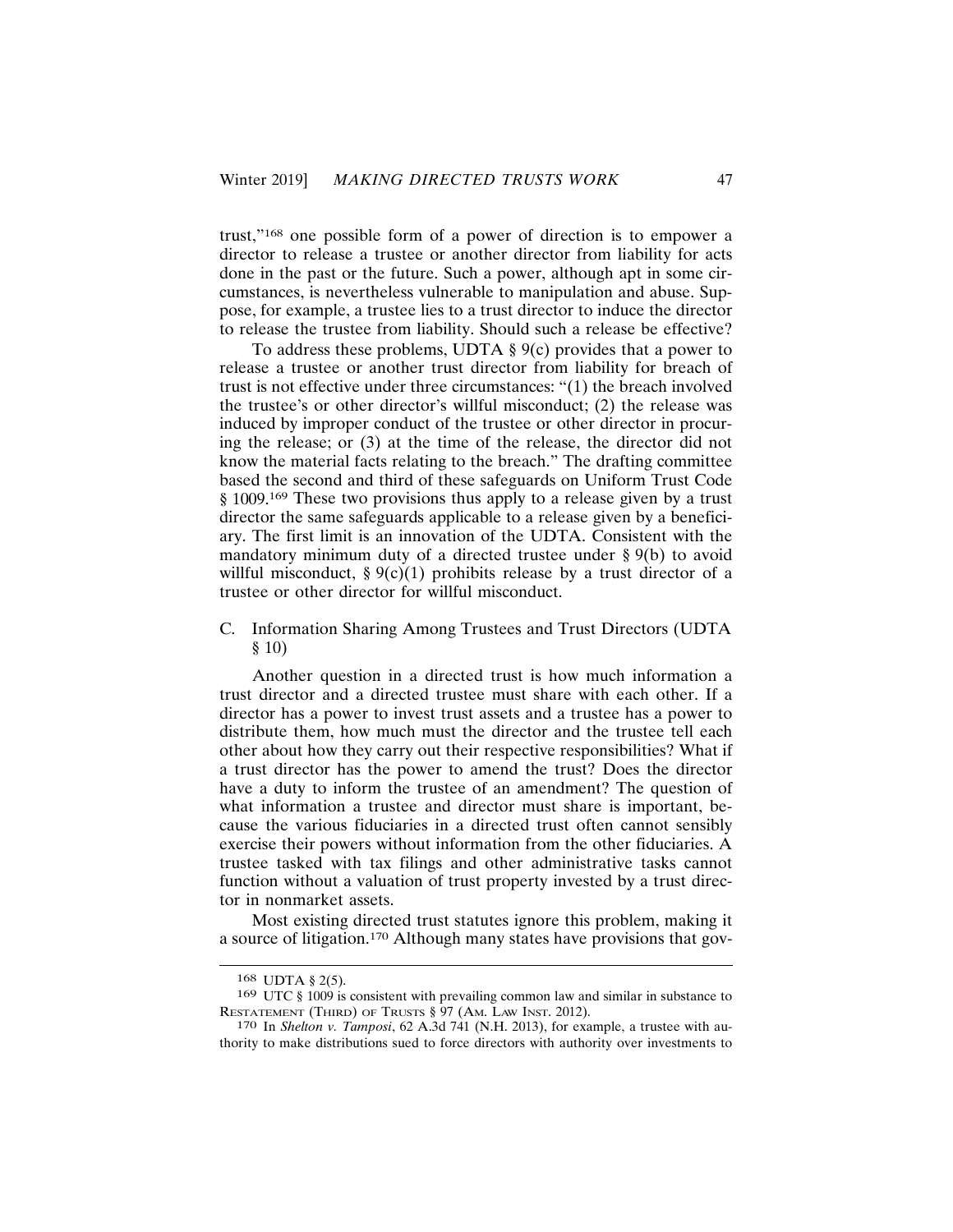trust,"<sup>168</sup> one possible form of a power of direction is to empower a director to release a trustee or another director from liability for acts done in the past or the future. Such a power, although apt in some circumstances, is nevertheless vulnerable to manipulation and abuse. Suppose, for example, a trustee lies to a trust director to induce the director to release the trustee from liability. Should such a release be effective?

To address these problems, UDTA  $\S$  9(c) provides that a power to release a trustee or another trust director from liability for breach of trust is not effective under three circumstances: "(1) the breach involved the trustee's or other director's willful misconduct; (2) the release was induced by improper conduct of the trustee or other director in procuring the release; or (3) at the time of the release, the director did not know the material facts relating to the breach." The drafting committee based the second and third of these safeguards on Uniform Trust Code § 1009.<sup>169</sup> These two provisions thus apply to a release given by a trust director the same safeguards applicable to a release given by a beneficiary. The first limit is an innovation of the UDTA. Consistent with the mandatory minimum duty of a directed trustee under  $\S 9(b)$  to avoid willful misconduct, §  $9(c)(1)$  prohibits release by a trust director of a trustee or other director for willful misconduct.

C. Information Sharing Among Trustees and Trust Directors (UDTA  $$10)$ 

Another question in a directed trust is how much information a trust director and a directed trustee must share with each other. If a director has a power to invest trust assets and a trustee has a power to distribute them, how much must the director and the trustee tell each other about how they carry out their respective responsibilities? What if a trust director has the power to amend the trust? Does the director have a duty to inform the trustee of an amendment? The question of what information a trustee and director must share is important, because the various fiduciaries in a directed trust often cannot sensibly exercise their powers without information from the other fiduciaries. A trustee tasked with tax filings and other administrative tasks cannot function without a valuation of trust property invested by a trust director in nonmarket assets.

Most existing directed trust statutes ignore this problem, making it a source of litigation.<sup>170</sup> Although many states have provisions that gov-

<sup>168</sup> UDTA § 2(5).

<sup>169</sup> UTC § 1009 is consistent with prevailing common law and similar in substance to RESTATEMENT (THIRD) OF TRUSTS § 97 (AM. LAW INST. 2012).

<sup>170</sup> In Shelton v. Tamposi, 62 A.3d 741 (N.H. 2013), for example, a trustee with authority to make distributions sued to force directors with authority over investments to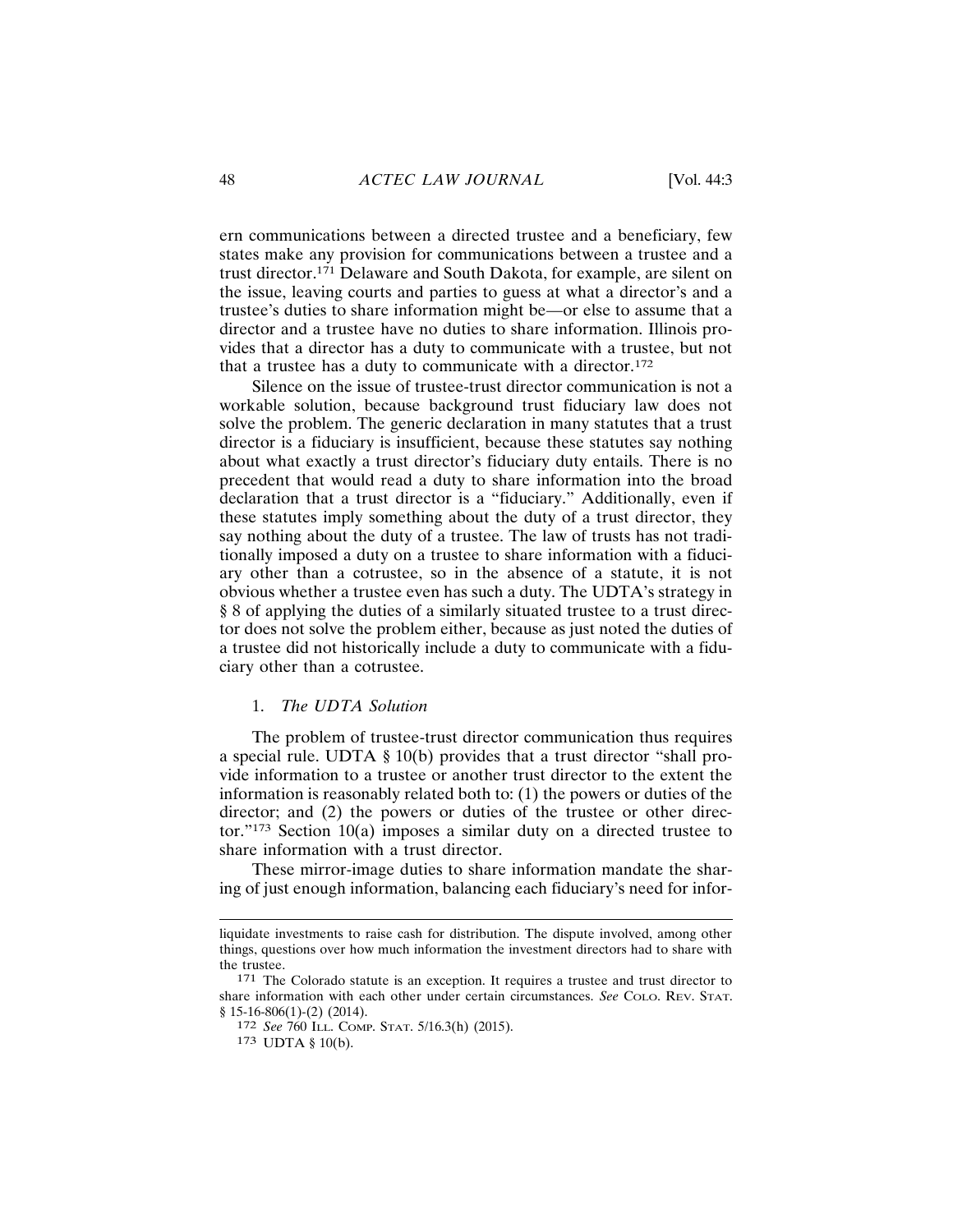ern communications between a directed trustee and a beneficiary, few states make any provision for communications between a trustee and a trust director.<sup>171</sup> Delaware and South Dakota, for example, are silent on the issue, leaving courts and parties to guess at what a director's and a trustee's duties to share information might be—or else to assume that a director and a trustee have no duties to share information. Illinois provides that a director has a duty to communicate with a trustee, but not that a trustee has a duty to communicate with a director.<sup>172</sup>

Silence on the issue of trustee-trust director communication is not a workable solution, because background trust fiduciary law does not solve the problem. The generic declaration in many statutes that a trust director is a fiduciary is insufficient, because these statutes say nothing about what exactly a trust director's fiduciary duty entails. There is no precedent that would read a duty to share information into the broad declaration that a trust director is a "fiduciary." Additionally, even if these statutes imply something about the duty of a trust director, they say nothing about the duty of a trustee. The law of trusts has not traditionally imposed a duty on a trustee to share information with a fiduciary other than a cotrustee, so in the absence of a statute, it is not obvious whether a trustee even has such a duty. The UDTA's strategy in § 8 of applying the duties of a similarly situated trustee to a trust director does not solve the problem either, because as just noted the duties of a trustee did not historically include a duty to communicate with a fiduciary other than a cotrustee.

#### 1. The UDTA Solution

The problem of trustee-trust director communication thus requires a special rule. UDTA  $\S$  10(b) provides that a trust director "shall provide information to a trustee or another trust director to the extent the information is reasonably related both to:  $(1)$  the powers or duties of the director; and (2) the powers or duties of the trustee or other director."<sup>173</sup> Section 10(a) imposes a similar duty on a directed trustee to share information with a trust director.

These mirror-image duties to share information mandate the sharing of just enough information, balancing each fiduciary's need for infor-

liquidate investments to raise cash for distribution. The dispute involved, among other things, questions over how much information the investment directors had to share with the trustee.

<sup>171</sup> The Colorado statute is an exception. It requires a trustee and trust director to share information with each other under certain circumstances. See COLO. REV. STAT.  $$15-16-806(1)-(2)(2014).$ 

<sup>172</sup> See 760 ILL. COMP. STAT. 5/16.3(h) (2015).

<sup>173</sup> UDTA § 10(b).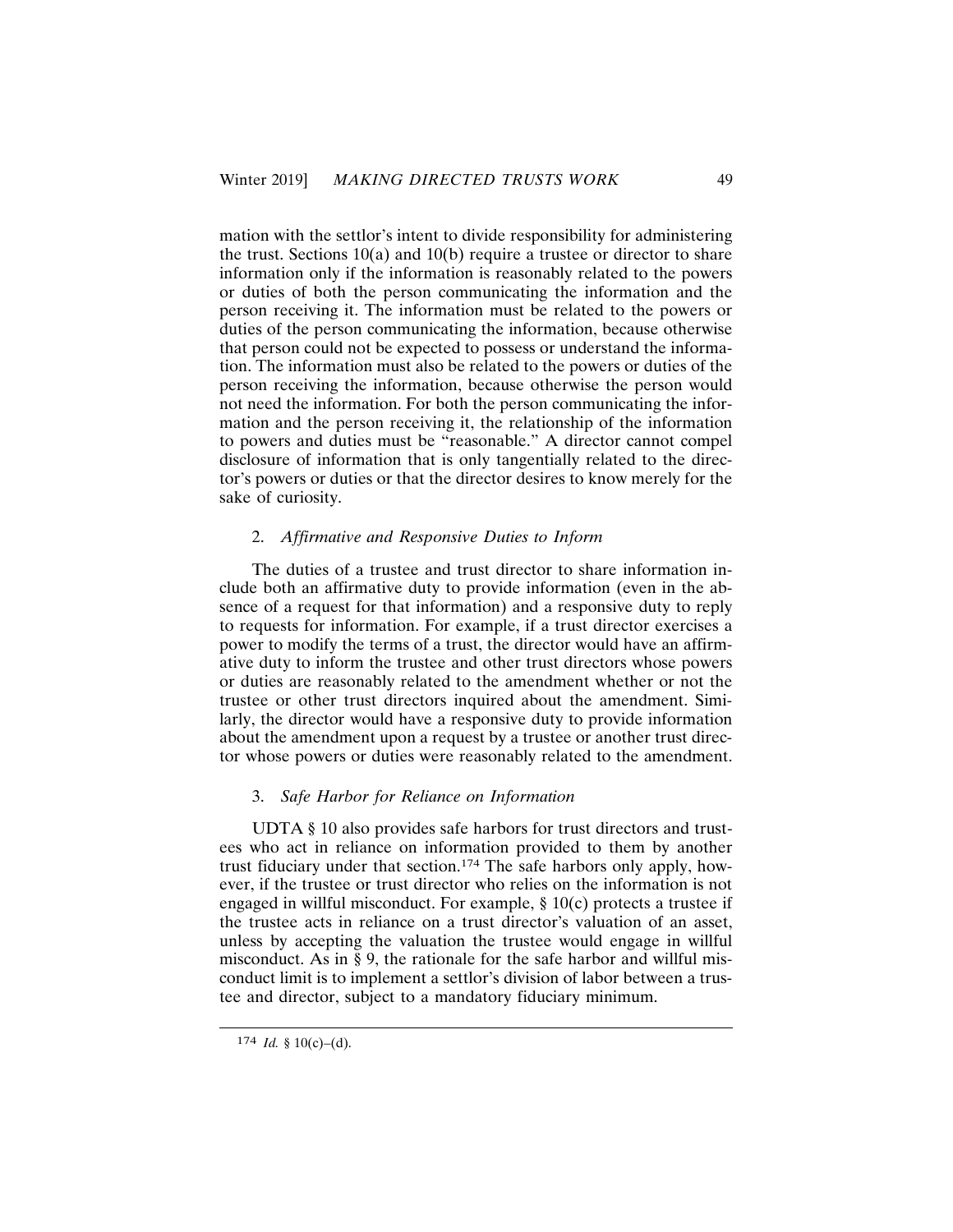mation with the settlor's intent to divide responsibility for administering the trust. Sections  $10(a)$  and  $10(b)$  require a trustee or director to share information only if the information is reasonably related to the powers or duties of both the person communicating the information and the person receiving it. The information must be related to the powers or duties of the person communicating the information, because otherwise that person could not be expected to possess or understand the information. The information must also be related to the powers or duties of the person receiving the information, because otherwise the person would not need the information. For both the person communicating the information and the person receiving it, the relationship of the information to powers and duties must be "reasonable." A director cannot compel disclosure of information that is only tangentially related to the director's powers or duties or that the director desires to know merely for the sake of curiosity.

#### 2. Affirmative and Responsive Duties to Inform

The duties of a trustee and trust director to share information include both an affirmative duty to provide information (even in the absence of a request for that information) and a responsive duty to reply to requests for information. For example, if a trust director exercises a power to modify the terms of a trust, the director would have an affirmative duty to inform the trustee and other trust directors whose powers or duties are reasonably related to the amendment whether or not the trustee or other trust directors inquired about the amendment. Similarly, the director would have a responsive duty to provide information about the amendment upon a request by a trustee or another trust director whose powers or duties were reasonably related to the amendment.

## 3. Safe Harbor for Reliance on Information

UDTA § 10 also provides safe harbors for trust directors and trustees who act in reliance on information provided to them by another trust fiduciary under that section.<sup>174</sup> The safe harbors only apply, however, if the trustee or trust director who relies on the information is not engaged in willful misconduct. For example,  $\S 10(c)$  protects a trustee if the trustee acts in reliance on a trust director's valuation of an asset, unless by accepting the valuation the trustee would engage in willful misconduct. As in § 9, the rationale for the safe harbor and willful misconduct limit is to implement a settlor's division of labor between a trustee and director, subject to a mandatory fiduciary minimum.

<sup>174</sup> *Id.* § 10(c)–(d).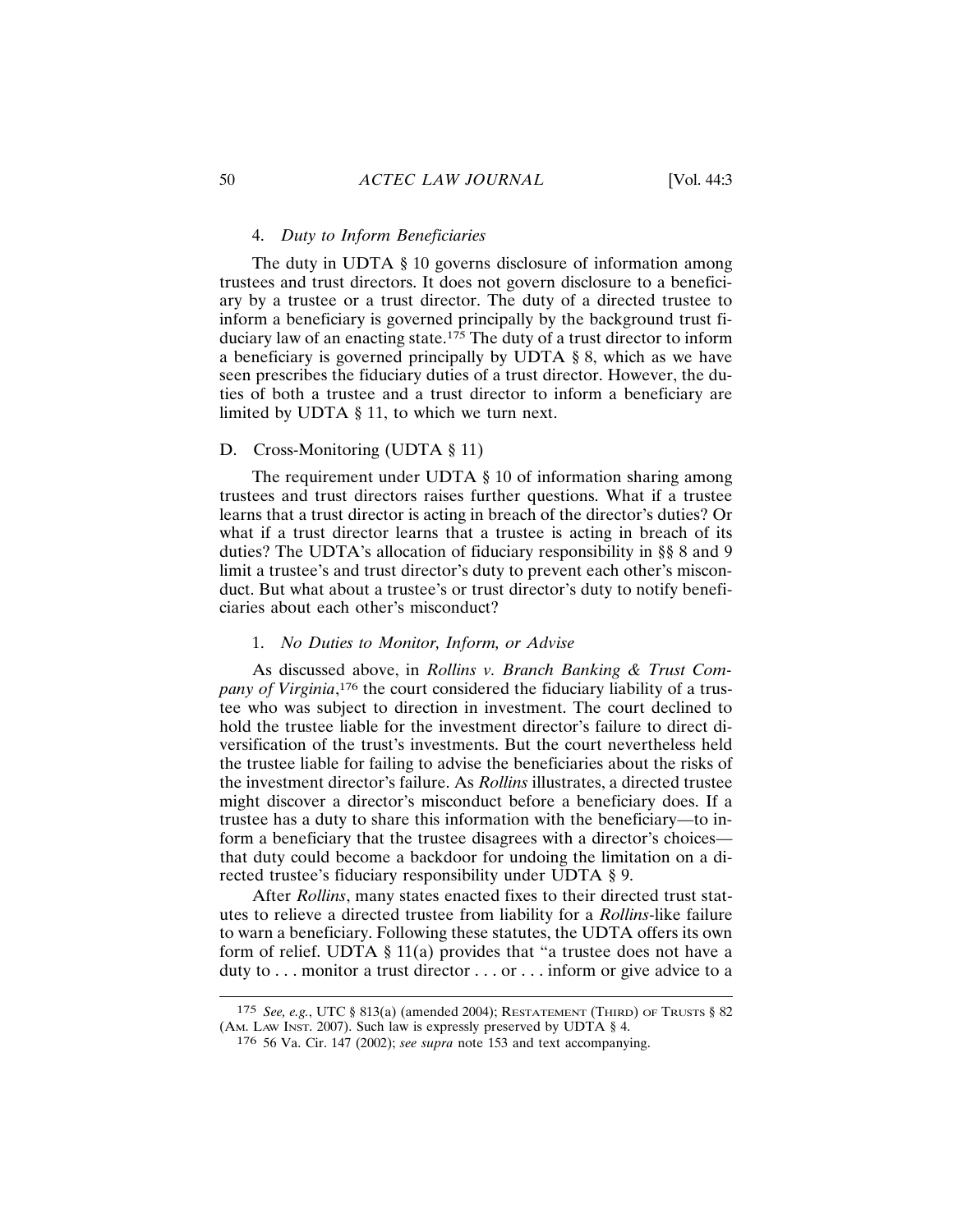## 4. Duty to Inform Beneficiaries

The duty in UDTA § 10 governs disclosure of information among trustees and trust directors. It does not govern disclosure to a beneficiary by a trustee or a trust director. The duty of a directed trustee to inform a beneficiary is governed principally by the background trust fiduciary law of an enacting state.<sup>175</sup> The duty of a trust director to inform a beneficiary is governed principally by UDTA § 8, which as we have seen prescribes the fiduciary duties of a trust director. However, the duties of both a trustee and a trust director to inform a beneficiary are limited by UDTA  $\S$  11, to which we turn next.

## D. Cross-Monitoring (UDTA § 11)

The requirement under UDTA  $\S$  10 of information sharing among trustees and trust directors raises further questions. What if a trustee learns that a trust director is acting in breach of the director's duties? Or what if a trust director learns that a trustee is acting in breach of its duties? The UDTA's allocation of fiduciary responsibility in §§ 8 and 9 limit a trustee's and trust director's duty to prevent each other's misconduct. But what about a trustee's or trust director's duty to notify beneficiaries about each other's misconduct?

#### 1. No Duties to Monitor, Inform, or Advise

As discussed above, in Rollins v. Branch Banking & Trust Company of Virginia,<sup>176</sup> the court considered the fiduciary liability of a trustee who was subject to direction in investment. The court declined to hold the trustee liable for the investment director's failure to direct diversification of the trust's investments. But the court nevertheless held the trustee liable for failing to advise the beneficiaries about the risks of the investment director's failure. As *Rollins* illustrates, a directed trustee might discover a director's misconduct before a beneficiary does. If a trustee has a duty to share this information with the beneficiary—to inform a beneficiary that the trustee disagrees with a director's choices that duty could become a backdoor for undoing the limitation on a directed trustee's fiduciary responsibility under UDTA § 9.

After *Rollins*, many states enacted fixes to their directed trust statutes to relieve a directed trustee from liability for a *Rollins*-like failure to warn a beneficiary. Following these statutes, the UDTA offers its own form of relief. UDTA  $\S$  11(a) provides that "a trustee does not have a duty to  $\dots$  monitor a trust director  $\dots$  or  $\dots$  inform or give advice to a

<sup>175</sup> See, e.g., UTC § 813(a) (amended 2004); RESTATEMENT (THIRD) OF TRUSTS § 82 (AM. LAW INST. 2007). Such law is expressly preserved by UDTA § 4.

<sup>176 56</sup> Va. Cir. 147 (2002); see supra note 153 and text accompanying.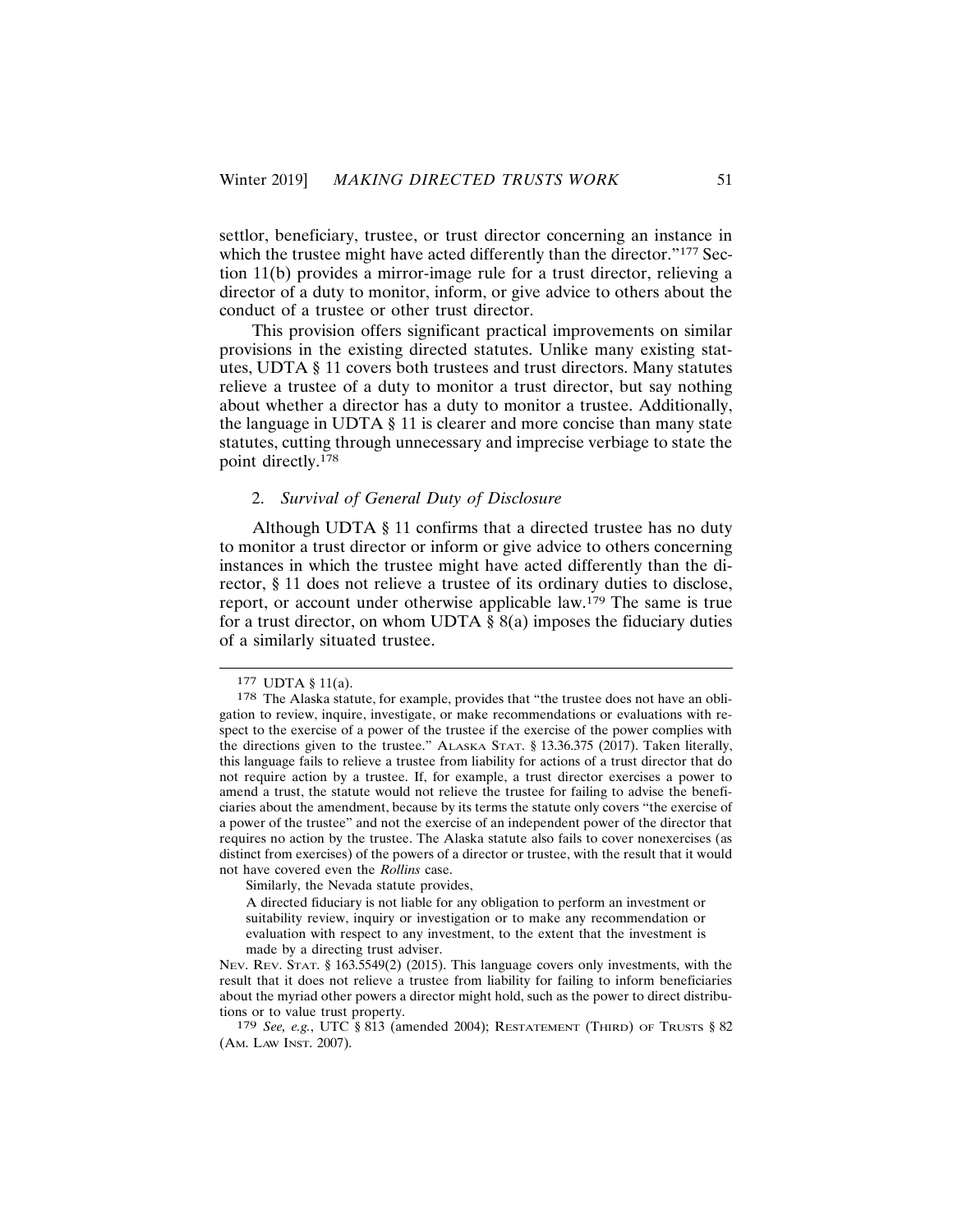settlor, beneficiary, trustee, or trust director concerning an instance in which the trustee might have acted differently than the director."177 Section 11(b) provides a mirror-image rule for a trust director, relieving a director of a duty to monitor, inform, or give advice to others about the conduct of a trustee or other trust director.

This provision offers significant practical improvements on similar provisions in the existing directed statutes. Unlike many existing statutes, UDTA § 11 covers both trustees and trust directors. Many statutes relieve a trustee of a duty to monitor a trust director, but say nothing about whether a director has a duty to monitor a trustee. Additionally, the language in UDTA  $\S$  11 is clearer and more concise than many state statutes, cutting through unnecessary and imprecise verbiage to state the point directly.<sup>178</sup>

## 2. Survival of General Duty of Disclosure

Although UDTA § 11 confirms that a directed trustee has no duty to monitor a trust director or inform or give advice to others concerning instances in which the trustee might have acted differently than the director, § 11 does not relieve a trustee of its ordinary duties to disclose, report, or account under otherwise applicable  $law$ . <sup>179</sup> The same is true for a trust director, on whom UDTA  $\S$  8(a) imposes the fiduciary duties of a similarly situated trustee.

Similarly, the Nevada statute provides,

<sup>177</sup> UDTA § 11(a).

<sup>178</sup> The Alaska statute, for example, provides that "the trustee does not have an obligation to review, inquire, investigate, or make recommendations or evaluations with respect to the exercise of a power of the trustee if the exercise of the power complies with the directions given to the trustee." ALASKA STAT. § 13.36.375 (2017). Taken literally, this language fails to relieve a trustee from liability for actions of a trust director that do not require action by a trustee. If, for example, a trust director exercises a power to amend a trust, the statute would not relieve the trustee for failing to advise the beneficiaries about the amendment, because by its terms the statute only covers "the exercise of a power of the trustee" and not the exercise of an independent power of the director that requires no action by the trustee. The Alaska statute also fails to cover nonexercises (as distinct from exercises) of the powers of a director or trustee, with the result that it would not have covered even the Rollins case.

A directed fiduciary is not liable for any obligation to perform an investment or suitability review, inquiry or investigation or to make any recommendation or evaluation with respect to any investment, to the extent that the investment is made by a directing trust adviser.

Nev. Rev. STAT. § 163.5549(2) (2015). This language covers only investments, with the result that it does not relieve a trustee from liability for failing to inform beneficiaries about the myriad other powers a director might hold, such as the power to direct distributions or to value trust property.

<sup>179</sup> See, e.g., UTC § 813 (amended 2004); RESTATEMENT (THIRD) OF TRUSTS § 82 (AM. LAW INST. 2007).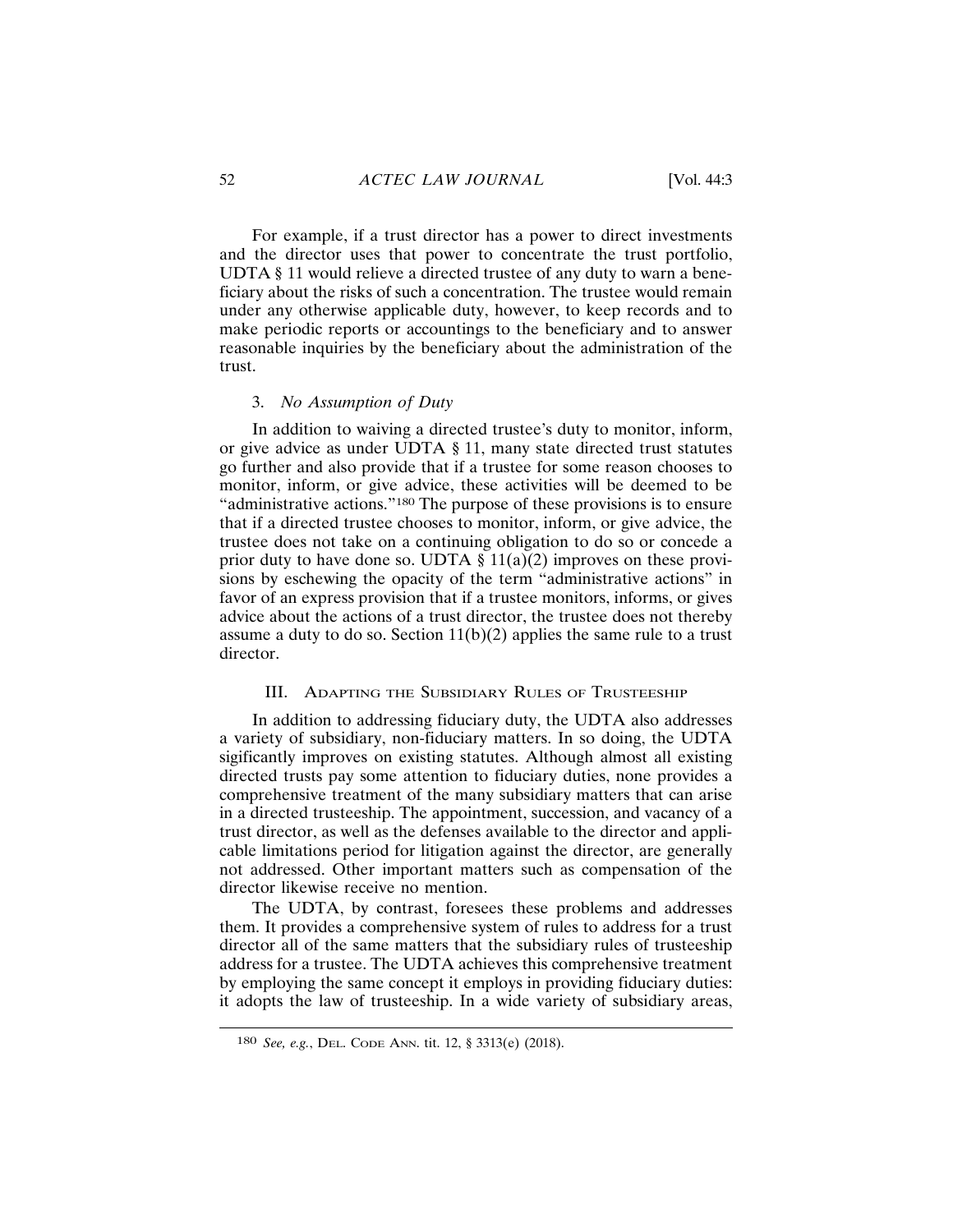For example, if a trust director has a power to direct investments and the director uses that power to concentrate the trust portfolio, UDTA § 11 would relieve a directed trustee of any duty to warn a beneficiary about the risks of such a concentration. The trustee would remain under any otherwise applicable duty, however, to keep records and to make periodic reports or accountings to the beneficiary and to answer reasonable inquiries by the beneficiary about the administration of the trust.

## 3. No Assumption of Duty

In addition to waiving a directed trustee's duty to monitor, inform, or give advice as under UDTA § 11, many state directed trust statutes go further and also provide that if a trustee for some reason chooses to monitor, inform, or give advice, these activities will be deemed to be "administrative actions."<sup>180</sup> The purpose of these provisions is to ensure that if a directed trustee chooses to monitor, inform, or give advice, the trustee does not take on a continuing obligation to do so or concede a prior duty to have done so. UDTA  $\S 11(a)(2)$  improves on these provisions by eschewing the opacity of the term "administrative actions" in favor of an express provision that if a trustee monitors, informs, or gives advice about the actions of a trust director, the trustee does not thereby assume a duty to do so. Section  $11(b)(2)$  applies the same rule to a trust director.

## III. ADAPTING THE SUBSIDIARY RULES OF TRUSTEESHIP

In addition to addressing fiduciary duty, the UDTA also addresses a variety of subsidiary, non-fiduciary matters. In so doing, the UDTA sigificantly improves on existing statutes. Although almost all existing directed trusts pay some attention to fiduciary duties, none provides a comprehensive treatment of the many subsidiary matters that can arise in a directed trusteeship. The appointment, succession, and vacancy of a trust director, as well as the defenses available to the director and applicable limitations period for litigation against the director, are generally not addressed. Other important matters such as compensation of the director likewise receive no mention.

The UDTA, by contrast, foresees these problems and addresses them. It provides a comprehensive system of rules to address for a trust director all of the same matters that the subsidiary rules of trusteeship address for a trustee. The UDTA achieves this comprehensive treatment by employing the same concept it employs in providing fiduciary duties: it adopts the law of trusteeship. In a wide variety of subsidiary areas,

<sup>180</sup> See, e.g., DEL. CODE ANN. tit. 12, § 3313(e) (2018).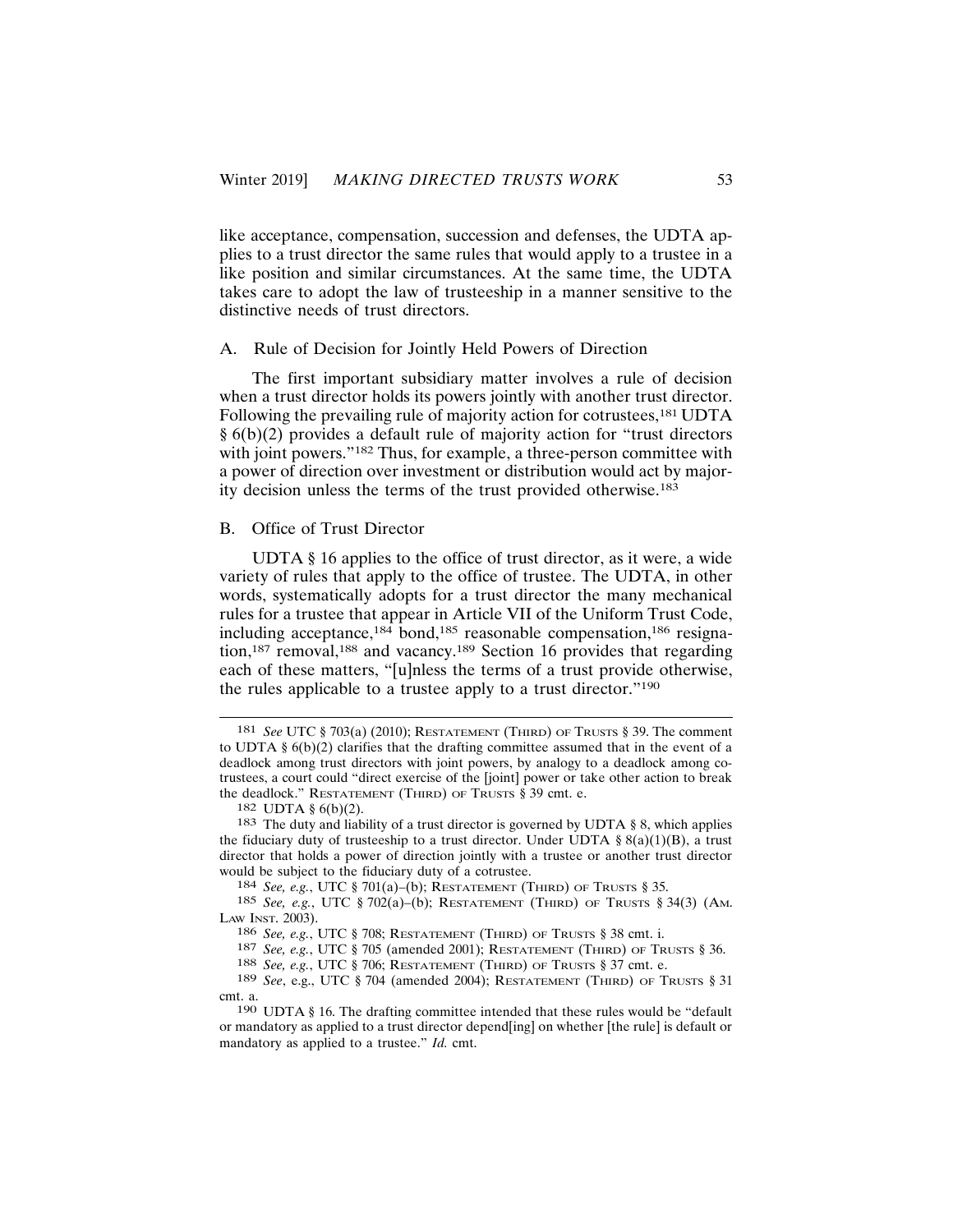like acceptance, compensation, succession and defenses, the UDTA applies to a trust director the same rules that would apply to a trustee in a like position and similar circumstances. At the same time, the UDTA takes care to adopt the law of trusteeship in a manner sensitive to the distinctive needs of trust directors.

#### A. Rule of Decision for Jointly Held Powers of Direction

The first important subsidiary matter involves a rule of decision when a trust director holds its powers jointly with another trust director. Following the prevailing rule of majority action for cotrustees,<sup>181</sup> UDTA  $\S(6(b)(2))$  provides a default rule of majority action for "trust directors" with joint powers."<sup>182</sup> Thus, for example, a three-person committee with a power of direction over investment or distribution would act by majority decision unless the terms of the trust provided otherwise.<sup>183</sup>

#### B. Office of Trust Director

UDTA § 16 applies to the office of trust director, as it were, a wide variety of rules that apply to the office of trustee. The UDTA, in other words, systematically adopts for a trust director the many mechanical rules for a trustee that appear in Article VII of the Uniform Trust Code, including acceptance,<sup>184</sup> bond,<sup>185</sup> reasonable compensation,<sup>186</sup> resignation,<sup>187</sup> removal,<sup>188</sup> and vacancy.<sup>189</sup> Section 16 provides that regarding each of these matters, "[u]nless the terms of a trust provide otherwise, the rules applicable to a trustee apply to a trust director."<sup>190</sup>

182 UDTA  $\S$  6(b)(2).

<sup>181</sup> See UTC § 703(a) (2010); RESTATEMENT (THIRD) OF TRUSTS § 39. The comment to UDTA  $\S 6(b)(2)$  clarifies that the drafting committee assumed that in the event of a deadlock among trust directors with joint powers, by analogy to a deadlock among cotrustees, a court could "direct exercise of the [joint] power or take other action to break the deadlock." RESTATEMENT (THIRD) OF TRUSTS § 39 cmt. e.

<sup>&</sup>lt;sup>183</sup> The duty and liability of a trust director is governed by UDTA § 8, which applies the fiduciary duty of trusteeship to a trust director. Under UDTA §  $8(a)(1)(B)$ , a trust director that holds a power of direction jointly with a trustee or another trust director would be subject to the fiduciary duty of a cotrustee.

<sup>184</sup> See, e.g., UTC § 701(a)-(b); RESTATEMENT (THIRD) OF TRUSTS § 35.

<sup>185</sup> See, e.g., UTC § 702(a)–(b); RESTATEMENT (THIRD) OF TRUSTS § 34(3) (AM. LAW INST. 2003).

<sup>186</sup> See, e.g., UTC § 708; RESTATEMENT (THIRD) OF TRUSTS § 38 cmt. i.

<sup>187</sup> See, e.g., UTC § 705 (amended 2001); RESTATEMENT (THIRD) OF TRUSTS § 36.

<sup>188</sup> See, e.g., UTC § 706; RESTATEMENT (THIRD) OF TRUSTS § 37 cmt. e.

<sup>189</sup> See, e.g., UTC § 704 (amended 2004); RESTATEMENT (THIRD) OF TRUSTS § 31 cmt. a.

<sup>190</sup> UDTA § 16. The drafting committee intended that these rules would be "default" or mandatory as applied to a trust director depend[ing] on whether [the rule] is default or mandatory as applied to a trustee." Id. cmt.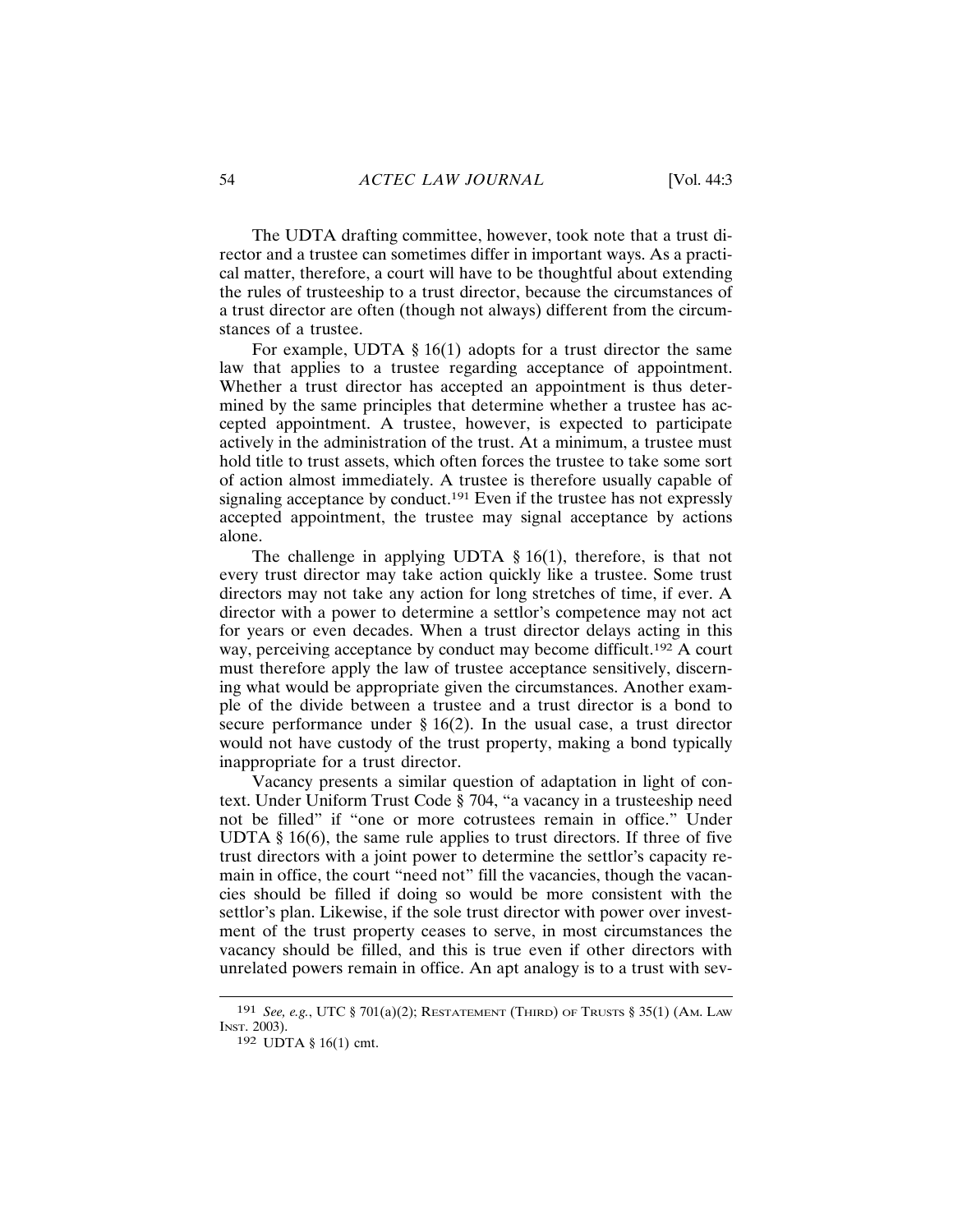The UDTA drafting committee, however, took note that a trust director and a trustee can sometimes differ in important ways. As a practical matter, therefore, a court will have to be thoughtful about extending the rules of trusteeship to a trust director, because the circumstances of a trust director are often (though not always) different from the circumstances of a trustee.

For example, UDTA  $\S 16(1)$  adopts for a trust director the same law that applies to a trustee regarding acceptance of appointment. Whether a trust director has accepted an appointment is thus determined by the same principles that determine whether a trustee has accepted appointment. A trustee, however, is expected to participate actively in the administration of the trust. At a minimum, a trustee must hold title to trust assets, which often forces the trustee to take some sort of action almost immediately. A trustee is therefore usually capable of signaling acceptance by conduct.<sup>191</sup> Even if the trustee has not expressly accepted appointment, the trustee may signal acceptance by actions alone.

The challenge in applying UDTA  $\S 16(1)$ , therefore, is that not every trust director may take action quickly like a trustee. Some trust directors may not take any action for long stretches of time, if ever. A director with a power to determine a settlor's competence may not act for years or even decades. When a trust director delays acting in this way, perceiving acceptance by conduct may become difficult.<sup>192</sup> A court must therefore apply the law of trustee acceptance sensitively, discerning what would be appropriate given the circumstances. Another example of the divide between a trustee and a trust director is a bond to secure performance under  $\S 16(2)$ . In the usual case, a trust director would not have custody of the trust property, making a bond typically inappropriate for a trust director.

Vacancy presents a similar question of adaptation in light of context. Under Uniform Trust Code § 704, "a vacancy in a trusteeship need not be filled" if "one or more cotrustees remain in office." Under UDTA  $§$  16(6), the same rule applies to trust directors. If three of five trust directors with a joint power to determine the settlor's capacity remain in office, the court "need not" fill the vacancies, though the vacancies should be filled if doing so would be more consistent with the settlor's plan. Likewise, if the sole trust director with power over investment of the trust property ceases to serve, in most circumstances the vacancy should be filled, and this is true even if other directors with unrelated powers remain in office. An apt analogy is to a trust with sev-

<sup>191</sup> See, e.g., UTC  $\S 701(a)(2)$ ; RESTATEMENT (THIRD) OF TRUSTS  $\S 35(1)$  (Am. Law INST. 2003).

<sup>192</sup> UDTA § 16(1) cmt.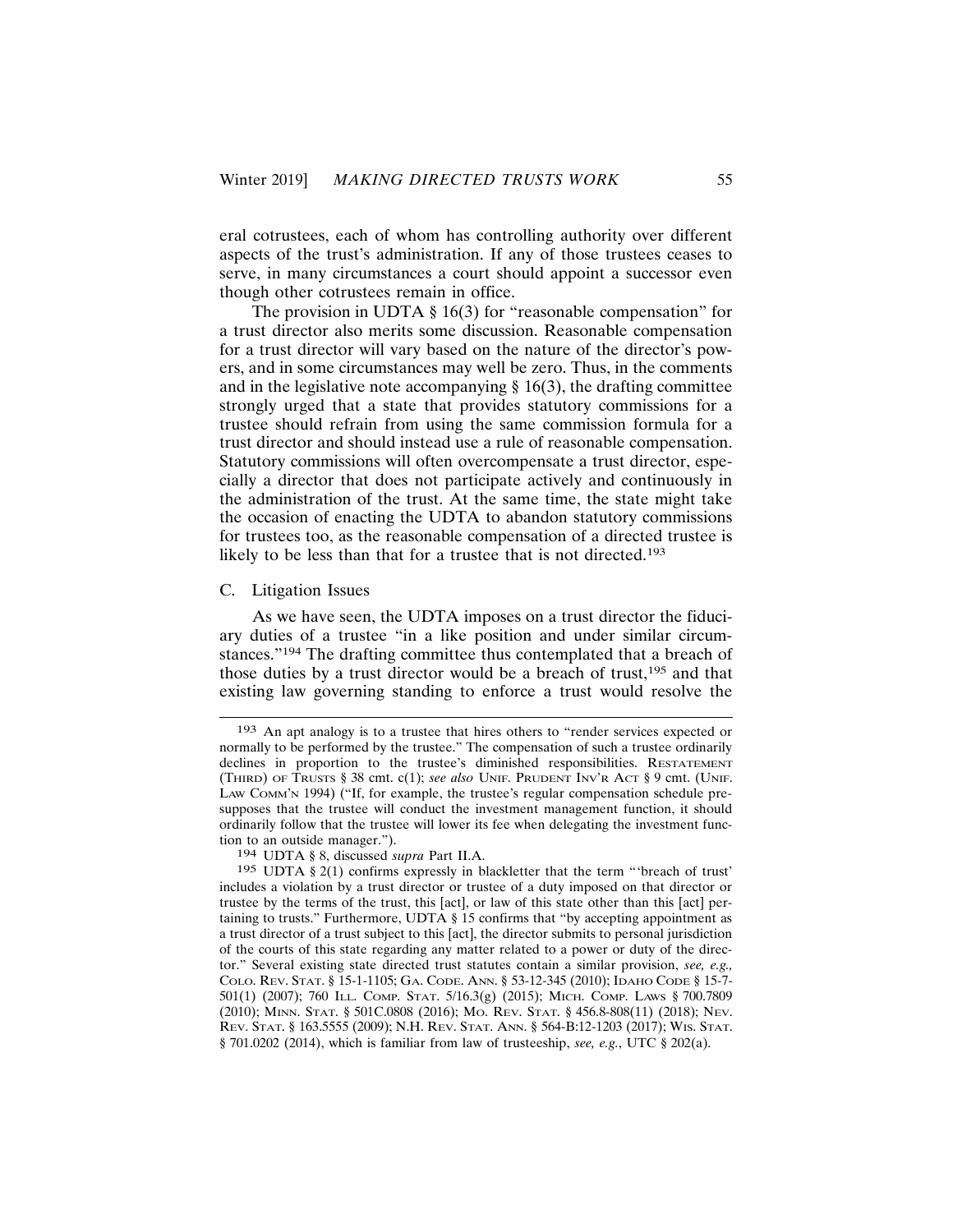eral cotrustees, each of whom has controlling authority over different aspects of the trust's administration. If any of those trustees ceases to serve, in many circumstances a court should appoint a successor even though other cotrustees remain in office.

The provision in UDTA  $\S$  16(3) for "reasonable compensation" for a trust director also merits some discussion. Reasonable compensation for a trust director will vary based on the nature of the director's powers, and in some circumstances may well be zero. Thus, in the comments and in the legislative note accompanying  $\S 16(3)$ , the drafting committee strongly urged that a state that provides statutory commissions for a trustee should refrain from using the same commission formula for a trust director and should instead use a rule of reasonable compensation. Statutory commissions will often overcompensate a trust director, especially a director that does not participate actively and continuously in the administration of the trust. At the same time, the state might take the occasion of enacting the UDTA to abandon statutory commissions for trustees too, as the reasonable compensation of a directed trustee is likely to be less than that for a trustee that is not directed.<sup>193</sup>

#### C. Litigation Issues

As we have seen, the UDTA imposes on a trust director the fiduciary duties of a trustee "in a like position and under similar circumstances."<sup>194</sup> The drafting committee thus contemplated that a breach of those duties by a trust director would be a breach of trust,<sup>195</sup> and that existing law governing standing to enforce a trust would resolve the

<sup>193</sup> An apt analogy is to a trustee that hires others to "render services expected or normally to be performed by the trustee." The compensation of such a trustee ordinarily declines in proportion to the trustee's diminished responsibilities. RESTATEMENT (THIRD) OF TRUSTS § 38 cmt. c(1); see also UNIF. PRUDENT INV'R ACT § 9 cmt. (UNIF. LAW COMM'N 1994) ("If, for example, the trustee's regular compensation schedule presupposes that the trustee will conduct the investment management function, it should ordinarily follow that the trustee will lower its fee when delegating the investment function to an outside manager.").

<sup>194</sup> UDTA § 8, discussed supra Part II.A.

<sup>195</sup> UDTA § 2(1) confirms expressly in blackletter that the term "'breach of trust' includes a violation by a trust director or trustee of a duty imposed on that director or trustee by the terms of the trust, this [act], or law of this state other than this [act] pertaining to trusts." Furthermore, UDTA § 15 confirms that "by accepting appointment as a trust director of a trust subject to this [act], the director submits to personal jurisdiction of the courts of this state regarding any matter related to a power or duty of the director." Several existing state directed trust statutes contain a similar provision, see, e.g., COLO. REV. STAT. § 15-1-1105; GA. CODE. ANN. § 53-12-345 (2010); IDAHO CODE § 15-7-501(1) (2007); 760 ILL. COMP. STAT. 5/16.3(g) (2015); MICH. COMP. LAWS § 700.7809 (2010); MINN. STAT. § 501C.0808 (2016); Mo. REV. STAT. § 456.8-808(11) (2018); NEV. REV. STAT. § 163.5555 (2009); N.H. REV. STAT. ANN. § 564-B:12-1203 (2017); WIS. STAT. § 701.0202 (2014), which is familiar from law of trusteeship, see, e.g., UTC § 202(a).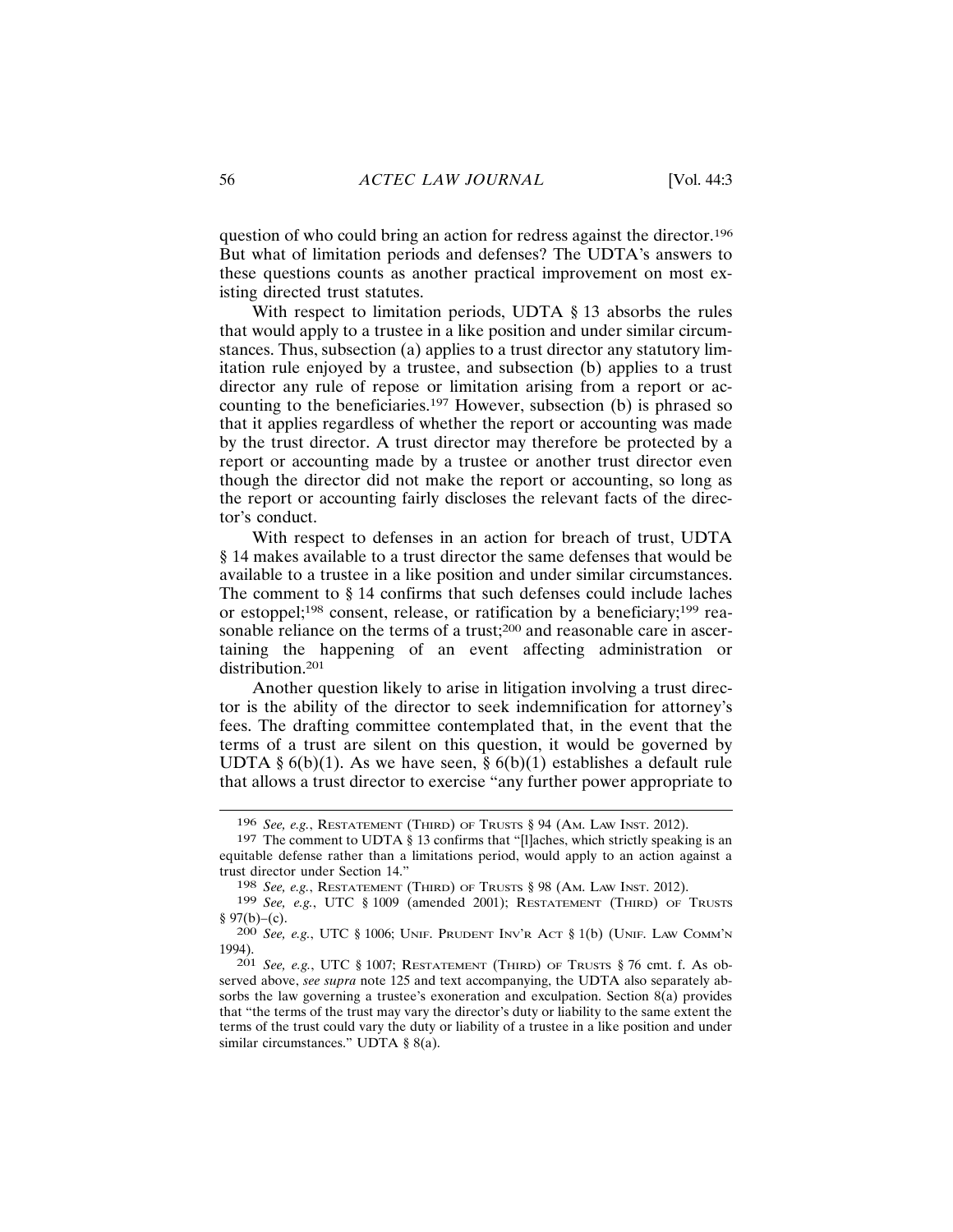question of who could bring an action for redress against the director.<sup>196</sup> But what of limitation periods and defenses? The UDTA's answers to these questions counts as another practical improvement on most existing directed trust statutes.

With respect to limitation periods, UDTA  $\S$  13 absorbs the rules that would apply to a trustee in a like position and under similar circumstances. Thus, subsection (a) applies to a trust director any statutory limitation rule enjoyed by a trustee, and subsection (b) applies to a trust director any rule of repose or limitation arising from a report or accounting to the beneficiaries.<sup>197</sup> However, subsection (b) is phrased so that it applies regardless of whether the report or accounting was made by the trust director. A trust director may therefore be protected by a report or accounting made by a trustee or another trust director even though the director did not make the report or accounting, so long as the report or accounting fairly discloses the relevant facts of the director's conduct.

With respect to defenses in an action for breach of trust, UDTA § 14 makes available to a trust director the same defenses that would be available to a trustee in a like position and under similar circumstances. The comment to  $\S$  14 confirms that such defenses could include laches or estoppel;<sup>198</sup> consent, release, or ratification by a beneficiary;<sup>199</sup> reasonable reliance on the terms of a trust;<sup>200</sup> and reasonable care in ascertaining the happening of an event affecting administration or distribution.<sup>201</sup>

Another question likely to arise in litigation involving a trust director is the ability of the director to seek indemnification for attorney's fees. The drafting committee contemplated that, in the event that the terms of a trust are silent on this question, it would be governed by UDTA §  $6(b)(1)$ . As we have seen, §  $6(b)(1)$  establishes a default rule that allows a trust director to exercise "any further power appropriate to

<sup>196</sup> See, e.g., RESTATEMENT (THIRD) OF TRUSTS § 94 (AM. LAW INST. 2012).

<sup>&</sup>lt;sup>197</sup> The comment to UDTA § 13 confirms that "[l]aches, which strictly speaking is an equitable defense rather than a limitations period, would apply to an action against a trust director under Section 14."

<sup>198</sup> See, e.g., RESTATEMENT (THIRD) OF TRUSTS § 98 (AM. LAW INST. 2012).

<sup>199</sup> See, e.g., UTC § 1009 (amended 2001); RESTATEMENT (THIRD) OF TRUSTS § 97(b)–(c).

<sup>200</sup> See, e.g., UTC § 1006; UNIF. PRUDENT INV'R ACT § 1(b) (UNIF. LAW COMM'N 1994).

<sup>&</sup>lt;sup>201</sup> See, e.g., UTC § 1007; RESTATEMENT (THIRD) OF TRUSTS § 76 cmt. f. As observed above, see supra note 125 and text accompanying, the UDTA also separately absorbs the law governing a trustee's exoneration and exculpation. Section  $8(a)$  provides that "the terms of the trust may vary the director's duty or liability to the same extent the terms of the trust could vary the duty or liability of a trustee in a like position and under similar circumstances." UDTA § 8(a).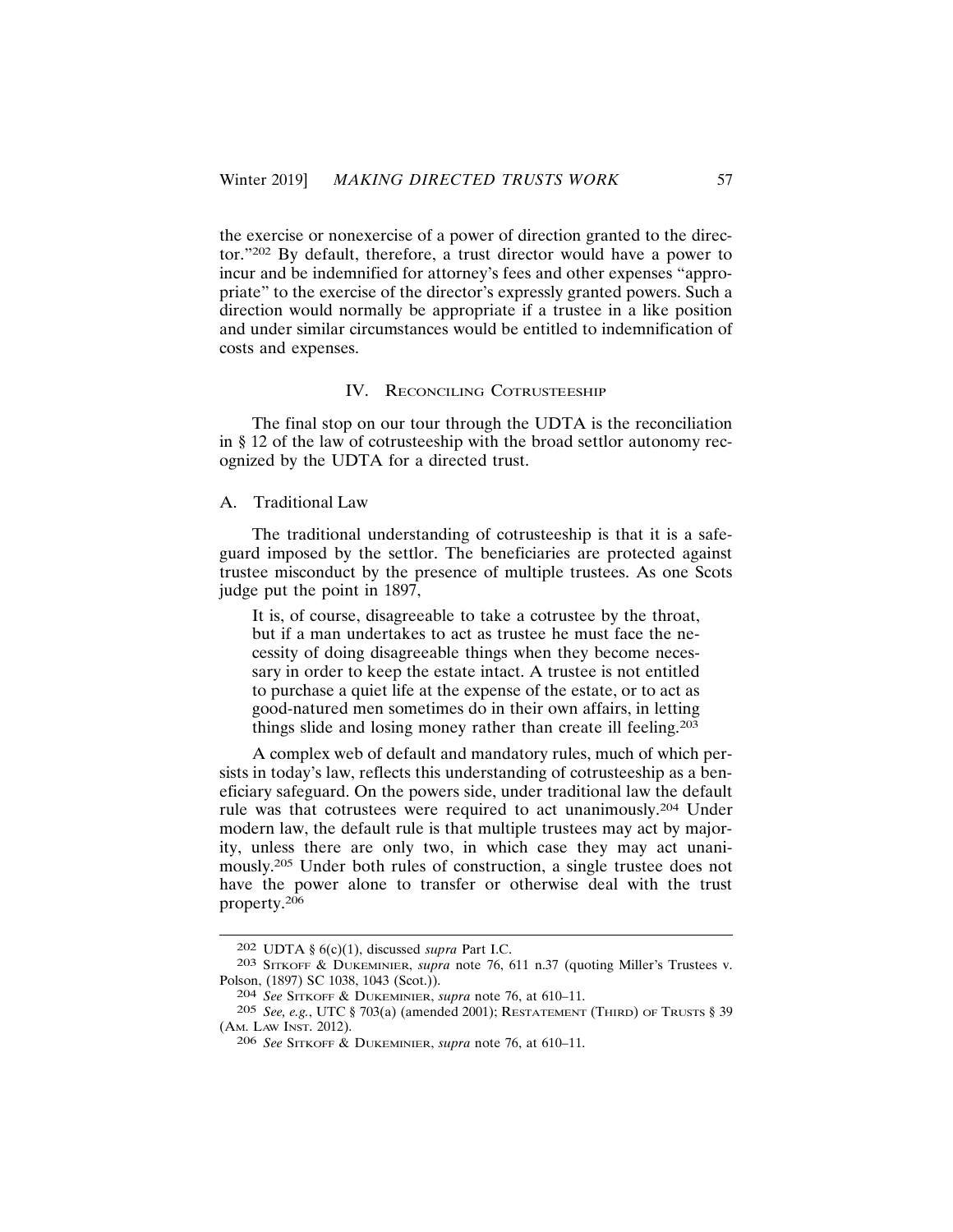the exercise or nonexercise of a power of direction granted to the director."202 By default, therefore, a trust director would have a power to incur and be indemnified for attorney's fees and other expenses "appropriate" to the exercise of the director's expressly granted powers. Such a direction would normally be appropriate if a trustee in a like position and under similar circumstances would be entitled to indemnification of costs and expenses.

#### **IV. RECONCILING COTRUSTEESHIP**

The final stop on our tour through the UDTA is the reconciliation in  $\S$  12 of the law of cotrusteeship with the broad settlor autonomy recognized by the UDTA for a directed trust.

## A. Traditional Law

The traditional understanding of cotrusteeship is that it is a safeguard imposed by the settlor. The beneficiaries are protected against trustee misconduct by the presence of multiple trustees. As one Scots judge put the point in 1897,

It is, of course, disagreeable to take a cotrustee by the throat, but if a man undertakes to act as trustee he must face the necessity of doing disagreeable things when they become necessary in order to keep the estate intact. A trustee is not entitled to purchase a quiet life at the expense of the estate, or to act as good-natured men sometimes do in their own affairs, in letting things slide and losing money rather than create ill feeling.<sup>203</sup>

A complex web of default and mandatory rules, much of which persists in today's law, reflects this understanding of cotrusteeship as a beneficiary safeguard. On the powers side, under traditional law the default rule was that cotrustees were required to act unanimously.<sup>204</sup> Under modern law, the default rule is that multiple trustees may act by majority, unless there are only two, in which case they may act unanimously.<sup>205</sup> Under both rules of construction, a single trustee does not have the power alone to transfer or otherwise deal with the trust property.<sup>206</sup>

<sup>202</sup> UDTA § 6(c)(1), discussed *supra* Part I.C.

<sup>203</sup> SITKOFF & DUKEMINIER, supra note 76, 611 n.37 (quoting Miller's Trustees v. Polson, (1897) SC 1038, 1043 (Scot.)).

<sup>204</sup> See SITKOFF & DUKEMINIER, supra note 76, at 610-11.

<sup>205</sup> See, e.g., UTC § 703(a) (amended 2001); RESTATEMENT (THIRD) OF TRUSTS § 39 (AM. LAW INST. 2012).

<sup>206</sup> See SITKOFF & DUKEMINIER, supra note 76, at 610-11.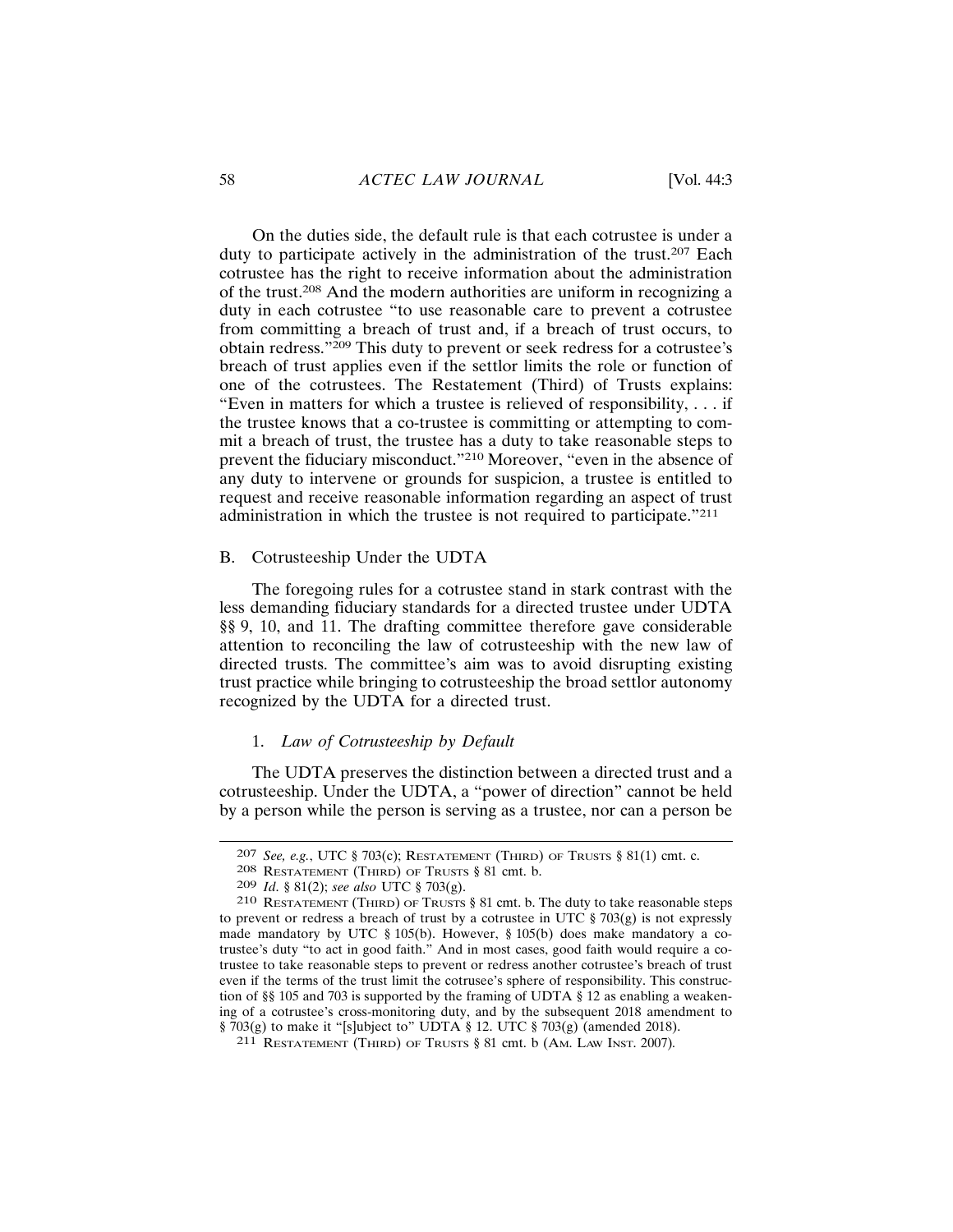On the duties side, the default rule is that each cotrustee is under a duty to participate actively in the administration of the trust.<sup>207</sup> Each cotrustee has the right to receive information about the administration of the trust.<sup>208</sup> And the modern authorities are uniform in recognizing a duty in each cotrustee "to use reasonable care to prevent a cotrustee from committing a breach of trust and, if a breach of trust occurs, to obtain redress."<sup>209</sup> This duty to prevent or seek redress for a cotrustee's breach of trust applies even if the settlor limits the role or function of one of the cotrustees. The Restatement (Third) of Trusts explains: "Even in matters for which a trustee is relieved of responsibility,  $\dots$  if the trustee knows that a co-trustee is committing or attempting to commit a breach of trust, the trustee has a duty to take reasonable steps to prevent the fiduciary misconduct."<sup>210</sup> Moreover, "even in the absence of any duty to intervene or grounds for suspicion, a trustee is entitled to request and receive reasonable information regarding an aspect of trust administration in which the trustee is not required to participate."211

## B. Cotrusteeship Under the UDTA

The foregoing rules for a cotrustee stand in stark contrast with the less demanding fiduciary standards for a directed trustee under UDTA §§ 9, 10, and 11. The drafting committee therefore gave considerable attention to reconciling the law of cotrusteeship with the new law of directed trusts. The committee's aim was to avoid disrupting existing trust practice while bringing to cotrusteeship the broad settlor autonomy recognized by the UDTA for a directed trust.

## 1. Law of Cotrusteeship by Default

The UDTA preserves the distinction between a directed trust and a cotrusteeship. Under the UDTA, a "power of direction" cannot be held by a person while the person is serving as a trustee, nor can a person be

<sup>207</sup> See, e.g., UTC § 703(c); RESTATEMENT (THIRD) OF TRUSTS § 81(1) cmt. c.

<sup>208</sup> RESTATEMENT (THIRD) OF TRUSTS § 81 cmt. b.

<sup>209</sup> *Id.* § 81(2); see also UTC § 703(g).

<sup>210</sup> RESTATEMENT (THIRD) OF TRUSTS § 81 cmt. b. The duty to take reasonable steps to prevent or redress a breach of trust by a cotrustee in UTC  $\S 703(g)$  is not expressly made mandatory by UTC  $\S 105(b)$ . However,  $\S 105(b)$  does make mandatory a cotrustee's duty "to act in good faith." And in most cases, good faith would require a cotrustee to take reasonable steps to prevent or redress another cotrustee's breach of trust even if the terms of the trust limit the cotrusee's sphere of responsibility. This construction of §§ 105 and 703 is supported by the framing of UDTA § 12 as enabling a weakening of a cotrustee's cross-monitoring duty, and by the subsequent 2018 amendment to  $\frac{1}{2}$  703(g) to make it "[s]ubject to" UDTA § 12. UTC § 703(g) (amended 2018).

<sup>211</sup> RESTATEMENT (THIRD) OF TRUSTS § 81 cmt. b (AM. LAW INST. 2007).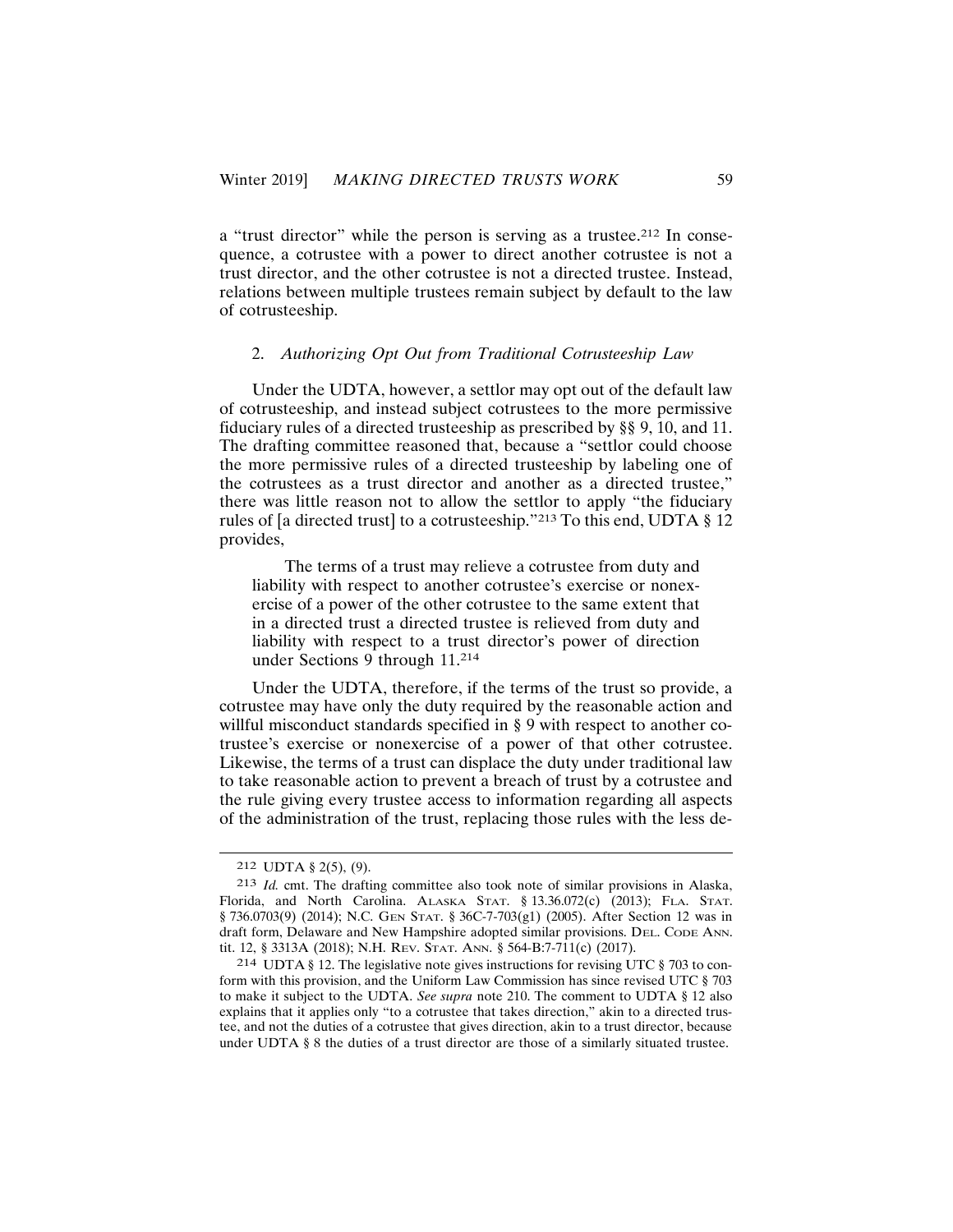a "trust director" while the person is serving as a trustee.<sup>212</sup> In consequence, a cotrustee with a power to direct another cotrustee is not a trust director, and the other cotrustee is not a directed trustee. Instead, relations between multiple trustees remain subject by default to the law of cotrusteeship.

## 2. Authorizing Opt Out from Traditional Cotrusteeship Law

Under the UDTA, however, a settlor may opt out of the default law of cotrusteeship, and instead subject cotrustees to the more permissive fiduciary rules of a directed trusteeship as prescribed by §§ 9, 10, and 11. The drafting committee reasoned that, because a "settlor could choose" the more permissive rules of a directed trusteeship by labeling one of the cotrustees as a trust director and another as a directed trustee," there was little reason not to allow the settlor to apply "the fiduciary rules of [a directed trust] to a cotrusteeship."213 To this end, UDTA § 12 provides,

The terms of a trust may relieve a cotrustee from duty and liability with respect to another cotrustee's exercise or nonexercise of a power of the other cotrustee to the same extent that in a directed trust a directed trustee is relieved from duty and liability with respect to a trust director's power of direction under Sections 9 through 11.214

Under the UDTA, therefore, if the terms of the trust so provide, a cotrustee may have only the duty required by the reasonable action and willful misconduct standards specified in § 9 with respect to another cotrustee's exercise or nonexercise of a power of that other cotrustee. Likewise, the terms of a trust can displace the duty under traditional law to take reasonable action to prevent a breach of trust by a cotrustee and the rule giving every trustee access to information regarding all aspects of the administration of the trust, replacing those rules with the less de-

<sup>212</sup> UDTA  $\S$  2(5), (9).

<sup>213</sup> Id. cmt. The drafting committee also took note of similar provisions in Alaska, Florida, and North Carolina. ALASKA STAT. § 13.36.072(c) (2013); FLA. STAT. § 736.0703(9) (2014); N.C. GEN STAT. § 36C-7-703(g1) (2005). After Section 12 was in draft form, Delaware and New Hampshire adopted similar provisions. DEL. CODE ANN. tit. 12, § 3313A (2018); N.H. REV. STAT. ANN. § 564-B:7-711(c) (2017).

<sup>214</sup> UDTA § 12. The legislative note gives instructions for revising UTC § 703 to conform with this provision, and the Uniform Law Commission has since revised UTC § 703 to make it subject to the UDTA. See supra note 210. The comment to UDTA § 12 also explains that it applies only "to a cotrustee that takes direction," akin to a directed trustee, and not the duties of a cotrustee that gives direction, akin to a trust director, because under UDTA § 8 the duties of a trust director are those of a similarly situated trustee.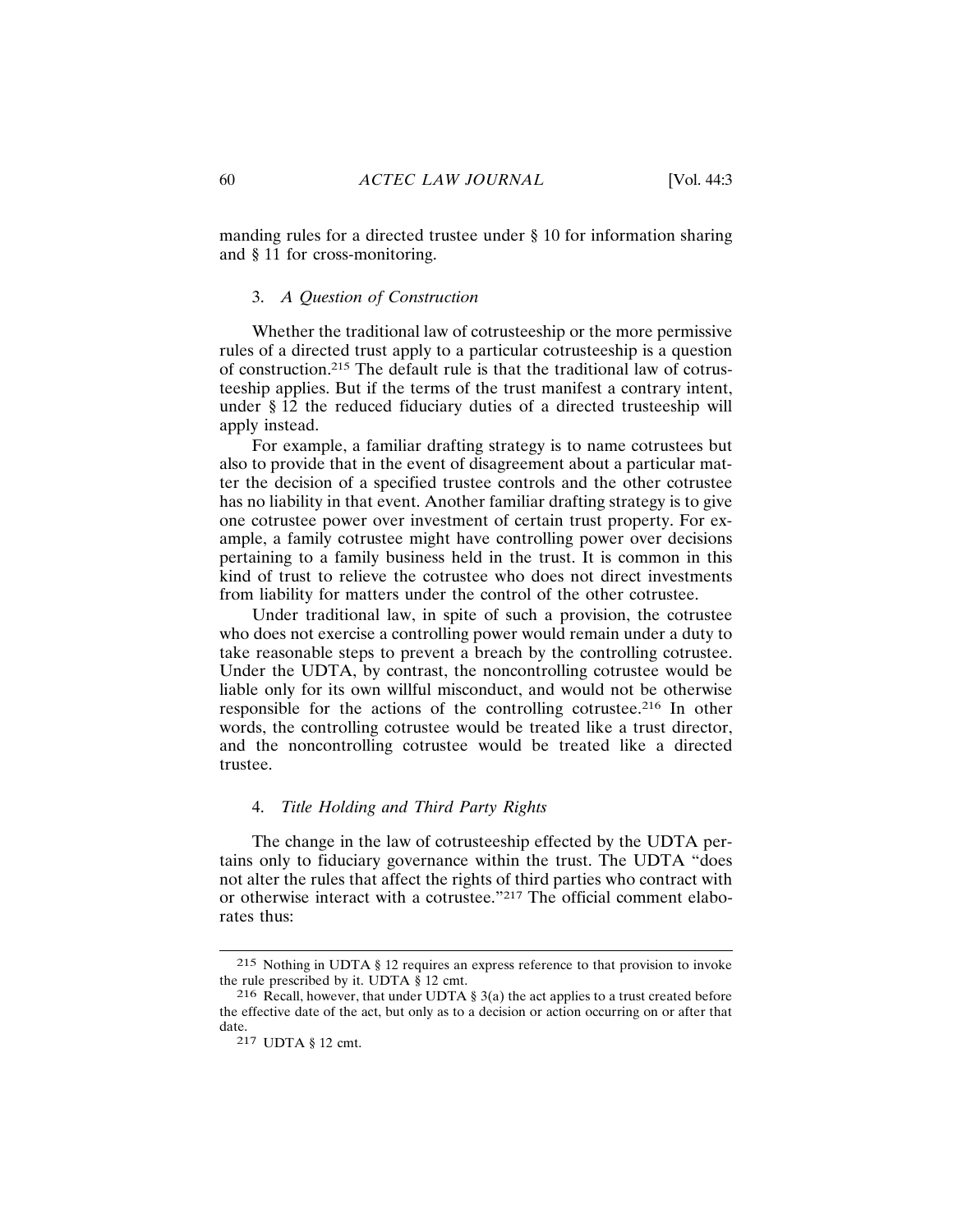manding rules for a directed trustee under § 10 for information sharing and § 11 for cross-monitoring.

#### 3. A Question of Construction

Whether the traditional law of cotrusteeship or the more permissive rules of a directed trust apply to a particular cotrusteeship is a question of construction.<sup>215</sup> The default rule is that the traditional law of cotrusteeship applies. But if the terms of the trust manifest a contrary intent, under § 12 the reduced fiduciary duties of a directed trusteeship will apply instead.

For example, a familiar drafting strategy is to name cotrustees but also to provide that in the event of disagreement about a particular matter the decision of a specified trustee controls and the other cotrustee has no liability in that event. Another familiar drafting strategy is to give one cotrustee power over investment of certain trust property. For example, a family cotrustee might have controlling power over decisions pertaining to a family business held in the trust. It is common in this kind of trust to relieve the cotrustee who does not direct investments from liability for matters under the control of the other cotrustee.

Under traditional law, in spite of such a provision, the cotrustee who does not exercise a controlling power would remain under a duty to take reasonable steps to prevent a breach by the controlling cotrustee. Under the UDTA, by contrast, the noncontrolling cotrustee would be liable only for its own willful misconduct, and would not be otherwise responsible for the actions of the controlling cotrustee.<sup>216</sup> In other words, the controlling cotrustee would be treated like a trust director, and the noncontrolling cotrustee would be treated like a directed trustee.

## 4. Title Holding and Third Party Rights

The change in the law of cotrusteeship effected by the UDTA pertains only to fiduciary governance within the trust. The UDTA "does" not alter the rules that affect the rights of third parties who contract with or otherwise interact with a cotrustee."217 The official comment elaborates thus:

<sup>215</sup> Nothing in UDTA § 12 requires an express reference to that provision to invoke the rule prescribed by it. UDTA  $\S$  12 cmt.

<sup>216</sup> Recall, however, that under UDTA  $\S$  3(a) the act applies to a trust created before the effective date of the act, but only as to a decision or action occurring on or after that date.

<sup>217</sup> UDTA § 12 cmt.